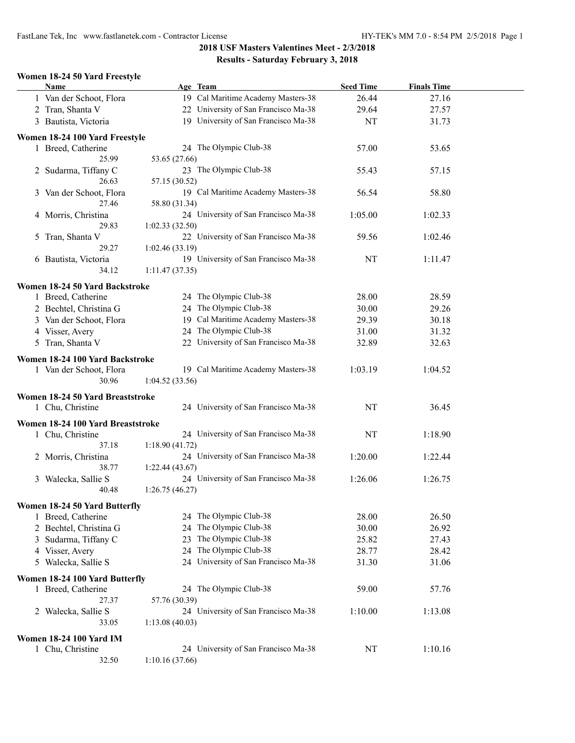FastLane Tek, Inc www.fastlanetek.com - Contractor License HY-TEK's MM 7.0 - 8:54 PM 2/5/2018 Page 1

# **2018 USF Masters Valentines Meet - 2/3/2018 Results - Saturday February 3, 2018**

#### **Women 18-24 50 Yard Freestyle**

| <b>Name</b> |                                                      | Age Team                             | <b>Seed Time</b> | <b>Finals Time</b> |  |
|-------------|------------------------------------------------------|--------------------------------------|------------------|--------------------|--|
|             | 1 Van der Schoot, Flora                              | 19 Cal Maritime Academy Masters-38   | 26.44            | 27.16              |  |
|             | 2 Tran, Shanta V                                     | 22 University of San Francisco Ma-38 | 29.64            | 27.57              |  |
|             | 3 Bautista, Victoria                                 | 19 University of San Francisco Ma-38 | NT               | 31.73              |  |
|             |                                                      |                                      |                  |                    |  |
|             | Women 18-24 100 Yard Freestyle<br>1 Breed, Catherine | 24 The Olympic Club-38               | 57.00            | 53.65              |  |
|             | 25.99                                                | 53.65 (27.66)                        |                  |                    |  |
|             | 2 Sudarma, Tiffany C                                 | 23 The Olympic Club-38               | 55.43            | 57.15              |  |
|             | 26.63                                                | 57.15 (30.52)                        |                  |                    |  |
|             | 3 Van der Schoot, Flora                              | 19 Cal Maritime Academy Masters-38   | 56.54            | 58.80              |  |
|             | 27.46                                                | 58.80 (31.34)                        |                  |                    |  |
|             | 4 Morris, Christina                                  | 24 University of San Francisco Ma-38 | 1:05.00          | 1:02.33            |  |
|             | 29.83                                                | 1:02.33(32.50)                       |                  |                    |  |
|             | 5 Tran, Shanta V                                     | 22 University of San Francisco Ma-38 | 59.56            | 1:02.46            |  |
|             | 29.27                                                | 1:02.46(33.19)                       |                  |                    |  |
|             | 6 Bautista, Victoria                                 | 19 University of San Francisco Ma-38 | NT               | 1:11.47            |  |
|             | 34.12                                                | 1:11.47(37.35)                       |                  |                    |  |
|             |                                                      |                                      |                  |                    |  |
|             | Women 18-24 50 Yard Backstroke                       |                                      |                  |                    |  |
|             | 1 Breed, Catherine                                   | 24 The Olympic Club-38               | 28.00            | 28.59              |  |
|             | 2 Bechtel, Christina G                               | 24 The Olympic Club-38               | 30.00            | 29.26              |  |
|             | 3 Van der Schoot, Flora                              | 19 Cal Maritime Academy Masters-38   | 29.39            | 30.18              |  |
|             | 4 Visser, Avery                                      | 24 The Olympic Club-38               | 31.00            | 31.32              |  |
|             | 5 Tran, Shanta V                                     | 22 University of San Francisco Ma-38 | 32.89            | 32.63              |  |
|             | Women 18-24 100 Yard Backstroke                      |                                      |                  |                    |  |
|             | 1 Van der Schoot, Flora                              | 19 Cal Maritime Academy Masters-38   | 1:03.19          | 1:04.52            |  |
|             | 30.96                                                | 1:04.52(33.56)                       |                  |                    |  |
|             |                                                      |                                      |                  |                    |  |
|             | Women 18-24 50 Yard Breaststroke                     |                                      |                  |                    |  |
|             | 1 Chu, Christine                                     | 24 University of San Francisco Ma-38 | NT               | 36.45              |  |
|             | Women 18-24 100 Yard Breaststroke                    |                                      |                  |                    |  |
|             | 1 Chu, Christine                                     | 24 University of San Francisco Ma-38 | NT               | 1:18.90            |  |
|             | 37.18                                                | 1:18.90(41.72)                       |                  |                    |  |
|             | 2 Morris, Christina                                  | 24 University of San Francisco Ma-38 | 1:20.00          | 1:22.44            |  |
|             | 38.77                                                | 1:22.44(43.67)                       |                  |                    |  |
|             | 3 Walecka, Sallie S                                  | 24 University of San Francisco Ma-38 | 1:26.06          | 1:26.75            |  |
|             | 40.48                                                | 1:26.75(46.27)                       |                  |                    |  |
|             | Women 18-24 50 Yard Butterfly                        |                                      |                  |                    |  |
|             | 1 Breed, Catherine                                   | 24 The Olympic Club-38               | 28.00            | 26.50              |  |
|             | 2 Bechtel, Christina G                               | 24 The Olympic Club-38               | 30.00            | 26.92              |  |
|             | 3 Sudarma, Tiffany C                                 | 23 The Olympic Club-38               | 25.82            | 27.43              |  |
|             | 4 Visser, Avery                                      | 24 The Olympic Club-38               | 28.77            | 28.42              |  |
|             | 5 Walecka, Sallie S                                  | 24 University of San Francisco Ma-38 | 31.30            | 31.06              |  |
|             |                                                      |                                      |                  |                    |  |
|             | Women 18-24 100 Yard Butterfly                       |                                      |                  |                    |  |
|             | 1 Breed, Catherine                                   | 24 The Olympic Club-38               | 59.00            | 57.76              |  |
|             | 27.37                                                | 57.76 (30.39)                        |                  |                    |  |
|             | 2 Walecka, Sallie S                                  | 24 University of San Francisco Ma-38 | 1:10.00          | 1:13.08            |  |
|             | 33.05                                                | 1:13.08(40.03)                       |                  |                    |  |
|             | <b>Women 18-24 100 Yard IM</b>                       |                                      |                  |                    |  |
|             | 1 Chu, Christine                                     | 24 University of San Francisco Ma-38 | NT               | 1:10.16            |  |
|             | 32.50                                                | 1:10.16(37.66)                       |                  |                    |  |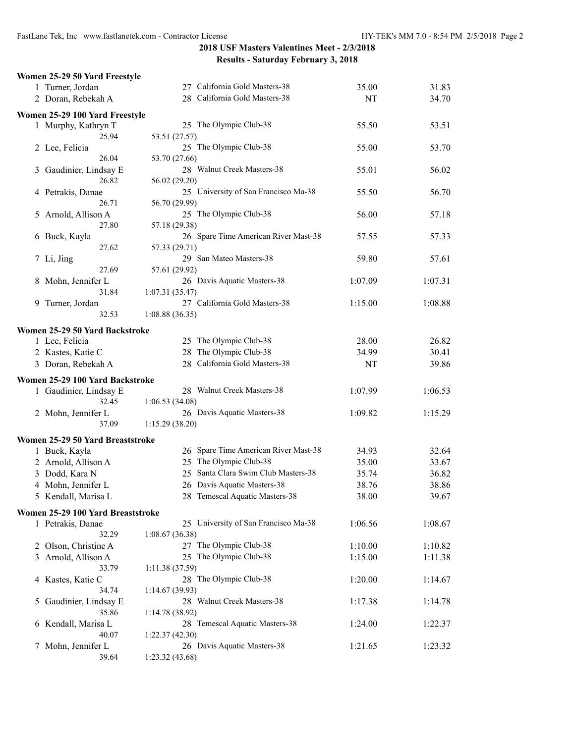|    | Women 25-29 50 Yard Freestyle     |                                               |         |         |
|----|-----------------------------------|-----------------------------------------------|---------|---------|
|    | 1 Turner, Jordan                  | 27 California Gold Masters-38                 | 35.00   | 31.83   |
|    | 2 Doran, Rebekah A                | 28 California Gold Masters-38                 | NT      | 34.70   |
|    | Women 25-29 100 Yard Freestyle    |                                               |         |         |
|    | 1 Murphy, Kathryn T               | 25 The Olympic Club-38                        | 55.50   | 53.51   |
|    | 25.94                             | 53.51 (27.57)                                 |         |         |
|    | 2 Lee, Felicia                    | 25 The Olympic Club-38                        | 55.00   | 53.70   |
|    | 26.04                             | 53.70 (27.66)                                 |         |         |
| 3  | Gaudinier, Lindsay E              | 28 Walnut Creek Masters-38                    | 55.01   | 56.02   |
|    | 26.82                             | 56.02 (29.20)                                 |         |         |
|    | 4 Petrakis, Danae                 | 25 University of San Francisco Ma-38          | 55.50   | 56.70   |
|    | 26.71                             | 56.70 (29.99)                                 |         |         |
| 5. | Arnold, Allison A                 | 25 The Olympic Club-38                        | 56.00   | 57.18   |
|    | 27.80                             | 57.18 (29.38)                                 |         |         |
|    | 6 Buck, Kayla                     | 26 Spare Time American River Mast-38          | 57.55   | 57.33   |
|    | 27.62                             | 57.33 (29.71)                                 |         |         |
|    | 7 Li, Jing                        | 29 San Mateo Masters-38                       | 59.80   | 57.61   |
|    | 27.69                             | 57.61 (29.92)                                 |         |         |
| 8  | Mohn, Jennifer L                  | 26 Davis Aquatic Masters-38                   | 1:07.09 | 1:07.31 |
|    | 31.84                             | 1:07.31(35.47)                                |         |         |
|    | 9 Turner, Jordan                  | 27 California Gold Masters-38                 | 1:15.00 | 1:08.88 |
|    | 32.53                             | 1:08.88(36.35)                                |         |         |
|    | Women 25-29 50 Yard Backstroke    |                                               |         |         |
|    | 1 Lee, Felicia                    | 25 The Olympic Club-38                        | 28.00   | 26.82   |
|    | 2 Kastes, Katie C                 | 28 The Olympic Club-38                        | 34.99   | 30.41   |
|    | 3 Doran, Rebekah A                | 28 California Gold Masters-38                 | NT      | 39.86   |
|    | Women 25-29 100 Yard Backstroke   |                                               |         |         |
|    | 1 Gaudinier, Lindsay E            | 28 Walnut Creek Masters-38                    | 1:07.99 | 1:06.53 |
|    | 32.45                             | 1:06.53(34.08)                                |         |         |
|    | 2 Mohn, Jennifer L                | 26 Davis Aquatic Masters-38                   | 1:09.82 | 1:15.29 |
|    | 37.09                             | 1:15.29(38.20)                                |         |         |
|    | Women 25-29 50 Yard Breaststroke  |                                               |         |         |
|    | 1 Buck, Kayla                     | 26 Spare Time American River Mast-38          | 34.93   | 32.64   |
|    | 2 Arnold, Allison A               | 25 The Olympic Club-38                        | 35.00   | 33.67   |
| 3  | Dodd, Kara N                      | 25 Santa Clara Swim Club Masters-38           | 35.74   | 36.82   |
|    | 4 Mohn, Jennifer L                | 26 Davis Aquatic Masters-38                   | 38.76   | 38.86   |
|    | 5 Kendall, Marisa L               | 28 Temescal Aquatic Masters-38                | 38.00   | 39.67   |
|    |                                   |                                               |         |         |
|    | Women 25-29 100 Yard Breaststroke |                                               |         |         |
|    | 1 Petrakis, Danae                 | 25 University of San Francisco Ma-38          | 1:06.56 | 1:08.67 |
|    | 32.29                             | 1:08.67(36.38)                                |         |         |
| 2  | Olson, Christine A                | 27 The Olympic Club-38                        | 1:10.00 | 1:10.82 |
|    | 3 Arnold, Allison A               | 25 The Olympic Club-38                        | 1:15.00 | 1:11.38 |
|    | 33.79                             | 1:11.38(37.59)                                |         |         |
| 4  | Kastes, Katie C                   | 28 The Olympic Club-38                        | 1:20.00 | 1:14.67 |
|    | 34.74                             | 1:14.67(39.93)                                |         |         |
| 5  | Gaudinier, Lindsay E              | 28 Walnut Creek Masters-38                    | 1:17.38 | 1:14.78 |
|    | 35.86                             | 1:14.78 (38.92)                               |         |         |
| 6. | Kendall, Marisa L                 | 28 Temescal Aquatic Masters-38                | 1:24.00 | 1:22.37 |
|    | 40.07<br>Mohn, Jennifer L         | 1:22.37(42.30)<br>26 Davis Aquatic Masters-38 | 1:21.65 | 1:23.32 |
| 7  | 39.64                             | 1:23.32(43.68)                                |         |         |
|    |                                   |                                               |         |         |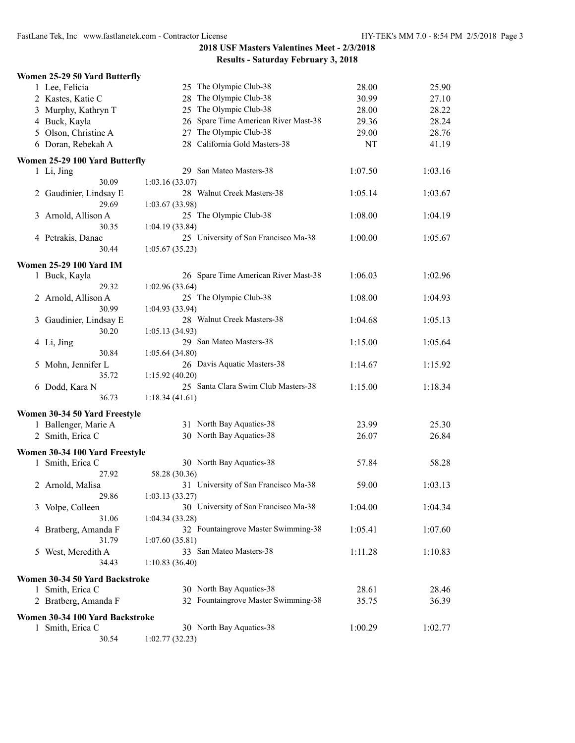|   | Women 25-29 50 Yard Butterfly   |                                                       |         |         |
|---|---------------------------------|-------------------------------------------------------|---------|---------|
|   | 1 Lee, Felicia                  | 25 The Olympic Club-38                                | 28.00   | 25.90   |
|   | 2 Kastes, Katie C               | 28 The Olympic Club-38                                | 30.99   | 27.10   |
|   | 3 Murphy, Kathryn T             | 25 The Olympic Club-38                                | 28.00   | 28.22   |
|   | 4 Buck, Kayla                   | 26 Spare Time American River Mast-38                  | 29.36   | 28.24   |
|   | 5 Olson, Christine A            | 27 The Olympic Club-38                                | 29.00   | 28.76   |
|   | 6 Doran, Rebekah A              | 28 California Gold Masters-38                         | NT      | 41.19   |
|   | Women 25-29 100 Yard Butterfly  |                                                       |         |         |
|   | 1 Li, Jing                      | 29 San Mateo Masters-38                               | 1:07.50 | 1:03.16 |
|   | 30.09                           | 1:03.16 (33.07)                                       |         |         |
|   | 2 Gaudinier, Lindsay E          | 28 Walnut Creek Masters-38                            | 1:05.14 | 1:03.67 |
|   | 29.69                           | 1:03.67(33.98)                                        |         |         |
|   | 3 Arnold, Allison A             | 25 The Olympic Club-38                                | 1:08.00 | 1:04.19 |
|   | 30.35                           | 1:04.19(33.84)                                        |         |         |
|   | 4 Petrakis, Danae               | 25 University of San Francisco Ma-38                  | 1:00.00 | 1:05.67 |
|   | 30.44                           | 1:05.67(35.23)                                        |         |         |
|   | <b>Women 25-29 100 Yard IM</b>  |                                                       |         |         |
|   | 1 Buck, Kayla                   | 26 Spare Time American River Mast-38                  | 1:06.03 | 1:02.96 |
|   | 29.32                           | 1:02.96 (33.64)                                       |         |         |
|   | 2 Arnold, Allison A             | 25 The Olympic Club-38                                | 1:08.00 | 1:04.93 |
|   | 30.99                           | 1:04.93 (33.94)                                       |         |         |
| 3 | Gaudinier, Lindsay E            | 28 Walnut Creek Masters-38                            | 1:04.68 | 1:05.13 |
|   | 30.20                           | 1:05.13(34.93)                                        |         |         |
|   | 4 Li, Jing                      | 29 San Mateo Masters-38                               | 1:15.00 | 1:05.64 |
|   | 30.84                           | 1:05.64(34.80)                                        |         |         |
| 5 | Mohn, Jennifer L                | 26 Davis Aquatic Masters-38                           | 1:14.67 | 1:15.92 |
|   | 35.72                           | 1:15.92(40.20)<br>25 Santa Clara Swim Club Masters-38 |         |         |
|   | 6 Dodd, Kara N<br>36.73         | 1:18.34(41.61)                                        | 1:15.00 | 1:18.34 |
|   |                                 |                                                       |         |         |
|   | Women 30-34 50 Yard Freestyle   |                                                       |         |         |
|   | 1 Ballenger, Marie A            | 31 North Bay Aquatics-38                              | 23.99   | 25.30   |
|   | 2 Smith, Erica C                | 30 North Bay Aquatics-38                              | 26.07   | 26.84   |
|   | Women 30-34 100 Yard Freestyle  |                                                       |         |         |
|   | 1 Smith, Erica C                | 30 North Bay Aquatics-38                              | 57.84   | 58.28   |
|   | 27.92                           | 58.28 (30.36)                                         |         |         |
|   | 2 Arnold, Malisa                | 31 University of San Francisco Ma-38                  | 59.00   | 1:03.13 |
|   | 29.86                           | 1:03.13(33.27)                                        |         |         |
|   | 3 Volpe, Colleen                | 30 University of San Francisco Ma-38                  | 1:04.00 | 1:04.34 |
|   | 31.06                           | 1:04.34(33.28)                                        |         |         |
|   | 4 Bratberg, Amanda F            | 32 Fountaingrove Master Swimming-38                   | 1:05.41 | 1:07.60 |
|   | 31.79                           | 1:07.60(35.81)                                        |         |         |
| 5 | West, Meredith A                | 33 San Mateo Masters-38                               | 1:11.28 | 1:10.83 |
|   | 34.43                           | 1:10.83(36.40)                                        |         |         |
|   | Women 30-34 50 Yard Backstroke  |                                                       |         |         |
|   | 1 Smith, Erica C                | 30 North Bay Aquatics-38                              | 28.61   | 28.46   |
|   | 2 Bratberg, Amanda F            | 32 Fountaingrove Master Swimming-38                   | 35.75   | 36.39   |
|   | Women 30-34 100 Yard Backstroke |                                                       |         |         |
|   | 1 Smith, Erica C                | 30 North Bay Aquatics-38                              | 1:00.29 | 1:02.77 |
|   | 30.54                           | 1:02.77(32.23)                                        |         |         |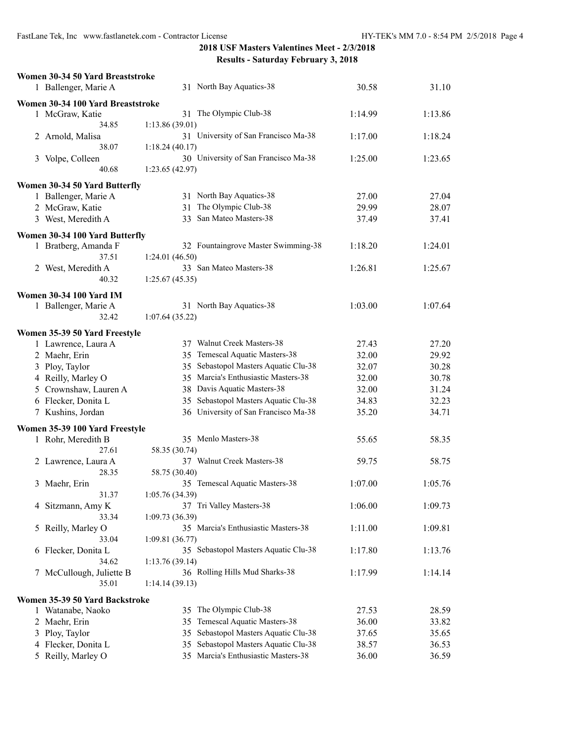|   | Women 30-34 50 Yard Breaststroke  |                                         |         |         |
|---|-----------------------------------|-----------------------------------------|---------|---------|
|   | 1 Ballenger, Marie A              | 31 North Bay Aquatics-38                | 30.58   | 31.10   |
|   | Women 30-34 100 Yard Breaststroke |                                         |         |         |
|   | 1 McGraw, Katie                   | 31 The Olympic Club-38                  | 1:14.99 | 1:13.86 |
|   | 34.85                             | 1:13.86(39.01)                          |         |         |
|   | 2 Arnold, Malisa                  | 31 University of San Francisco Ma-38    | 1:17.00 | 1:18.24 |
|   | 38.07                             | 1:18.24(40.17)                          |         |         |
|   | 3 Volpe, Colleen                  | 30 University of San Francisco Ma-38    | 1:25.00 | 1:23.65 |
|   | 40.68                             | 1:23.65 (42.97)                         |         |         |
|   | Women 30-34 50 Yard Butterfly     |                                         |         |         |
|   | 1 Ballenger, Marie A              | 31 North Bay Aquatics-38                | 27.00   | 27.04   |
|   | 2 McGraw, Katie                   | 31 The Olympic Club-38                  | 29.99   | 28.07   |
|   | 3 West, Meredith A                | San Mateo Masters-38<br>33              | 37.49   | 37.41   |
|   |                                   |                                         |         |         |
|   | Women 30-34 100 Yard Butterfly    |                                         |         |         |
|   | 1 Bratberg, Amanda F              | 32 Fountaingrove Master Swimming-38     | 1:18.20 | 1:24.01 |
|   | 37.51                             | 1:24.01 (46.50)                         |         |         |
|   | 2 West, Meredith A                | 33 San Mateo Masters-38                 | 1:26.81 | 1:25.67 |
|   | 40.32                             | 1:25.67(45.35)                          |         |         |
|   | <b>Women 30-34 100 Yard IM</b>    |                                         |         |         |
|   | 1 Ballenger, Marie A              | 31 North Bay Aquatics-38                | 1:03.00 | 1:07.64 |
|   | 32.42                             | 1:07.64(35.22)                          |         |         |
|   | Women 35-39 50 Yard Freestyle     |                                         |         |         |
|   | 1 Lawrence, Laura A               | 37 Walnut Creek Masters-38              | 27.43   | 27.20   |
|   | 2 Maehr, Erin                     | 35 Temescal Aquatic Masters-38          | 32.00   | 29.92   |
|   | 3 Ploy, Taylor                    | 35 Sebastopol Masters Aquatic Clu-38    | 32.07   | 30.28   |
|   | 4 Reilly, Marley O                | 35 Marcia's Enthusiastic Masters-38     | 32.00   | 30.78   |
|   | 5 Crownshaw, Lauren A             | 38 Davis Aquatic Masters-38             | 32.00   | 31.24   |
|   | 6 Flecker, Donita L               | 35 Sebastopol Masters Aquatic Clu-38    | 34.83   | 32.23   |
|   | 7 Kushins, Jordan                 | 36 University of San Francisco Ma-38    | 35.20   | 34.71   |
|   |                                   |                                         |         |         |
|   | Women 35-39 100 Yard Freestyle    | 35 Menlo Masters-38                     | 55.65   | 58.35   |
|   | 1 Rohr, Meredith B<br>27.61       | 58.35 (30.74)                           |         |         |
|   |                                   | 37 Walnut Creek Masters-38              | 59.75   | 58.75   |
|   | 2 Lawrence, Laura A<br>28.35      | 58.75 (30.40)                           |         |         |
|   | 3 Maehr, Erin                     | 35 Temescal Aquatic Masters-38          | 1:07.00 | 1:05.76 |
|   | 31.37                             | 1:05.76(34.39)                          |         |         |
|   | 4 Sitzmann, Amy K                 | 37 Tri Valley Masters-38                | 1:06.00 | 1:09.73 |
|   | 33.34                             | 1:09.73(36.39)                          |         |         |
| 5 | Reilly, Marley O                  | 35 Marcia's Enthusiastic Masters-38     | 1:11.00 | 1:09.81 |
|   | 33.04                             | 1:09.81(36.77)                          |         |         |
| 6 | Flecker, Donita L                 | 35 Sebastopol Masters Aquatic Clu-38    | 1:17.80 | 1:13.76 |
|   | 34.62                             | 1:13.76(39.14)                          |         |         |
| 7 | McCullough, Juliette B            | 36 Rolling Hills Mud Sharks-38          | 1:17.99 | 1:14.14 |
|   | 35.01                             | 1:14.14(39.13)                          |         |         |
|   |                                   |                                         |         |         |
|   | Women 35-39 50 Yard Backstroke    | 35 The Olympic Club-38                  | 27.53   | 28.59   |
|   | 1 Watanabe, Naoko                 | Temescal Aquatic Masters-38<br>35       | 36.00   | 33.82   |
| 2 | Maehr, Erin<br>Ploy, Taylor       | Sebastopol Masters Aquatic Clu-38<br>35 | 37.65   | 35.65   |
| 3 | 4 Flecker, Donita L               | Sebastopol Masters Aquatic Clu-38<br>35 | 38.57   | 36.53   |
|   | 5 Reilly, Marley O                | 35 Marcia's Enthusiastic Masters-38     | 36.00   | 36.59   |
|   |                                   |                                         |         |         |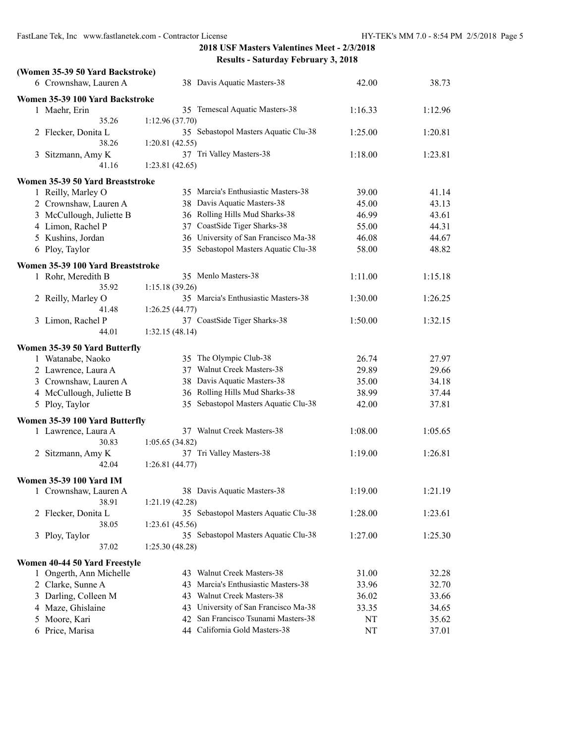| (Women 35-39 50 Yard Backstroke)  |                                            |         |         |
|-----------------------------------|--------------------------------------------|---------|---------|
| 6 Crownshaw, Lauren A             | 38 Davis Aquatic Masters-38                | 42.00   | 38.73   |
| Women 35-39 100 Yard Backstroke   |                                            |         |         |
| 1 Maehr, Erin                     | 35 Temescal Aquatic Masters-38             | 1:16.33 | 1:12.96 |
| 35.26                             | 1:12.96(37.70)                             |         |         |
| 2 Flecker, Donita L               | 35 Sebastopol Masters Aquatic Clu-38       | 1:25.00 | 1:20.81 |
| 38.26                             | 1:20.81 (42.55)                            |         |         |
| 3 Sitzmann, Amy K                 | 37 Tri Valley Masters-38                   | 1:18.00 | 1:23.81 |
| 41.16                             | 1:23.81(42.65)                             |         |         |
| Women 35-39 50 Yard Breaststroke  |                                            |         |         |
| 1 Reilly, Marley O                | 35 Marcia's Enthusiastic Masters-38        | 39.00   | 41.14   |
| 2 Crownshaw, Lauren A             | 38 Davis Aquatic Masters-38                | 45.00   | 43.13   |
| 3 McCullough, Juliette B          | 36 Rolling Hills Mud Sharks-38             | 46.99   | 43.61   |
| 4 Limon, Rachel P                 | CoastSide Tiger Sharks-38<br>37            | 55.00   | 44.31   |
| 5 Kushins, Jordan                 | 36 University of San Francisco Ma-38       | 46.08   | 44.67   |
| 6 Ploy, Taylor                    | 35 Sebastopol Masters Aquatic Clu-38       | 58.00   | 48.82   |
|                                   |                                            |         |         |
| Women 35-39 100 Yard Breaststroke |                                            |         |         |
| 1 Rohr, Meredith B                | 35 Menlo Masters-38                        | 1:11.00 | 1:15.18 |
| 35.92                             | 1:15.18(39.26)                             |         |         |
| 2 Reilly, Marley O                | 35 Marcia's Enthusiastic Masters-38        | 1:30.00 | 1:26.25 |
| 41.48                             | 1:26.25 (44.77)                            |         |         |
| 3 Limon, Rachel P                 | 37 CoastSide Tiger Sharks-38               | 1:50.00 | 1:32.15 |
| 44.01                             | 1:32.15(48.14)                             |         |         |
| Women 35-39 50 Yard Butterfly     |                                            |         |         |
| 1 Watanabe, Naoko                 | 35 The Olympic Club-38                     | 26.74   | 27.97   |
| 2 Lawrence, Laura A               | 37 Walnut Creek Masters-38                 | 29.89   | 29.66   |
| 3 Crownshaw, Lauren A             | 38 Davis Aquatic Masters-38                | 35.00   | 34.18   |
| 4 McCullough, Juliette B          | 36 Rolling Hills Mud Sharks-38             | 38.99   | 37.44   |
| 5 Ploy, Taylor                    | 35 Sebastopol Masters Aquatic Clu-38       | 42.00   | 37.81   |
|                                   |                                            |         |         |
| Women 35-39 100 Yard Butterfly    |                                            |         |         |
| 1 Lawrence, Laura A<br>30.83      | 37 Walnut Creek Masters-38                 | 1:08.00 | 1:05.65 |
|                                   | 1:05.65(34.82)<br>37 Tri Valley Masters-38 |         |         |
| 2 Sitzmann, Amy K<br>42.04        | 1:26.81(44.77)                             | 1:19.00 | 1:26.81 |
|                                   |                                            |         |         |
| <b>Women 35-39 100 Yard IM</b>    |                                            |         |         |
| 1 Crownshaw, Lauren A             | 38 Davis Aquatic Masters-38                | 1:19.00 | 1:21.19 |
| 38.91                             | 1:21.19(42.28)                             |         |         |
| 2 Flecker, Donita L               | 35 Sebastopol Masters Aquatic Clu-38       | 1:28.00 | 1:23.61 |
| 38.05                             | 1:23.61(45.56)                             |         |         |
| 3 Ploy, Taylor                    | 35 Sebastopol Masters Aquatic Clu-38       | 1:27.00 | 1:25.30 |
| 37.02                             | 1:25.30(48.28)                             |         |         |
| Women 40-44 50 Yard Freestyle     |                                            |         |         |
| 1 Ongerth, Ann Michelle           | 43 Walnut Creek Masters-38                 | 31.00   | 32.28   |
| 2 Clarke, Sunne A                 | Marcia's Enthusiastic Masters-38<br>43     | 33.96   | 32.70   |
| 3 Darling, Colleen M              | Walnut Creek Masters-38<br>43              | 36.02   | 33.66   |
| 4 Maze, Ghislaine                 | 43 University of San Francisco Ma-38       | 33.35   | 34.65   |
| 5 Moore, Kari                     | 42 San Francisco Tsunami Masters-38        | NT      | 35.62   |
| 6 Price, Marisa                   | 44 California Gold Masters-38              | NT      | 37.01   |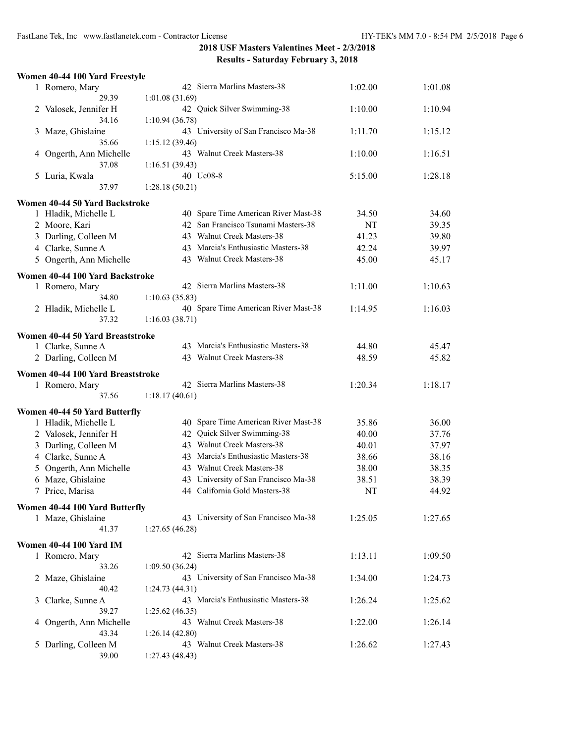|   | Women 40-44 100 Yard Freestyle    |                                              |         |         |
|---|-----------------------------------|----------------------------------------------|---------|---------|
|   | 1 Romero, Mary                    | 42 Sierra Marlins Masters-38                 | 1:02.00 | 1:01.08 |
|   | 29.39                             | 1:01.08(31.69)                               |         |         |
|   | 2 Valosek, Jennifer H             | 42 Quick Silver Swimming-38                  | 1:10.00 | 1:10.94 |
|   | 34.16                             | 1:10.94(36.78)                               |         |         |
| 3 | Maze, Ghislaine                   | 43 University of San Francisco Ma-38         | 1:11.70 | 1:15.12 |
|   | 35.66                             | 1:15.12(39.46)                               |         |         |
| 4 | Ongerth, Ann Michelle             | 43 Walnut Creek Masters-38                   | 1:10.00 | 1:16.51 |
|   | 37.08                             | 1:16.51(39.43)                               |         |         |
|   | 5 Luria, Kwala                    | 40 Uc08-8                                    | 5:15.00 | 1:28.18 |
|   | 37.97                             | 1:28.18(50.21)                               |         |         |
|   | Women 40-44 50 Yard Backstroke    |                                              |         |         |
|   | 1 Hladik, Michelle L              | 40 Spare Time American River Mast-38         | 34.50   | 34.60   |
|   | 2 Moore, Kari                     | 42 San Francisco Tsunami Masters-38          | NT      | 39.35   |
|   | 3 Darling, Colleen M              | 43 Walnut Creek Masters-38                   | 41.23   | 39.80   |
|   | 4 Clarke, Sunne A                 | 43 Marcia's Enthusiastic Masters-38          | 42.24   | 39.97   |
|   | 5 Ongerth, Ann Michelle           | 43 Walnut Creek Masters-38                   | 45.00   | 45.17   |
|   | Women 40-44 100 Yard Backstroke   |                                              |         |         |
|   | 1 Romero, Mary                    | 42 Sierra Marlins Masters-38                 | 1:11.00 | 1:10.63 |
|   | 34.80                             | 1:10.63(35.83)                               |         |         |
|   | 2 Hladik, Michelle L              | 40 Spare Time American River Mast-38         | 1:14.95 | 1:16.03 |
|   | 37.32                             | 1:16.03(38.71)                               |         |         |
|   |                                   |                                              |         |         |
|   | Women 40-44 50 Yard Breaststroke  |                                              |         |         |
|   | 1 Clarke, Sunne A                 | 43 Marcia's Enthusiastic Masters-38          | 44.80   | 45.47   |
|   | 2 Darling, Colleen M              | 43 Walnut Creek Masters-38                   | 48.59   | 45.82   |
|   | Women 40-44 100 Yard Breaststroke |                                              |         |         |
|   | 1 Romero, Mary                    | 42 Sierra Marlins Masters-38                 | 1:20.34 | 1:18.17 |
|   | 37.56                             | 1:18.17(40.61)                               |         |         |
|   | Women 40-44 50 Yard Butterfly     |                                              |         |         |
|   | 1 Hladik, Michelle L              | 40 Spare Time American River Mast-38         | 35.86   | 36.00   |
|   | 2 Valosek, Jennifer H             | 42 Quick Silver Swimming-38                  | 40.00   | 37.76   |
|   | 3 Darling, Colleen M              | 43 Walnut Creek Masters-38                   | 40.01   | 37.97   |
|   | 4 Clarke, Sunne A                 | 43 Marcia's Enthusiastic Masters-38          | 38.66   | 38.16   |
|   | 5 Ongerth, Ann Michelle           | 43 Walnut Creek Masters-38                   | 38.00   | 38.35   |
|   | 6 Maze, Ghislaine                 | 43 University of San Francisco Ma-38         | 38.51   | 38.39   |
|   | 7 Price, Marisa                   | 44 California Gold Masters-38                | NT      | 44.92   |
|   | Women 40-44 100 Yard Butterfly    |                                              |         |         |
|   | 1 Maze, Ghislaine                 | 43 University of San Francisco Ma-38         | 1:25.05 | 1:27.65 |
|   | 41.37                             | 1:27.65(46.28)                               |         |         |
|   |                                   |                                              |         |         |
|   | <b>Women 40-44 100 Yard IM</b>    |                                              |         |         |
|   | 1 Romero, Mary                    | 42 Sierra Marlins Masters-38                 | 1:13.11 | 1:09.50 |
|   | 33.26                             | 1:09.50(36.24)                               |         |         |
|   | 2 Maze, Ghislaine                 | 43 University of San Francisco Ma-38         | 1:34.00 | 1:24.73 |
|   | 40.42                             | 1:24.73 (44.31)                              |         |         |
| 3 | Clarke, Sunne A                   | 43 Marcia's Enthusiastic Masters-38          | 1:26.24 | 1:25.62 |
|   | 39.27                             | 1:25.62(46.35)<br>43 Walnut Creek Masters-38 |         |         |
|   | 4 Ongerth, Ann Michelle<br>43.34  |                                              | 1:22.00 | 1:26.14 |
|   | 5 Darling, Colleen M              | 1:26.14(42.80)<br>43 Walnut Creek Masters-38 | 1:26.62 | 1:27.43 |
|   | 39.00                             | 1:27.43(48.43)                               |         |         |
|   |                                   |                                              |         |         |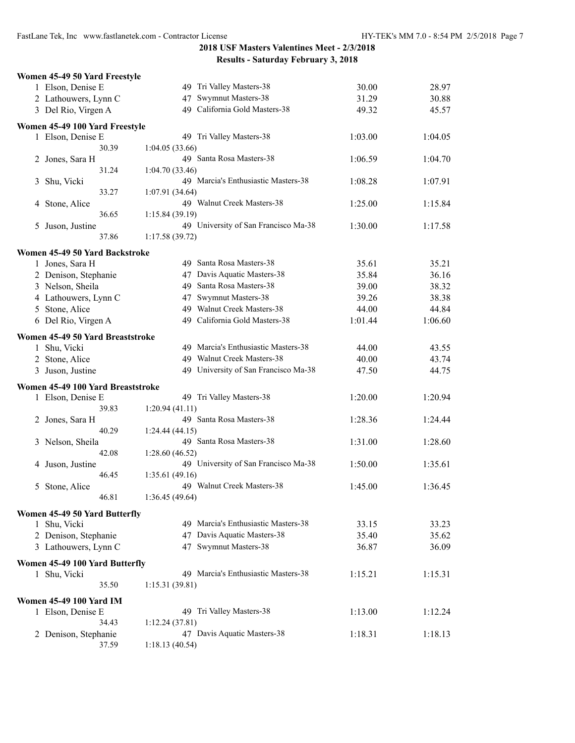| Women 45-49 50 Yard Freestyle                 |                                      |         |         |
|-----------------------------------------------|--------------------------------------|---------|---------|
| 1 Elson, Denise E                             | 49 Tri Valley Masters-38             | 30.00   | 28.97   |
| 2 Lathouwers, Lynn C                          | Swymnut Masters-38<br>47             | 31.29   | 30.88   |
| 3 Del Rio, Virgen A                           | 49 California Gold Masters-38        | 49.32   | 45.57   |
|                                               |                                      |         |         |
| Women 45-49 100 Yard Freestyle                |                                      |         |         |
| 1 Elson, Denise E                             | 49 Tri Valley Masters-38             | 1:03.00 | 1:04.05 |
| 30.39                                         | 1:04.05(33.66)                       |         |         |
| 2 Jones, Sara H                               | 49 Santa Rosa Masters-38             | 1:06.59 | 1:04.70 |
| 31.24                                         | 1:04.70(33.46)                       |         |         |
| Shu, Vicki<br>3                               | 49 Marcia's Enthusiastic Masters-38  | 1:08.28 | 1:07.91 |
| 33.27                                         | 1:07.91(34.64)                       |         |         |
| Stone, Alice<br>4                             | 49 Walnut Creek Masters-38           | 1:25.00 | 1:15.84 |
| 36.65                                         | 1:15.84 (39.19)                      |         |         |
| Juson, Justine<br>5                           | 49 University of San Francisco Ma-38 | 1:30.00 | 1:17.58 |
| 37.86                                         | 1:17.58(39.72)                       |         |         |
| Women 45-49 50 Yard Backstroke                |                                      |         |         |
| 1 Jones, Sara H                               | 49 Santa Rosa Masters-38             | 35.61   | 35.21   |
| 2 Denison, Stephanie                          | 47 Davis Aquatic Masters-38          | 35.84   | 36.16   |
| 3 Nelson, Sheila                              | 49 Santa Rosa Masters-38             | 39.00   | 38.32   |
|                                               |                                      |         |         |
| 4 Lathouwers, Lynn C                          | 47 Swymnut Masters-38                | 39.26   | 38.38   |
| Stone, Alice<br>5                             | 49 Walnut Creek Masters-38           | 44.00   | 44.84   |
| 6 Del Rio, Virgen A                           | 49 California Gold Masters-38        | 1:01.44 | 1:06.60 |
| Women 45-49 50 Yard Breaststroke              |                                      |         |         |
| 1 Shu, Vicki                                  | 49 Marcia's Enthusiastic Masters-38  | 44.00   | 43.55   |
| 2 Stone, Alice                                | 49 Walnut Creek Masters-38           | 40.00   | 43.74   |
| 3 Juson, Justine                              | 49 University of San Francisco Ma-38 | 47.50   | 44.75   |
|                                               |                                      |         |         |
| Women 45-49 100 Yard Breaststroke             |                                      |         |         |
| 1 Elson, Denise E                             | 49 Tri Valley Masters-38             | 1:20.00 | 1:20.94 |
| 39.83                                         | 1:20.94(41.11)                       |         |         |
| 2 Jones, Sara H                               | 49 Santa Rosa Masters-38             | 1:28.36 | 1:24.44 |
| 40.29                                         | 1:24.44(44.15)                       |         |         |
| Nelson, Sheila<br>3                           | 49 Santa Rosa Masters-38             | 1:31.00 | 1:28.60 |
| 42.08                                         | 1:28.60 (46.52)                      |         |         |
| Juson, Justine<br>4                           | 49 University of San Francisco Ma-38 | 1:50.00 | 1:35.61 |
| 46.45                                         | 1:35.61(49.16)                       |         |         |
| Stone, Alice<br>5                             | 49 Walnut Creek Masters-38           | 1:45.00 | 1:36.45 |
| 46.81                                         | 1:36.45 (49.64)                      |         |         |
|                                               |                                      |         |         |
| Women 45-49 50 Yard Butterfly<br>1 Shu, Vicki | 49 Marcia's Enthusiastic Masters-38  | 33.15   | 33.23   |
|                                               | 47 Davis Aquatic Masters-38          | 35.40   | 35.62   |
| 2 Denison, Stephanie                          |                                      |         |         |
| 3 Lathouwers, Lynn C                          | 47 Swymnut Masters-38                | 36.87   | 36.09   |
| Women 45-49 100 Yard Butterfly                |                                      |         |         |
| 1 Shu, Vicki                                  | 49 Marcia's Enthusiastic Masters-38  | 1:15.21 | 1:15.31 |
| 35.50                                         | 1:15.31(39.81)                       |         |         |
| <b>Women 45-49 100 Yard IM</b>                |                                      |         |         |
|                                               | 49 Tri Valley Masters-38             | 1:13.00 | 1:12.24 |
| 1 Elson, Denise E<br>34.43                    | 1:12.24 (37.81)                      |         |         |
|                                               | 47 Davis Aquatic Masters-38          |         | 1:18.13 |
| 2 Denison, Stephanie                          | 1:18.13(40.54)                       | 1:18.31 |         |
| 37.59                                         |                                      |         |         |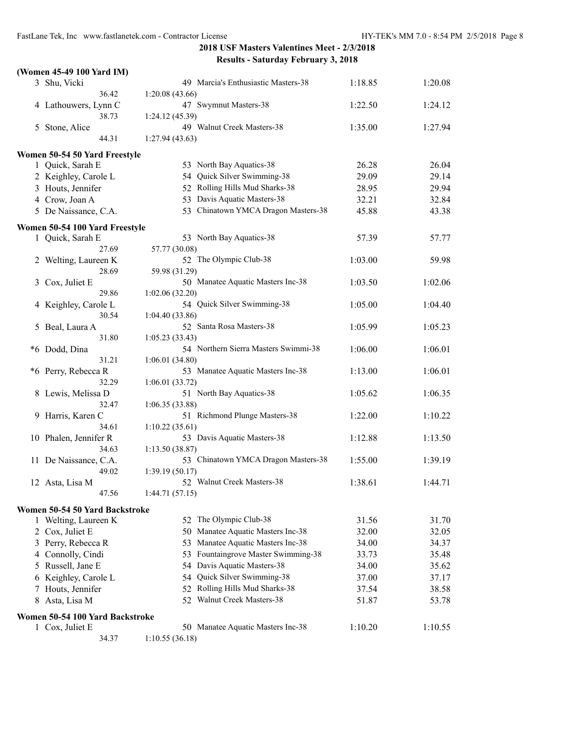|    | (Women 45-49 100 Yard IM)       |                                              |         |         |
|----|---------------------------------|----------------------------------------------|---------|---------|
|    | 3 Shu, Vicki                    | 49 Marcia's Enthusiastic Masters-38          | 1:18.85 | 1:20.08 |
|    | 36.42                           | 1:20.08(43.66)                               |         |         |
|    | 4 Lathouwers, Lynn C            | 47 Swymnut Masters-38                        | 1:22.50 | 1:24.12 |
|    | 38.73                           | 1:24.12 (45.39)                              |         |         |
| 5  | Stone, Alice                    | 49 Walnut Creek Masters-38                   | 1:35.00 | 1:27.94 |
|    | 44.31                           | 1:27.94(43.63)                               |         |         |
|    | Women 50-54 50 Yard Freestyle   |                                              |         |         |
|    | 1 Quick, Sarah E                | 53 North Bay Aquatics-38                     | 26.28   | 26.04   |
|    | 2 Keighley, Carole L            | 54 Quick Silver Swimming-38                  | 29.09   | 29.14   |
|    | 3 Houts, Jennifer               | 52 Rolling Hills Mud Sharks-38               | 28.95   | 29.94   |
|    | 4 Crow, Joan A                  | 53 Davis Aquatic Masters-38                  | 32.21   | 32.84   |
|    | 5 De Naissance, C.A.            | 53 Chinatown YMCA Dragon Masters-38          | 45.88   | 43.38   |
|    | Women 50-54 100 Yard Freestyle  |                                              |         |         |
|    | 1 Quick, Sarah E                | 53 North Bay Aquatics-38                     | 57.39   | 57.77   |
|    | 27.69                           | 57.77 (30.08)                                |         |         |
| 2  | Welting, Laureen K              | 52 The Olympic Club-38                       | 1:03.00 | 59.98   |
|    | 28.69                           | 59.98 (31.29)                                |         |         |
| 3  | Cox, Juliet E                   | 50 Manatee Aquatic Masters Inc-38            | 1:03.50 | 1:02.06 |
|    | 29.86                           | 1:02.06(32.20)                               |         |         |
| 4  | Keighley, Carole L              | 54 Quick Silver Swimming-38                  | 1:05.00 | 1:04.40 |
|    | 30.54                           | 1:04.40(33.86)                               |         |         |
| 5  | Beal, Laura A                   | 52 Santa Rosa Masters-38                     | 1:05.99 | 1:05.23 |
|    | 31.80                           | 1:05.23(33.43)                               |         |         |
|    | *6 Dodd, Dina                   | 54 Northern Sierra Masters Swimmi-38         | 1:06.00 | 1:06.01 |
|    | 31.21                           | 1:06.01(34.80)                               |         |         |
|    | *6 Perry, Rebecca R             | 53 Manatee Aquatic Masters Inc-38            | 1:13.00 | 1:06.01 |
|    | 32.29                           | 1:06.01(33.72)                               |         |         |
| 8  | Lewis, Melissa D                | 51 North Bay Aquatics-38                     | 1:05.62 | 1:06.35 |
|    | 32.47                           | 1:06.35(33.88)                               |         |         |
| 9  | Harris, Karen C                 | 51 Richmond Plunge Masters-38                | 1:22.00 | 1:10.22 |
|    | 34.61                           | 1:10.22(35.61)                               |         |         |
|    | 10 Phalen, Jennifer R           | 53 Davis Aquatic Masters-38                  | 1:12.88 | 1:13.50 |
|    | 34.63                           | 1:13.50(38.87)                               |         |         |
|    | 11 De Naissance, C.A.           | 53 Chinatown YMCA Dragon Masters-38          | 1:55.00 | 1:39.19 |
|    | 49.02                           | 1:39.19(50.17)<br>52 Walnut Creek Masters-38 | 1:38.61 |         |
|    | 12 Asta, Lisa M<br>47.56        |                                              |         | 1:44.71 |
|    |                                 | 1:44.71(57.15)                               |         |         |
|    | Women 50-54 50 Yard Backstroke  |                                              |         |         |
|    | 1 Welting, Laureen K            | 52 The Olympic Club-38                       | 31.56   | 31.70   |
|    | 2 Cox, Juliet E                 | 50 Manatee Aquatic Masters Inc-38            | 32.00   | 32.05   |
|    | 3 Perry, Rebecca R              | Manatee Aquatic Masters Inc-38<br>53         | 34.00   | 34.37   |
|    | 4 Connolly, Cindi               | 53 Fountaingrove Master Swimming-38          | 33.73   | 35.48   |
| 5. | Russell, Jane E                 | 54 Davis Aquatic Masters-38                  | 34.00   | 35.62   |
|    | 6 Keighley, Carole L            | 54 Quick Silver Swimming-38                  | 37.00   | 37.17   |
| 7  | Houts, Jennifer                 | 52 Rolling Hills Mud Sharks-38               | 37.54   | 38.58   |
| 8  | Asta, Lisa M                    | 52 Walnut Creek Masters-38                   | 51.87   | 53.78   |
|    | Women 50-54 100 Yard Backstroke |                                              |         |         |
|    | 1 Cox, Juliet E                 | 50 Manatee Aquatic Masters Inc-38            | 1:10.20 | 1:10.55 |
|    | 34.37                           | 1:10.55(36.18)                               |         |         |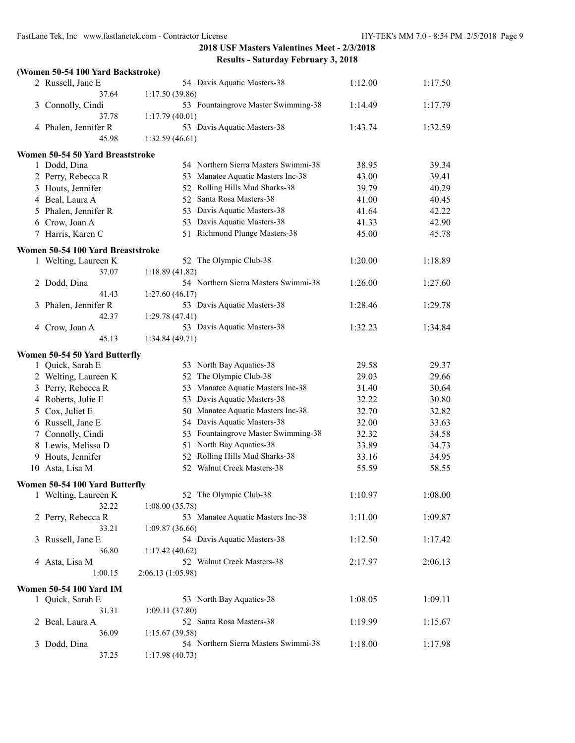#### **(Women 50-54 100 Yard Backstroke)**

|   | 2 Russell, Jane E                 | 54 Davis Aquatic Masters-38          | 1:12.00 | 1:17.50 |
|---|-----------------------------------|--------------------------------------|---------|---------|
|   | 37.64                             | 1:17.50(39.86)                       |         |         |
|   | 3 Connolly, Cindi                 | 53 Fountaingrove Master Swimming-38  | 1:14.49 | 1:17.79 |
|   | 37.78                             | 1:17.79(40.01)                       |         |         |
|   | 4 Phalen, Jennifer R              | 53 Davis Aquatic Masters-38          | 1:43.74 | 1:32.59 |
|   | 45.98                             | 1:32.59(46.61)                       |         |         |
|   | Women 50-54 50 Yard Breaststroke  |                                      |         |         |
|   | 1 Dodd, Dina                      | 54 Northern Sierra Masters Swimmi-38 | 38.95   | 39.34   |
|   | 2 Perry, Rebecca R                | 53 Manatee Aquatic Masters Inc-38    | 43.00   | 39.41   |
|   | 3 Houts, Jennifer                 | 52 Rolling Hills Mud Sharks-38       | 39.79   | 40.29   |
|   | 4 Beal, Laura A                   | 52 Santa Rosa Masters-38             | 41.00   | 40.45   |
|   | 5 Phalen, Jennifer R              | 53 Davis Aquatic Masters-38          | 41.64   | 42.22   |
|   | 6 Crow, Joan A                    | 53 Davis Aquatic Masters-38          | 41.33   | 42.90   |
|   | 7 Harris, Karen C                 | 51 Richmond Plunge Masters-38        | 45.00   | 45.78   |
|   | Women 50-54 100 Yard Breaststroke |                                      |         |         |
|   | 1 Welting, Laureen K              | 52 The Olympic Club-38               | 1:20.00 | 1:18.89 |
|   | 37.07                             | 1:18.89(41.82)                       |         |         |
|   | 2 Dodd, Dina                      | 54 Northern Sierra Masters Swimmi-38 | 1:26.00 | 1:27.60 |
|   | 41.43                             | 1:27.60(46.17)                       |         |         |
|   | 3 Phalen, Jennifer R              | 53 Davis Aquatic Masters-38          | 1:28.46 | 1:29.78 |
|   | 42.37                             | 1:29.78(47.41)                       |         |         |
|   | 4 Crow, Joan A                    | 53 Davis Aquatic Masters-38          | 1:32.23 | 1:34.84 |
|   | 45.13                             | 1:34.84(49.71)                       |         |         |
|   | Women 50-54 50 Yard Butterfly     |                                      |         |         |
|   | 1 Quick, Sarah E                  | 53 North Bay Aquatics-38             | 29.58   | 29.37   |
|   | 2 Welting, Laureen K              | 52 The Olympic Club-38               | 29.03   | 29.66   |
|   | 3 Perry, Rebecca R                | 53 Manatee Aquatic Masters Inc-38    | 31.40   | 30.64   |
|   | 4 Roberts, Julie E                | 53 Davis Aquatic Masters-38          | 32.22   | 30.80   |
|   | 5 Cox, Juliet E                   | 50 Manatee Aquatic Masters Inc-38    | 32.70   | 32.82   |
|   | 6 Russell, Jane E                 | 54 Davis Aquatic Masters-38          | 32.00   | 33.63   |
|   | 7 Connolly, Cindi                 | 53 Fountaingrove Master Swimming-38  | 32.32   | 34.58   |
|   | 8 Lewis, Melissa D                | 51 North Bay Aquatics-38             | 33.89   | 34.73   |
|   | 9 Houts, Jennifer                 | 52 Rolling Hills Mud Sharks-38       | 33.16   | 34.95   |
|   |                                   | 52 Walnut Creek Masters-38           |         |         |
|   | 10 Asta, Lisa M                   |                                      | 55.59   | 58.55   |
|   | Women 50-54 100 Yard Butterfly    |                                      |         |         |
|   | 1 Welting, Laureen K              | 52 The Olympic Club-38               | 1:10.97 | 1:08.00 |
|   | 32.22                             | 1:08.00(35.78)                       |         |         |
|   | 2 Perry, Rebecca R                | 53 Manatee Aquatic Masters Inc-38    | 1:11.00 | 1:09.87 |
|   | 33.21                             | 1:09.87(36.66)                       |         |         |
|   | 3 Russell, Jane E                 | 54 Davis Aquatic Masters-38          | 1:12.50 | 1:17.42 |
|   | 36.80                             | 1:17.42(40.62)                       |         |         |
|   | 4 Asta, Lisa M                    | 52 Walnut Creek Masters-38           | 2:17.97 | 2:06.13 |
|   | 1:00.15                           | 2:06.13(1:05.98)                     |         |         |
|   | <b>Women 50-54 100 Yard IM</b>    |                                      |         |         |
|   | 1 Quick, Sarah E                  | 53 North Bay Aquatics-38             | 1:08.05 | 1:09.11 |
|   | 31.31                             | 1:09.11(37.80)                       |         |         |
|   | 2 Beal, Laura A                   | 52 Santa Rosa Masters-38             | 1:19.99 | 1:15.67 |
|   | 36.09                             | 1:15.67(39.58)                       |         |         |
| 3 | Dodd, Dina                        | 54 Northern Sierra Masters Swimmi-38 | 1:18.00 | 1:17.98 |
|   | 37.25                             | 1:17.98 (40.73)                      |         |         |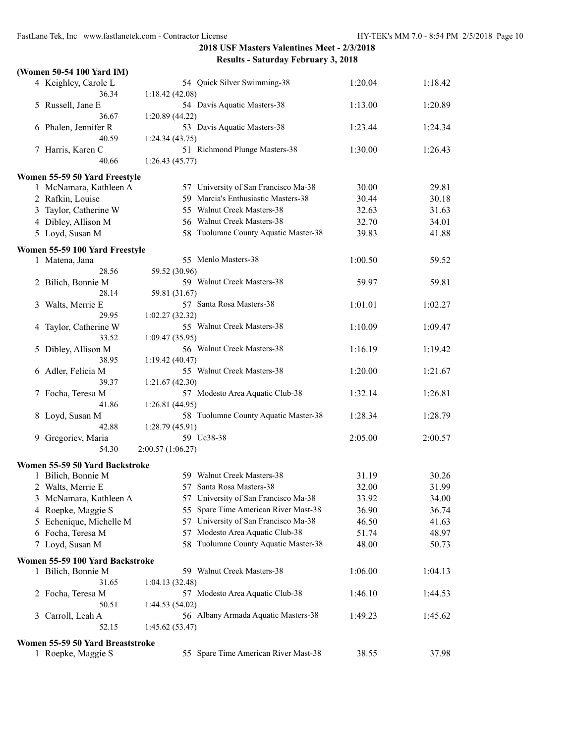|    | (Women 50-54 100 Yard IM)        |                                             |         |         |
|----|----------------------------------|---------------------------------------------|---------|---------|
|    | 4 Keighley, Carole L             | 54 Quick Silver Swimming-38                 | 1:20.04 | 1:18.42 |
|    | 36.34                            | 1:18.42(42.08)                              |         |         |
|    | 5 Russell, Jane E                | 54 Davis Aquatic Masters-38                 | 1:13.00 | 1:20.89 |
|    | 36.67                            | 1:20.89 (44.22)                             |         |         |
|    | 6 Phalen, Jennifer R             | 53 Davis Aquatic Masters-38                 | 1:23.44 | 1:24.34 |
|    | 40.59                            | 1:24.34(43.75)                              |         |         |
|    | 7 Harris, Karen C                | 51 Richmond Plunge Masters-38               | 1:30.00 | 1:26.43 |
|    | 40.66                            | 1:26.43(45.77)                              |         |         |
|    | Women 55-59 50 Yard Freestyle    |                                             |         |         |
|    | 1 McNamara, Kathleen A           | 57 University of San Francisco Ma-38        | 30.00   | 29.81   |
|    | 2 Rafkin, Louise                 | 59 Marcia's Enthusiastic Masters-38         | 30.44   | 30.18   |
|    | 3 Taylor, Catherine W            | 55 Walnut Creek Masters-38                  | 32.63   | 31.63   |
|    | 4 Dibley, Allison M              | 56 Walnut Creek Masters-38                  | 32.70   | 34.01   |
|    | 5 Loyd, Susan M                  | 58 Tuolumne County Aquatic Master-38        | 39.83   | 41.88   |
|    |                                  |                                             |         |         |
|    | Women 55-59 100 Yard Freestyle   | 55 Menlo Masters-38                         |         |         |
|    | 1 Matena, Jana<br>28.56          |                                             | 1:00.50 | 59.52   |
|    |                                  | 59.52 (30.96)<br>59 Walnut Creek Masters-38 |         |         |
| 2  | Bilich, Bonnie M<br>28.14        | 59.81 (31.67)                               | 59.97   | 59.81   |
| 3  | Walts, Merrie E                  | 57 Santa Rosa Masters-38                    | 1:01.01 | 1:02.27 |
|    | 29.95                            | 1:02.27(32.32)                              |         |         |
| 4  | Taylor, Catherine W              | 55 Walnut Creek Masters-38                  | 1:10.09 | 1:09.47 |
|    | 33.52                            | 1:09.47(35.95)                              |         |         |
| 5  | Dibley, Allison M                | 56 Walnut Creek Masters-38                  | 1:16.19 | 1:19.42 |
|    | 38.95                            | 1:19.42(40.47)                              |         |         |
|    | 6 Adler, Felicia M               | 55 Walnut Creek Masters-38                  | 1:20.00 | 1:21.67 |
|    | 39.37                            | 1:21.67(42.30)                              |         |         |
| 7. | Focha, Teresa M                  | 57 Modesto Area Aquatic Club-38             | 1:32.14 | 1:26.81 |
|    | 41.86                            | 1:26.81(44.95)                              |         |         |
|    | 8 Loyd, Susan M                  | 58 Tuolumne County Aquatic Master-38        | 1:28.34 | 1:28.79 |
|    | 42.88                            | 1:28.79(45.91)                              |         |         |
| 9  | Gregoriev, Maria                 | 59 Uc38-38                                  | 2:05.00 | 2:00.57 |
|    | 54.30                            | 2:00.57 (1:06.27)                           |         |         |
|    | Women 55-59 50 Yard Backstroke   |                                             |         |         |
|    | 1 Bilich, Bonnie M               | 59 Walnut Creek Masters-38                  | 31.19   | 30.26   |
|    | 2 Walts, Merrie E                | 57 Santa Rosa Masters-38                    | 32.00   | 31.99   |
| 3  | McNamara, Kathleen A             | 57 University of San Francisco Ma-38        | 33.92   | 34.00   |
| 4  | Roepke, Maggie S                 | 55 Spare Time American River Mast-38        | 36.90   | 36.74   |
| 5  | Echenique, Michelle M            | 57 University of San Francisco Ma-38        | 46.50   | 41.63   |
|    | 6 Focha, Teresa M                | 57 Modesto Area Aquatic Club-38             | 51.74   | 48.97   |
|    | 7 Loyd, Susan M                  | 58 Tuolumne County Aquatic Master-38        | 48.00   | 50.73   |
|    |                                  |                                             |         |         |
|    | Women 55-59 100 Yard Backstroke  |                                             |         |         |
|    | 1 Bilich, Bonnie M               | 59 Walnut Creek Masters-38                  | 1:06.00 | 1:04.13 |
|    | 31.65                            | 1:04.13(32.48)                              |         |         |
|    | 2 Focha, Teresa M                | 57 Modesto Area Aquatic Club-38             | 1:46.10 | 1:44.53 |
|    | 50.51                            | 1:44.53(54.02)                              |         |         |
| 3  | Carroll, Leah A                  | 56 Albany Armada Aquatic Masters-38         | 1:49.23 | 1:45.62 |
|    | 52.15                            | 1:45.62(53.47)                              |         |         |
|    | Women 55-59 50 Yard Breaststroke |                                             |         |         |
|    | 1 Roepke, Maggie S               | 55 Spare Time American River Mast-38        | 38.55   | 37.98   |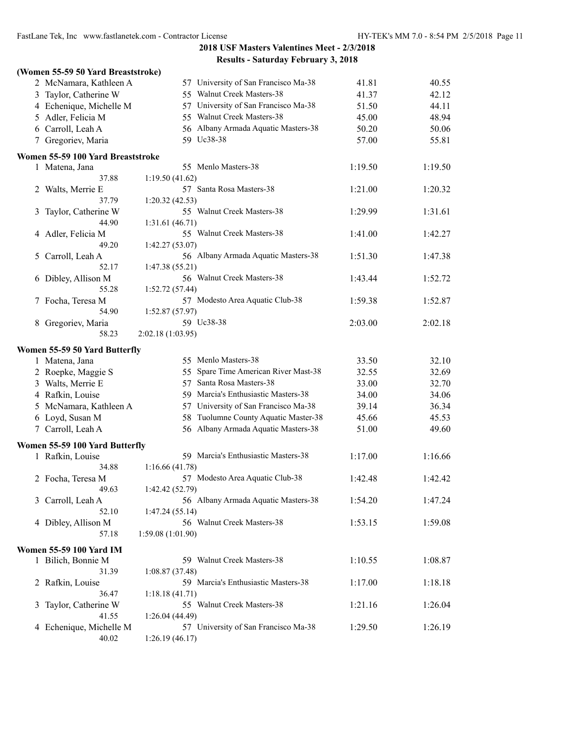|   | (Women 55-59 50 Yard Breaststroke) |                                      |         |         |
|---|------------------------------------|--------------------------------------|---------|---------|
|   | 2 McNamara, Kathleen A             | 57 University of San Francisco Ma-38 | 41.81   | 40.55   |
|   | 3 Taylor, Catherine W              | 55 Walnut Creek Masters-38           | 41.37   | 42.12   |
|   | 4 Echenique, Michelle M            | 57 University of San Francisco Ma-38 | 51.50   | 44.11   |
|   | 5 Adler, Felicia M                 | 55 Walnut Creek Masters-38           | 45.00   | 48.94   |
|   | 6 Carroll, Leah A                  | 56 Albany Armada Aquatic Masters-38  | 50.20   | 50.06   |
|   | 7 Gregoriev, Maria                 | 59 Uc38-38                           | 57.00   | 55.81   |
|   | Women 55-59 100 Yard Breaststroke  |                                      |         |         |
|   | 1 Matena, Jana                     | 55 Menlo Masters-38                  | 1:19.50 | 1:19.50 |
|   | 37.88                              | 1:19.50(41.62)                       |         |         |
|   | 2 Walts, Merrie E                  | 57 Santa Rosa Masters-38             | 1:21.00 | 1:20.32 |
|   | 37.79                              | 1:20.32(42.53)                       |         |         |
|   | 3 Taylor, Catherine W              | 55 Walnut Creek Masters-38           | 1:29.99 | 1:31.61 |
|   | 44.90                              | 1:31.61 (46.71)                      |         |         |
|   | 4 Adler, Felicia M                 | 55 Walnut Creek Masters-38           | 1:41.00 | 1:42.27 |
|   | 49.20                              | 1:42.27(53.07)                       |         |         |
| 5 | Carroll, Leah A                    | 56 Albany Armada Aquatic Masters-38  | 1:51.30 | 1:47.38 |
|   | 52.17                              | 1:47.38 (55.21)                      |         |         |
|   | 6 Dibley, Allison M                | 56 Walnut Creek Masters-38           | 1:43.44 | 1:52.72 |
|   | 55.28                              | 1:52.72(57.44)                       |         |         |
|   | 7 Focha, Teresa M                  | 57 Modesto Area Aquatic Club-38      | 1:59.38 | 1:52.87 |
|   | 54.90                              | 1:52.87(57.97)<br>59 Uc38-38         |         |         |
|   | 8 Gregoriev, Maria<br>58.23        |                                      | 2:03.00 | 2:02.18 |
|   |                                    | 2:02.18(1:03.95)                     |         |         |
|   | Women 55-59 50 Yard Butterfly      |                                      |         |         |
|   | 1 Matena, Jana                     | 55 Menlo Masters-38                  | 33.50   | 32.10   |
|   | 2 Roepke, Maggie S                 | 55 Spare Time American River Mast-38 | 32.55   | 32.69   |
|   | 3 Walts, Merrie E                  | 57 Santa Rosa Masters-38             | 33.00   | 32.70   |
|   | 4 Rafkin, Louise                   | 59 Marcia's Enthusiastic Masters-38  | 34.00   | 34.06   |
|   | 5 McNamara, Kathleen A             | 57 University of San Francisco Ma-38 | 39.14   | 36.34   |
|   | 6 Loyd, Susan M                    | 58 Tuolumne County Aquatic Master-38 | 45.66   | 45.53   |
|   | 7 Carroll, Leah A                  | 56 Albany Armada Aquatic Masters-38  | 51.00   | 49.60   |
|   | Women 55-59 100 Yard Butterfly     |                                      |         |         |
|   | 1 Rafkin, Louise                   | 59 Marcia's Enthusiastic Masters-38  | 1:17.00 | 1:16.66 |
|   | 34.88                              | 1:16.66(41.78)                       |         |         |
|   | 2 Focha, Teresa M                  | 57 Modesto Area Aquatic Club-38      | 1:42.48 | 1:42.42 |
|   | 49.63                              | 1:42.42 (52.79)                      |         |         |
|   | 3 Carroll, Leah A                  | 56 Albany Armada Aquatic Masters-38  | 1:54.20 | 1:47.24 |
|   | 52.10                              | 1:47.24(55.14)                       |         |         |
|   | 4 Dibley, Allison M                | 56 Walnut Creek Masters-38           | 1:53.15 | 1:59.08 |
|   | 57.18                              | 1:59.08 (1:01.90)                    |         |         |
|   | <b>Women 55-59 100 Yard IM</b>     |                                      |         |         |
|   | 1 Bilich, Bonnie M                 | 59 Walnut Creek Masters-38           | 1:10.55 | 1:08.87 |
|   | 31.39                              | 1:08.87(37.48)                       |         |         |
|   | 2 Rafkin, Louise                   | 59 Marcia's Enthusiastic Masters-38  | 1:17.00 | 1:18.18 |
|   | 36.47                              | 1:18.18(41.71)                       |         |         |
|   | 3 Taylor, Catherine W              | 55 Walnut Creek Masters-38           | 1:21.16 | 1:26.04 |
|   | 41.55                              | 1:26.04(44.49)                       |         |         |
|   | 4 Echenique, Michelle M            | 57 University of San Francisco Ma-38 | 1:29.50 | 1:26.19 |
|   | 40.02                              | 1:26.19(46.17)                       |         |         |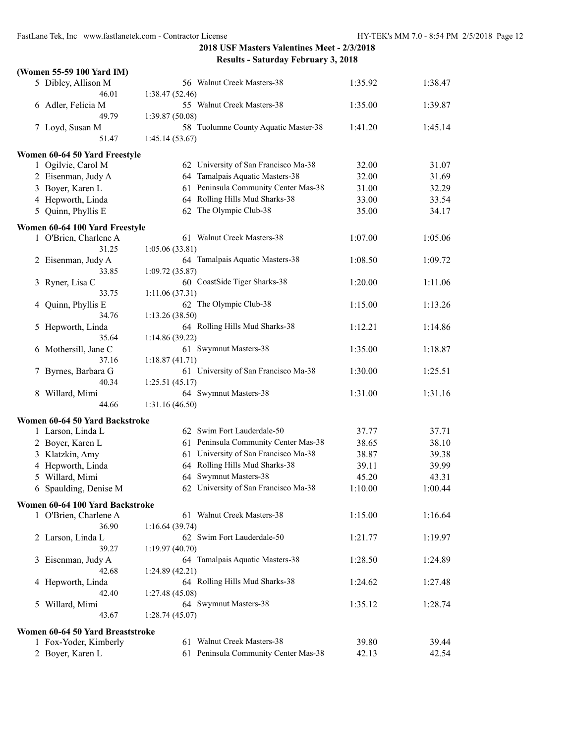|   | (Women 55-59 100 Yard IM)        |                                      |         |         |
|---|----------------------------------|--------------------------------------|---------|---------|
|   | 5 Dibley, Allison M              | 56 Walnut Creek Masters-38           | 1:35.92 | 1:38.47 |
|   | 46.01                            | 1:38.47(52.46)                       |         |         |
|   | 6 Adler, Felicia M               | 55 Walnut Creek Masters-38           | 1:35.00 | 1:39.87 |
|   | 49.79                            | 1:39.87(50.08)                       |         |         |
|   | 7 Loyd, Susan M                  | 58 Tuolumne County Aquatic Master-38 | 1:41.20 | 1:45.14 |
|   | 51.47                            | 1:45.14(53.67)                       |         |         |
|   | Women 60-64 50 Yard Freestyle    |                                      |         |         |
|   | 1 Ogilvie, Carol M               | 62 University of San Francisco Ma-38 | 32.00   | 31.07   |
|   | 2 Eisenman, Judy A               | 64 Tamalpais Aquatic Masters-38      | 32.00   | 31.69   |
|   | 3 Boyer, Karen L                 | 61 Peninsula Community Center Mas-38 | 31.00   | 32.29   |
|   | 4 Hepworth, Linda                | 64 Rolling Hills Mud Sharks-38       | 33.00   | 33.54   |
|   | 5 Quinn, Phyllis E               | 62 The Olympic Club-38               | 35.00   | 34.17   |
|   | Women 60-64 100 Yard Freestyle   |                                      |         |         |
|   | 1 O'Brien, Charlene A            | 61 Walnut Creek Masters-38           | 1:07.00 | 1:05.06 |
|   | 31.25                            | 1:05.06 (33.81)                      |         |         |
|   | 2 Eisenman, Judy A               | 64 Tamalpais Aquatic Masters-38      | 1:08.50 | 1:09.72 |
|   | 33.85                            | 1:09.72(35.87)                       |         |         |
|   | 3 Ryner, Lisa C                  | 60 CoastSide Tiger Sharks-38         | 1:20.00 | 1:11.06 |
|   | 33.75                            | 1:11.06(37.31)                       |         |         |
| 4 | Quinn, Phyllis E                 | 62 The Olympic Club-38               | 1:15.00 | 1:13.26 |
|   | 34.76                            | 1:13.26(38.50)                       |         |         |
| 5 | Hepworth, Linda                  | 64 Rolling Hills Mud Sharks-38       | 1:12.21 | 1:14.86 |
|   | 35.64                            | 1:14.86(39.22)                       |         |         |
| 6 | Mothersill, Jane C               | 61 Swymnut Masters-38                | 1:35.00 | 1:18.87 |
|   | 37.16                            | 1:18.87(41.71)                       |         |         |
|   | 7 Byrnes, Barbara G              | 61 University of San Francisco Ma-38 | 1:30.00 | 1:25.51 |
|   | 40.34                            | 1:25.51(45.17)                       |         |         |
|   | 8 Willard, Mimi                  | 64 Swymnut Masters-38                | 1:31.00 | 1:31.16 |
|   | 44.66                            | 1:31.16(46.50)                       |         |         |
|   | Women 60-64 50 Yard Backstroke   |                                      |         |         |
|   | 1 Larson, Linda L                | 62 Swim Fort Lauderdale-50           | 37.77   | 37.71   |
|   | 2 Boyer, Karen L                 | 61 Peninsula Community Center Mas-38 | 38.65   | 38.10   |
|   | 3 Klatzkin, Amy                  | 61 University of San Francisco Ma-38 | 38.87   | 39.38   |
|   | 4 Hepworth, Linda                | 64 Rolling Hills Mud Sharks-38       | 39.11   | 39.99   |
|   | 5 Willard, Mimi                  | 64 Swymnut Masters-38                | 45.20   | 43.31   |
|   | 6 Spaulding, Denise M            | 62 University of San Francisco Ma-38 | 1:10.00 | 1:00.44 |
|   | Women 60-64 100 Yard Backstroke  |                                      |         |         |
|   | 1 O'Brien, Charlene A            | 61 Walnut Creek Masters-38           | 1:15.00 | 1:16.64 |
|   | 36.90                            | 1:16.64(39.74)                       |         |         |
|   | 2 Larson, Linda L                | 62 Swim Fort Lauderdale-50           | 1:21.77 | 1:19.97 |
|   | 39.27                            | 1:19.97 (40.70)                      |         |         |
|   | 3 Eisenman, Judy A               | 64 Tamalpais Aquatic Masters-38      | 1:28.50 | 1:24.89 |
|   | 42.68                            | 1:24.89(42.21)                       |         |         |
|   | 4 Hepworth, Linda                | 64 Rolling Hills Mud Sharks-38       | 1:24.62 | 1:27.48 |
|   | 42.40                            | 1:27.48(45.08)                       |         |         |
|   | 5 Willard, Mimi                  | 64 Swymnut Masters-38                | 1:35.12 | 1:28.74 |
|   | 43.67                            | 1:28.74(45.07)                       |         |         |
|   | Women 60-64 50 Yard Breaststroke |                                      |         |         |
|   | 1 Fox-Yoder, Kimberly            | 61 Walnut Creek Masters-38           | 39.80   | 39.44   |
|   | 2 Boyer, Karen L                 | 61 Peninsula Community Center Mas-38 | 42.13   | 42.54   |
|   |                                  |                                      |         |         |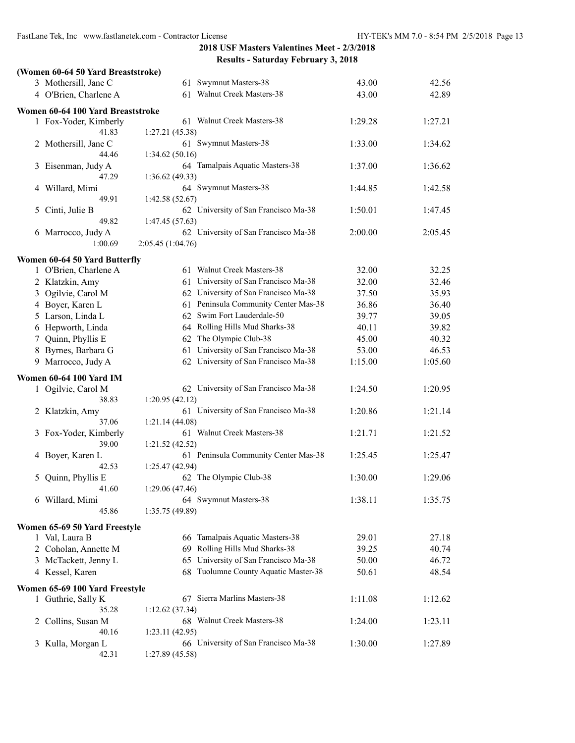| (Women 60-64 50 Yard Breaststroke)                   |                                         |         |         |
|------------------------------------------------------|-----------------------------------------|---------|---------|
| 3 Mothersill, Jane C                                 | 61 Swymnut Masters-38                   | 43.00   | 42.56   |
| 4 O'Brien, Charlene A                                | 61 Walnut Creek Masters-38              | 43.00   | 42.89   |
|                                                      |                                         |         |         |
| Women 60-64 100 Yard Breaststroke                    |                                         |         |         |
| 1 Fox-Yoder, Kimberly                                | 61 Walnut Creek Masters-38              | 1:29.28 | 1:27.21 |
| 41.83                                                | 1:27.21 (45.38)                         |         |         |
| 2 Mothersill, Jane C<br>44.46                        | 61 Swymnut Masters-38<br>1:34.62(50.16) | 1:33.00 | 1:34.62 |
| Eisenman, Judy A<br>3                                | 64 Tamalpais Aquatic Masters-38         | 1:37.00 | 1:36.62 |
| 47.29                                                | 1:36.62(49.33)                          |         |         |
| Willard, Mimi<br>4                                   | 64 Swymnut Masters-38                   | 1:44.85 | 1:42.58 |
| 49.91                                                | 1:42.58(52.67)                          |         |         |
| Cinti, Julie B<br>5                                  | 62 University of San Francisco Ma-38    | 1:50.01 | 1:47.45 |
| 49.82                                                | 1:47.45 (57.63)                         |         |         |
| 6 Marrocco, Judy A                                   | 62 University of San Francisco Ma-38    | 2:00.00 | 2:05.45 |
| 1:00.69                                              | 2:05.45 (1:04.76)                       |         |         |
| Women 60-64 50 Yard Butterfly                        |                                         |         |         |
| 1 O'Brien, Charlene A                                | 61 Walnut Creek Masters-38              | 32.00   | 32.25   |
| 2 Klatzkin, Amy                                      | 61 University of San Francisco Ma-38    | 32.00   | 32.46   |
| 3 Ogilvie, Carol M                                   | 62 University of San Francisco Ma-38    | 37.50   | 35.93   |
| 4 Boyer, Karen L                                     | 61 Peninsula Community Center Mas-38    | 36.86   | 36.40   |
| 5 Larson, Linda L                                    | 62 Swim Fort Lauderdale-50              | 39.77   | 39.05   |
| 6 Hepworth, Linda                                    | 64 Rolling Hills Mud Sharks-38          | 40.11   | 39.82   |
| Quinn, Phyllis E<br>7                                | 62 The Olympic Club-38                  | 45.00   | 40.32   |
| 8 Byrnes, Barbara G                                  | 61 University of San Francisco Ma-38    | 53.00   | 46.53   |
| 9 Marrocco, Judy A                                   | 62 University of San Francisco Ma-38    | 1:15.00 | 1:05.60 |
|                                                      |                                         |         |         |
| <b>Women 60-64 100 Yard IM</b><br>1 Ogilvie, Carol M | 62 University of San Francisco Ma-38    | 1:24.50 | 1:20.95 |
| 38.83                                                | 1:20.95(42.12)                          |         |         |
| 2 Klatzkin, Amy                                      | 61 University of San Francisco Ma-38    | 1:20.86 | 1:21.14 |
| 37.06                                                | 1:21.14(44.08)                          |         |         |
| 3 Fox-Yoder, Kimberly                                | 61 Walnut Creek Masters-38              | 1:21.71 | 1:21.52 |
| 39.00                                                | 1:21.52(42.52)                          |         |         |
| Boyer, Karen L<br>4                                  | 61 Peninsula Community Center Mas-38    | 1:25.45 | 1:25.47 |
| 42.53                                                | 1:25.47 (42.94)                         |         |         |
| 5 Quinn, Phyllis E                                   | 62 The Olympic Club-38                  | 1:30.00 | 1:29.06 |
| 41.60                                                | 1:29.06 (47.46)                         |         |         |
| 6 Willard, Mimi                                      | 64 Swymnut Masters-38                   | 1:38.11 | 1:35.75 |
| 45.86                                                | 1:35.75 (49.89)                         |         |         |
| Women 65-69 50 Yard Freestyle                        |                                         |         |         |
| 1 Val, Laura B                                       | 66 Tamalpais Aquatic Masters-38         | 29.01   | 27.18   |
| 2 Coholan, Annette M                                 | 69 Rolling Hills Mud Sharks-38          | 39.25   | 40.74   |
| 3 McTackett, Jenny L                                 | 65 University of San Francisco Ma-38    | 50.00   | 46.72   |
| 4 Kessel, Karen                                      | 68 Tuolumne County Aquatic Master-38    | 50.61   | 48.54   |
| Women 65-69 100 Yard Freestyle                       |                                         |         |         |
| 1 Guthrie, Sally K                                   | 67 Sierra Marlins Masters-38            | 1:11.08 | 1:12.62 |
| 35.28                                                | 1:12.62(37.34)                          |         |         |
| Collins, Susan M<br>2                                | 68 Walnut Creek Masters-38              | 1:24.00 | 1:23.11 |
| 40.16                                                | 1:23.11(42.95)                          |         |         |
| Kulla, Morgan L<br>3                                 | 66 University of San Francisco Ma-38    | 1:30.00 | 1:27.89 |
| 42.31                                                | 1:27.89 (45.58)                         |         |         |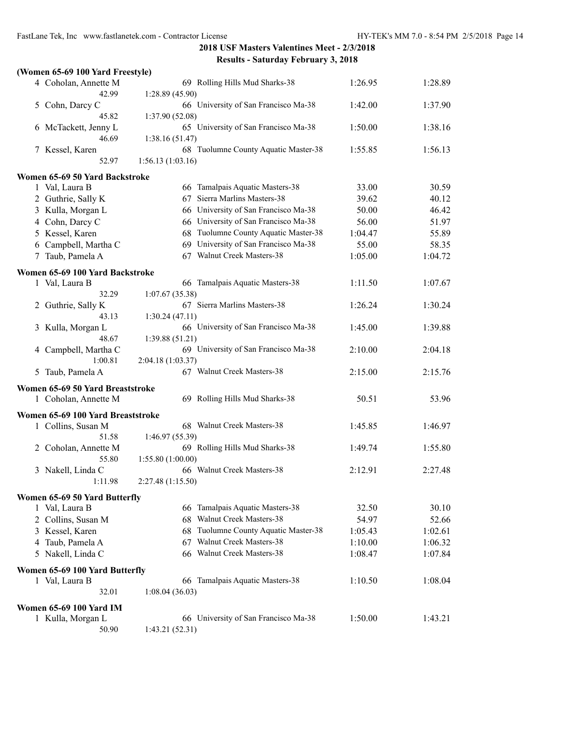| (Women 65-69 100 Yard Freestyle)                 |                                                                  |         |                    |
|--------------------------------------------------|------------------------------------------------------------------|---------|--------------------|
| 4 Coholan, Annette M<br>42.99                    | 69 Rolling Hills Mud Sharks-38<br>1:28.89 (45.90)                | 1:26.95 | 1:28.89            |
| 5 Cohn, Darcy C<br>45.82                         | 66 University of San Francisco Ma-38<br>1:37.90 (52.08)          | 1:42.00 | 1:37.90            |
| 6 McTackett, Jenny L<br>46.69                    | 65 University of San Francisco Ma-38<br>1:38.16(51.47)           | 1:50.00 | 1:38.16            |
| 7 Kessel, Karen<br>52.97                         | 68 Tuolumne County Aquatic Master-38<br>1:56.13(1:03.16)         | 1:55.85 | 1:56.13            |
| Women 65-69 50 Yard Backstroke                   |                                                                  |         |                    |
| 1 Val, Laura B                                   | 66 Tamalpais Aquatic Masters-38                                  | 33.00   | 30.59              |
| 2 Guthrie, Sally K                               | 67 Sierra Marlins Masters-38                                     | 39.62   | 40.12              |
| 3 Kulla, Morgan L                                | 66 University of San Francisco Ma-38                             | 50.00   | 46.42              |
| 4 Cohn, Darcy C                                  | 66 University of San Francisco Ma-38                             | 56.00   | 51.97              |
| 5 Kessel, Karen                                  | 68 Tuolumne County Aquatic Master-38                             | 1:04.47 | 55.89              |
| 6 Campbell, Martha C                             | 69 University of San Francisco Ma-38                             | 55.00   | 58.35              |
| 7 Taub, Pamela A                                 | 67 Walnut Creek Masters-38                                       | 1:05.00 | 1:04.72            |
| Women 65-69 100 Yard Backstroke                  |                                                                  |         |                    |
| 1 Val, Laura B                                   | 66 Tamalpais Aquatic Masters-38                                  | 1:11.50 | 1:07.67            |
| 32.29<br>2 Guthrie, Sally K                      | 1:07.67(35.38)<br>67 Sierra Marlins Masters-38                   | 1:26.24 | 1:30.24            |
| 43.13                                            | 1:30.24(47.11)                                                   |         |                    |
| 3 Kulla, Morgan L<br>48.67                       | 66 University of San Francisco Ma-38<br>1:39.88(51.21)           | 1:45.00 | 1:39.88            |
| 4 Campbell, Martha C<br>1:00.81                  | 69 University of San Francisco Ma-38<br>2:04.18 (1:03.37)        | 2:10.00 | 2:04.18            |
| 5 Taub, Pamela A                                 | 67 Walnut Creek Masters-38                                       | 2:15.00 | 2:15.76            |
| Women 65-69 50 Yard Breaststroke                 |                                                                  |         |                    |
| 1 Coholan, Annette M                             | 69 Rolling Hills Mud Sharks-38                                   | 50.51   | 53.96              |
| Women 65-69 100 Yard Breaststroke                |                                                                  |         |                    |
| 1 Collins, Susan M                               | 68 Walnut Creek Masters-38                                       | 1:45.85 | 1:46.97            |
| 51.58                                            | 1:46.97 (55.39)                                                  |         |                    |
| 2 Coholan, Annette M                             | 69 Rolling Hills Mud Sharks-38                                   | 1:49.74 | 1:55.80            |
| 55.80                                            | 1:55.80 (1:00.00)                                                |         |                    |
| 3 Nakell, Linda C<br>1:11.98                     | 66 Walnut Creek Masters-38<br>2:27.48 (1:15.50)                  | 2:12.91 | 2:27.48            |
|                                                  |                                                                  |         |                    |
| Women 65-69 50 Yard Butterfly                    |                                                                  |         |                    |
| 1 Val, Laura B                                   | 66 Tamalpais Aquatic Masters-38<br>Walnut Creek Masters-38<br>68 | 32.50   | 30.10              |
| 2 Collins, Susan M                               | Tuolumne County Aquatic Master-38                                | 54.97   | 52.66              |
| 3 Kessel, Karen                                  | 68<br>Walnut Creek Masters-38                                    | 1:05.43 | 1:02.61            |
| 4 Taub, Pamela A                                 | 67<br>66 Walnut Creek Masters-38                                 | 1:10.00 | 1:06.32<br>1:07.84 |
| 5 Nakell, Linda C                                |                                                                  | 1:08.47 |                    |
| Women 65-69 100 Yard Butterfly<br>1 Val, Laura B | 66 Tamalpais Aquatic Masters-38                                  | 1:10.50 | 1:08.04            |
| 32.01                                            | 1:08.04(36.03)                                                   |         |                    |
| <b>Women 65-69 100 Yard IM</b>                   |                                                                  |         |                    |
| 1 Kulla, Morgan L                                | 66 University of San Francisco Ma-38                             | 1:50.00 | 1:43.21            |
| 50.90                                            | 1:43.21 (52.31)                                                  |         |                    |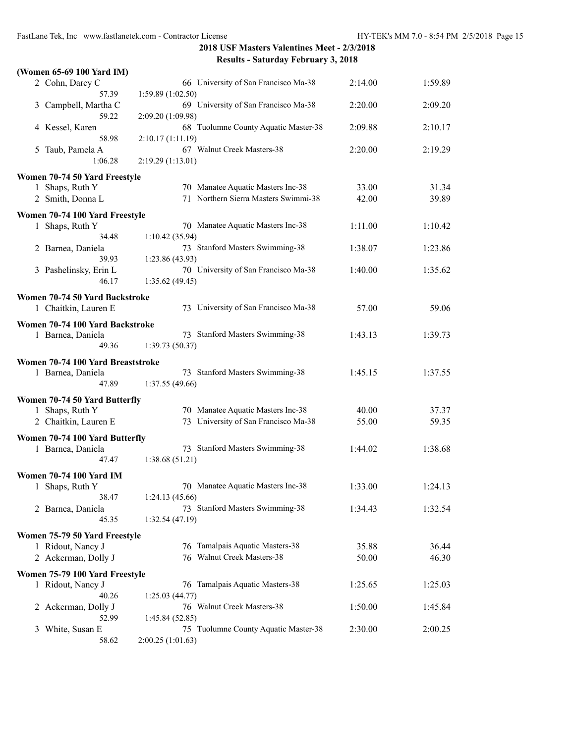| 2 Cohn, Darcy C<br>66 University of San Francisco Ma-38<br>2:14.00<br>57.39<br>1:59.89(1:02.50)<br>69 University of San Francisco Ma-38<br>Campbell, Martha C<br>2:20.00<br>3<br>59.22<br>2:09.20 (1:09.98)<br>68 Tuolumne County Aquatic Master-38<br>4 Kessel, Karen<br>2:09.88<br>58.98<br>2:10.17 (1:11.19)<br>67 Walnut Creek Masters-38<br>Taub, Pamela A<br>2:20.00<br>2:19.29<br>5<br>1:06.28<br>2:19.29 (1:13.01)<br>Women 70-74 50 Yard Freestyle<br>70 Manatee Aquatic Masters Inc-38<br>1 Shaps, Ruth Y<br>33.00<br>71 Northern Sierra Masters Swimmi-38<br>42.00<br>2 Smith, Donna L<br>Women 70-74 100 Yard Freestyle<br>1 Shaps, Ruth Y<br>70 Manatee Aquatic Masters Inc-38<br>1:11.00<br>1:10.42<br>1:10.42(35.94)<br>34.48<br>73 Stanford Masters Swimming-38<br>1:38.07<br>2 Barnea, Daniela<br>39.93<br>1:23.86 (43.93)<br>70 University of San Francisco Ma-38<br>1:40.00<br>3 Pashelinsky, Erin L<br>46.17<br>1:35.62(49.45)<br>Women 70-74 50 Yard Backstroke<br>73 University of San Francisco Ma-38<br>1 Chaitkin, Lauren E<br>57.00<br>Women 70-74 100 Yard Backstroke<br>73 Stanford Masters Swimming-38<br>1 Barnea, Daniela<br>1:39.73<br>1:43.13<br>49.36<br>1:39.73(50.37)<br>Women 70-74 100 Yard Breaststroke<br>73 Stanford Masters Swimming-38<br>1 Barnea, Daniela<br>1:45.15<br>1:37.55<br>47.89<br>1:37.55 (49.66)<br>Women 70-74 50 Yard Butterfly<br>70 Manatee Aquatic Masters Inc-38<br>40.00<br>1 Shaps, Ruth Y<br>37.37<br>73 University of San Francisco Ma-38<br>55.00<br>2 Chaitkin, Lauren E<br>59.35<br>Women 70-74 100 Yard Butterfly<br>73 Stanford Masters Swimming-38<br>1:38.68<br>1 Barnea, Daniela<br>1:44.02<br>1:38.68(51.21)<br>47.47<br><b>Women 70-74 100 Yard IM</b><br>70 Manatee Aquatic Masters Inc-38<br>1:33.00<br>1:24.13<br>1 Shaps, Ruth Y<br>38.47<br>1:24.13(45.66)<br>73 Stanford Masters Swimming-38<br>2 Barnea, Daniela<br>1:34.43<br>1:32.54<br>45.35<br>1:32.54(47.19)<br>Women 75-79 50 Yard Freestyle<br>76 Tamalpais Aquatic Masters-38<br>1 Ridout, Nancy J<br>35.88<br>36.44<br>76 Walnut Creek Masters-38<br>2 Ackerman, Dolly J<br>50.00<br>46.30<br>Women 75-79 100 Yard Freestyle<br>76 Tamalpais Aquatic Masters-38<br>1 Ridout, Nancy J<br>1:25.65<br>1:25.03<br>40.26<br>1:25.03(44.77)<br>76 Walnut Creek Masters-38<br>Ackerman, Dolly J<br>1:50.00<br>1:45.84<br>2<br>52.99<br>1:45.84(52.85)<br>75 Tuolumne County Aquatic Master-38<br>White, Susan E<br>2:30.00<br>2:00.25<br>3 | (Women 65-69 100 Yard IM) |                   |         |
|---------------------------------------------------------------------------------------------------------------------------------------------------------------------------------------------------------------------------------------------------------------------------------------------------------------------------------------------------------------------------------------------------------------------------------------------------------------------------------------------------------------------------------------------------------------------------------------------------------------------------------------------------------------------------------------------------------------------------------------------------------------------------------------------------------------------------------------------------------------------------------------------------------------------------------------------------------------------------------------------------------------------------------------------------------------------------------------------------------------------------------------------------------------------------------------------------------------------------------------------------------------------------------------------------------------------------------------------------------------------------------------------------------------------------------------------------------------------------------------------------------------------------------------------------------------------------------------------------------------------------------------------------------------------------------------------------------------------------------------------------------------------------------------------------------------------------------------------------------------------------------------------------------------------------------------------------------------------------------------------------------------------------------------------------------------------------------------------------------------------------------------------------------------------------------------------------------------------------------------------------------------------------------------------------------------------------------------------------------------------------------------------------------------------------------------------------------------------------------|---------------------------|-------------------|---------|
|                                                                                                                                                                                                                                                                                                                                                                                                                                                                                                                                                                                                                                                                                                                                                                                                                                                                                                                                                                                                                                                                                                                                                                                                                                                                                                                                                                                                                                                                                                                                                                                                                                                                                                                                                                                                                                                                                                                                                                                                                                                                                                                                                                                                                                                                                                                                                                                                                                                                                 |                           |                   | 1:59.89 |
|                                                                                                                                                                                                                                                                                                                                                                                                                                                                                                                                                                                                                                                                                                                                                                                                                                                                                                                                                                                                                                                                                                                                                                                                                                                                                                                                                                                                                                                                                                                                                                                                                                                                                                                                                                                                                                                                                                                                                                                                                                                                                                                                                                                                                                                                                                                                                                                                                                                                                 |                           |                   | 2:09.20 |
|                                                                                                                                                                                                                                                                                                                                                                                                                                                                                                                                                                                                                                                                                                                                                                                                                                                                                                                                                                                                                                                                                                                                                                                                                                                                                                                                                                                                                                                                                                                                                                                                                                                                                                                                                                                                                                                                                                                                                                                                                                                                                                                                                                                                                                                                                                                                                                                                                                                                                 |                           |                   | 2:10.17 |
|                                                                                                                                                                                                                                                                                                                                                                                                                                                                                                                                                                                                                                                                                                                                                                                                                                                                                                                                                                                                                                                                                                                                                                                                                                                                                                                                                                                                                                                                                                                                                                                                                                                                                                                                                                                                                                                                                                                                                                                                                                                                                                                                                                                                                                                                                                                                                                                                                                                                                 |                           |                   |         |
|                                                                                                                                                                                                                                                                                                                                                                                                                                                                                                                                                                                                                                                                                                                                                                                                                                                                                                                                                                                                                                                                                                                                                                                                                                                                                                                                                                                                                                                                                                                                                                                                                                                                                                                                                                                                                                                                                                                                                                                                                                                                                                                                                                                                                                                                                                                                                                                                                                                                                 |                           |                   |         |
|                                                                                                                                                                                                                                                                                                                                                                                                                                                                                                                                                                                                                                                                                                                                                                                                                                                                                                                                                                                                                                                                                                                                                                                                                                                                                                                                                                                                                                                                                                                                                                                                                                                                                                                                                                                                                                                                                                                                                                                                                                                                                                                                                                                                                                                                                                                                                                                                                                                                                 |                           |                   |         |
|                                                                                                                                                                                                                                                                                                                                                                                                                                                                                                                                                                                                                                                                                                                                                                                                                                                                                                                                                                                                                                                                                                                                                                                                                                                                                                                                                                                                                                                                                                                                                                                                                                                                                                                                                                                                                                                                                                                                                                                                                                                                                                                                                                                                                                                                                                                                                                                                                                                                                 |                           |                   | 31.34   |
|                                                                                                                                                                                                                                                                                                                                                                                                                                                                                                                                                                                                                                                                                                                                                                                                                                                                                                                                                                                                                                                                                                                                                                                                                                                                                                                                                                                                                                                                                                                                                                                                                                                                                                                                                                                                                                                                                                                                                                                                                                                                                                                                                                                                                                                                                                                                                                                                                                                                                 |                           |                   | 39.89   |
|                                                                                                                                                                                                                                                                                                                                                                                                                                                                                                                                                                                                                                                                                                                                                                                                                                                                                                                                                                                                                                                                                                                                                                                                                                                                                                                                                                                                                                                                                                                                                                                                                                                                                                                                                                                                                                                                                                                                                                                                                                                                                                                                                                                                                                                                                                                                                                                                                                                                                 |                           |                   |         |
|                                                                                                                                                                                                                                                                                                                                                                                                                                                                                                                                                                                                                                                                                                                                                                                                                                                                                                                                                                                                                                                                                                                                                                                                                                                                                                                                                                                                                                                                                                                                                                                                                                                                                                                                                                                                                                                                                                                                                                                                                                                                                                                                                                                                                                                                                                                                                                                                                                                                                 |                           |                   |         |
|                                                                                                                                                                                                                                                                                                                                                                                                                                                                                                                                                                                                                                                                                                                                                                                                                                                                                                                                                                                                                                                                                                                                                                                                                                                                                                                                                                                                                                                                                                                                                                                                                                                                                                                                                                                                                                                                                                                                                                                                                                                                                                                                                                                                                                                                                                                                                                                                                                                                                 |                           |                   |         |
|                                                                                                                                                                                                                                                                                                                                                                                                                                                                                                                                                                                                                                                                                                                                                                                                                                                                                                                                                                                                                                                                                                                                                                                                                                                                                                                                                                                                                                                                                                                                                                                                                                                                                                                                                                                                                                                                                                                                                                                                                                                                                                                                                                                                                                                                                                                                                                                                                                                                                 |                           |                   | 1:23.86 |
|                                                                                                                                                                                                                                                                                                                                                                                                                                                                                                                                                                                                                                                                                                                                                                                                                                                                                                                                                                                                                                                                                                                                                                                                                                                                                                                                                                                                                                                                                                                                                                                                                                                                                                                                                                                                                                                                                                                                                                                                                                                                                                                                                                                                                                                                                                                                                                                                                                                                                 |                           |                   |         |
|                                                                                                                                                                                                                                                                                                                                                                                                                                                                                                                                                                                                                                                                                                                                                                                                                                                                                                                                                                                                                                                                                                                                                                                                                                                                                                                                                                                                                                                                                                                                                                                                                                                                                                                                                                                                                                                                                                                                                                                                                                                                                                                                                                                                                                                                                                                                                                                                                                                                                 |                           |                   | 1:35.62 |
|                                                                                                                                                                                                                                                                                                                                                                                                                                                                                                                                                                                                                                                                                                                                                                                                                                                                                                                                                                                                                                                                                                                                                                                                                                                                                                                                                                                                                                                                                                                                                                                                                                                                                                                                                                                                                                                                                                                                                                                                                                                                                                                                                                                                                                                                                                                                                                                                                                                                                 |                           |                   |         |
|                                                                                                                                                                                                                                                                                                                                                                                                                                                                                                                                                                                                                                                                                                                                                                                                                                                                                                                                                                                                                                                                                                                                                                                                                                                                                                                                                                                                                                                                                                                                                                                                                                                                                                                                                                                                                                                                                                                                                                                                                                                                                                                                                                                                                                                                                                                                                                                                                                                                                 |                           |                   |         |
|                                                                                                                                                                                                                                                                                                                                                                                                                                                                                                                                                                                                                                                                                                                                                                                                                                                                                                                                                                                                                                                                                                                                                                                                                                                                                                                                                                                                                                                                                                                                                                                                                                                                                                                                                                                                                                                                                                                                                                                                                                                                                                                                                                                                                                                                                                                                                                                                                                                                                 |                           |                   | 59.06   |
|                                                                                                                                                                                                                                                                                                                                                                                                                                                                                                                                                                                                                                                                                                                                                                                                                                                                                                                                                                                                                                                                                                                                                                                                                                                                                                                                                                                                                                                                                                                                                                                                                                                                                                                                                                                                                                                                                                                                                                                                                                                                                                                                                                                                                                                                                                                                                                                                                                                                                 |                           |                   |         |
|                                                                                                                                                                                                                                                                                                                                                                                                                                                                                                                                                                                                                                                                                                                                                                                                                                                                                                                                                                                                                                                                                                                                                                                                                                                                                                                                                                                                                                                                                                                                                                                                                                                                                                                                                                                                                                                                                                                                                                                                                                                                                                                                                                                                                                                                                                                                                                                                                                                                                 |                           |                   |         |
|                                                                                                                                                                                                                                                                                                                                                                                                                                                                                                                                                                                                                                                                                                                                                                                                                                                                                                                                                                                                                                                                                                                                                                                                                                                                                                                                                                                                                                                                                                                                                                                                                                                                                                                                                                                                                                                                                                                                                                                                                                                                                                                                                                                                                                                                                                                                                                                                                                                                                 |                           |                   |         |
|                                                                                                                                                                                                                                                                                                                                                                                                                                                                                                                                                                                                                                                                                                                                                                                                                                                                                                                                                                                                                                                                                                                                                                                                                                                                                                                                                                                                                                                                                                                                                                                                                                                                                                                                                                                                                                                                                                                                                                                                                                                                                                                                                                                                                                                                                                                                                                                                                                                                                 |                           |                   |         |
|                                                                                                                                                                                                                                                                                                                                                                                                                                                                                                                                                                                                                                                                                                                                                                                                                                                                                                                                                                                                                                                                                                                                                                                                                                                                                                                                                                                                                                                                                                                                                                                                                                                                                                                                                                                                                                                                                                                                                                                                                                                                                                                                                                                                                                                                                                                                                                                                                                                                                 |                           |                   |         |
|                                                                                                                                                                                                                                                                                                                                                                                                                                                                                                                                                                                                                                                                                                                                                                                                                                                                                                                                                                                                                                                                                                                                                                                                                                                                                                                                                                                                                                                                                                                                                                                                                                                                                                                                                                                                                                                                                                                                                                                                                                                                                                                                                                                                                                                                                                                                                                                                                                                                                 |                           |                   |         |
|                                                                                                                                                                                                                                                                                                                                                                                                                                                                                                                                                                                                                                                                                                                                                                                                                                                                                                                                                                                                                                                                                                                                                                                                                                                                                                                                                                                                                                                                                                                                                                                                                                                                                                                                                                                                                                                                                                                                                                                                                                                                                                                                                                                                                                                                                                                                                                                                                                                                                 |                           |                   |         |
|                                                                                                                                                                                                                                                                                                                                                                                                                                                                                                                                                                                                                                                                                                                                                                                                                                                                                                                                                                                                                                                                                                                                                                                                                                                                                                                                                                                                                                                                                                                                                                                                                                                                                                                                                                                                                                                                                                                                                                                                                                                                                                                                                                                                                                                                                                                                                                                                                                                                                 |                           |                   |         |
|                                                                                                                                                                                                                                                                                                                                                                                                                                                                                                                                                                                                                                                                                                                                                                                                                                                                                                                                                                                                                                                                                                                                                                                                                                                                                                                                                                                                                                                                                                                                                                                                                                                                                                                                                                                                                                                                                                                                                                                                                                                                                                                                                                                                                                                                                                                                                                                                                                                                                 |                           |                   |         |
|                                                                                                                                                                                                                                                                                                                                                                                                                                                                                                                                                                                                                                                                                                                                                                                                                                                                                                                                                                                                                                                                                                                                                                                                                                                                                                                                                                                                                                                                                                                                                                                                                                                                                                                                                                                                                                                                                                                                                                                                                                                                                                                                                                                                                                                                                                                                                                                                                                                                                 |                           |                   |         |
|                                                                                                                                                                                                                                                                                                                                                                                                                                                                                                                                                                                                                                                                                                                                                                                                                                                                                                                                                                                                                                                                                                                                                                                                                                                                                                                                                                                                                                                                                                                                                                                                                                                                                                                                                                                                                                                                                                                                                                                                                                                                                                                                                                                                                                                                                                                                                                                                                                                                                 |                           |                   |         |
|                                                                                                                                                                                                                                                                                                                                                                                                                                                                                                                                                                                                                                                                                                                                                                                                                                                                                                                                                                                                                                                                                                                                                                                                                                                                                                                                                                                                                                                                                                                                                                                                                                                                                                                                                                                                                                                                                                                                                                                                                                                                                                                                                                                                                                                                                                                                                                                                                                                                                 |                           |                   |         |
|                                                                                                                                                                                                                                                                                                                                                                                                                                                                                                                                                                                                                                                                                                                                                                                                                                                                                                                                                                                                                                                                                                                                                                                                                                                                                                                                                                                                                                                                                                                                                                                                                                                                                                                                                                                                                                                                                                                                                                                                                                                                                                                                                                                                                                                                                                                                                                                                                                                                                 |                           |                   |         |
|                                                                                                                                                                                                                                                                                                                                                                                                                                                                                                                                                                                                                                                                                                                                                                                                                                                                                                                                                                                                                                                                                                                                                                                                                                                                                                                                                                                                                                                                                                                                                                                                                                                                                                                                                                                                                                                                                                                                                                                                                                                                                                                                                                                                                                                                                                                                                                                                                                                                                 |                           |                   |         |
|                                                                                                                                                                                                                                                                                                                                                                                                                                                                                                                                                                                                                                                                                                                                                                                                                                                                                                                                                                                                                                                                                                                                                                                                                                                                                                                                                                                                                                                                                                                                                                                                                                                                                                                                                                                                                                                                                                                                                                                                                                                                                                                                                                                                                                                                                                                                                                                                                                                                                 |                           |                   |         |
|                                                                                                                                                                                                                                                                                                                                                                                                                                                                                                                                                                                                                                                                                                                                                                                                                                                                                                                                                                                                                                                                                                                                                                                                                                                                                                                                                                                                                                                                                                                                                                                                                                                                                                                                                                                                                                                                                                                                                                                                                                                                                                                                                                                                                                                                                                                                                                                                                                                                                 |                           |                   |         |
|                                                                                                                                                                                                                                                                                                                                                                                                                                                                                                                                                                                                                                                                                                                                                                                                                                                                                                                                                                                                                                                                                                                                                                                                                                                                                                                                                                                                                                                                                                                                                                                                                                                                                                                                                                                                                                                                                                                                                                                                                                                                                                                                                                                                                                                                                                                                                                                                                                                                                 |                           |                   |         |
|                                                                                                                                                                                                                                                                                                                                                                                                                                                                                                                                                                                                                                                                                                                                                                                                                                                                                                                                                                                                                                                                                                                                                                                                                                                                                                                                                                                                                                                                                                                                                                                                                                                                                                                                                                                                                                                                                                                                                                                                                                                                                                                                                                                                                                                                                                                                                                                                                                                                                 |                           |                   |         |
|                                                                                                                                                                                                                                                                                                                                                                                                                                                                                                                                                                                                                                                                                                                                                                                                                                                                                                                                                                                                                                                                                                                                                                                                                                                                                                                                                                                                                                                                                                                                                                                                                                                                                                                                                                                                                                                                                                                                                                                                                                                                                                                                                                                                                                                                                                                                                                                                                                                                                 |                           |                   |         |
|                                                                                                                                                                                                                                                                                                                                                                                                                                                                                                                                                                                                                                                                                                                                                                                                                                                                                                                                                                                                                                                                                                                                                                                                                                                                                                                                                                                                                                                                                                                                                                                                                                                                                                                                                                                                                                                                                                                                                                                                                                                                                                                                                                                                                                                                                                                                                                                                                                                                                 |                           |                   |         |
|                                                                                                                                                                                                                                                                                                                                                                                                                                                                                                                                                                                                                                                                                                                                                                                                                                                                                                                                                                                                                                                                                                                                                                                                                                                                                                                                                                                                                                                                                                                                                                                                                                                                                                                                                                                                                                                                                                                                                                                                                                                                                                                                                                                                                                                                                                                                                                                                                                                                                 |                           |                   |         |
|                                                                                                                                                                                                                                                                                                                                                                                                                                                                                                                                                                                                                                                                                                                                                                                                                                                                                                                                                                                                                                                                                                                                                                                                                                                                                                                                                                                                                                                                                                                                                                                                                                                                                                                                                                                                                                                                                                                                                                                                                                                                                                                                                                                                                                                                                                                                                                                                                                                                                 |                           |                   |         |
|                                                                                                                                                                                                                                                                                                                                                                                                                                                                                                                                                                                                                                                                                                                                                                                                                                                                                                                                                                                                                                                                                                                                                                                                                                                                                                                                                                                                                                                                                                                                                                                                                                                                                                                                                                                                                                                                                                                                                                                                                                                                                                                                                                                                                                                                                                                                                                                                                                                                                 |                           |                   |         |
|                                                                                                                                                                                                                                                                                                                                                                                                                                                                                                                                                                                                                                                                                                                                                                                                                                                                                                                                                                                                                                                                                                                                                                                                                                                                                                                                                                                                                                                                                                                                                                                                                                                                                                                                                                                                                                                                                                                                                                                                                                                                                                                                                                                                                                                                                                                                                                                                                                                                                 |                           |                   |         |
|                                                                                                                                                                                                                                                                                                                                                                                                                                                                                                                                                                                                                                                                                                                                                                                                                                                                                                                                                                                                                                                                                                                                                                                                                                                                                                                                                                                                                                                                                                                                                                                                                                                                                                                                                                                                                                                                                                                                                                                                                                                                                                                                                                                                                                                                                                                                                                                                                                                                                 |                           |                   |         |
|                                                                                                                                                                                                                                                                                                                                                                                                                                                                                                                                                                                                                                                                                                                                                                                                                                                                                                                                                                                                                                                                                                                                                                                                                                                                                                                                                                                                                                                                                                                                                                                                                                                                                                                                                                                                                                                                                                                                                                                                                                                                                                                                                                                                                                                                                                                                                                                                                                                                                 |                           |                   |         |
|                                                                                                                                                                                                                                                                                                                                                                                                                                                                                                                                                                                                                                                                                                                                                                                                                                                                                                                                                                                                                                                                                                                                                                                                                                                                                                                                                                                                                                                                                                                                                                                                                                                                                                                                                                                                                                                                                                                                                                                                                                                                                                                                                                                                                                                                                                                                                                                                                                                                                 | 58.62                     | 2:00.25 (1:01.63) |         |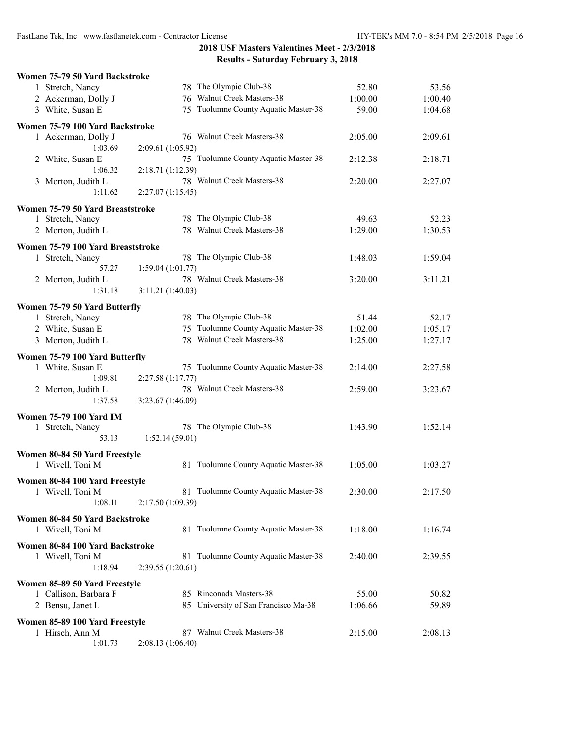| Women 75-79 50 Yard Backstroke                         |                                                 |         |         |
|--------------------------------------------------------|-------------------------------------------------|---------|---------|
| 1 Stretch, Nancy                                       | 78 The Olympic Club-38                          | 52.80   | 53.56   |
| 2 Ackerman, Dolly J                                    | 76 Walnut Creek Masters-38                      | 1:00.00 | 1:00.40 |
| 3 White, Susan E                                       | 75 Tuolumne County Aquatic Master-38            | 59.00   | 1:04.68 |
|                                                        |                                                 |         |         |
| Women 75-79 100 Yard Backstroke<br>1 Ackerman, Dolly J | 76 Walnut Creek Masters-38                      |         |         |
| 1:03.69                                                |                                                 | 2:05.00 | 2:09.61 |
|                                                        | 2:09.61 (1:05.92)                               |         |         |
| 2 White, Susan E                                       | 75 Tuolumne County Aquatic Master-38            | 2:12.38 | 2:18.71 |
| 1:06.32                                                | 2:18.71 (1:12.39)<br>78 Walnut Creek Masters-38 |         |         |
| 3 Morton, Judith L                                     |                                                 | 2:20.00 | 2:27.07 |
| 1:11.62                                                | 2:27.07(1:15.45)                                |         |         |
| Women 75-79 50 Yard Breaststroke                       |                                                 |         |         |
| 1 Stretch, Nancy                                       | 78 The Olympic Club-38                          | 49.63   | 52.23   |
| 2 Morton, Judith L                                     | 78 Walnut Creek Masters-38                      | 1:29.00 | 1:30.53 |
| Women 75-79 100 Yard Breaststroke                      |                                                 |         |         |
| 1 Stretch, Nancy                                       | 78 The Olympic Club-38                          | 1:48.03 | 1:59.04 |
| 57.27                                                  | 1:59.04(1:01.77)                                |         |         |
| 2 Morton, Judith L                                     | 78 Walnut Creek Masters-38                      | 3:20.00 | 3:11.21 |
| 1:31.18                                                | 3:11.21 (1:40.03)                               |         |         |
|                                                        |                                                 |         |         |
| Women 75-79 50 Yard Butterfly                          |                                                 |         |         |
| 1 Stretch, Nancy                                       | 78 The Olympic Club-38                          | 51.44   | 52.17   |
| 2 White, Susan E                                       | 75 Tuolumne County Aquatic Master-38            | 1:02.00 | 1:05.17 |
| 3 Morton, Judith L                                     | 78 Walnut Creek Masters-38                      | 1:25.00 | 1:27.17 |
| Women 75-79 100 Yard Butterfly                         |                                                 |         |         |
| 1 White, Susan E                                       | 75 Tuolumne County Aquatic Master-38            | 2:14.00 | 2:27.58 |
| 1:09.81                                                | 2:27.58 (1:17.77)                               |         |         |
| 2 Morton, Judith L                                     | 78 Walnut Creek Masters-38                      | 2:59.00 | 3:23.67 |
| 1:37.58                                                | 3:23.67 (1:46.09)                               |         |         |
|                                                        |                                                 |         |         |
| <b>Women 75-79 100 Yard IM</b>                         |                                                 |         |         |
| 1 Stretch, Nancy                                       | 78 The Olympic Club-38                          | 1:43.90 | 1:52.14 |
| 53.13                                                  | 1:52.14(59.01)                                  |         |         |
| Women 80-84 50 Yard Freestyle                          |                                                 |         |         |
| 1 Wivell, Toni M                                       | 81 Tuolumne County Aquatic Master-38            | 1:05.00 | 1:03.27 |
|                                                        |                                                 |         |         |
| Women 80-84 100 Yard Freestyle                         |                                                 |         |         |
| 1 Wivell, Toni M                                       | 81 Tuolumne County Aquatic Master-38            | 2:30.00 | 2:17.50 |
| 1:08.11                                                | 2:17.50(1:09.39)                                |         |         |
| Women 80-84 50 Yard Backstroke                         |                                                 |         |         |
| 1 Wivell, Toni M                                       | 81 Tuolumne County Aquatic Master-38            | 1:18.00 | 1:16.74 |
|                                                        |                                                 |         |         |
| Women 80-84 100 Yard Backstroke                        |                                                 |         |         |
| 1 Wivell, Toni M                                       | 81 Tuolumne County Aquatic Master-38            | 2:40.00 | 2:39.55 |
| 1:18.94                                                | 2:39.55 (1:20.61)                               |         |         |
| Women 85-89 50 Yard Freestyle                          |                                                 |         |         |
| 1 Callison, Barbara F                                  | 85 Rinconada Masters-38                         | 55.00   | 50.82   |
| 2 Bensu, Janet L                                       | 85 University of San Francisco Ma-38            | 1:06.66 | 59.89   |
|                                                        |                                                 |         |         |
| Women 85-89 100 Yard Freestyle                         |                                                 |         |         |
| 1 Hirsch, Ann M                                        | 87 Walnut Creek Masters-38                      | 2:15.00 | 2:08.13 |
| 1:01.73                                                | 2:08.13 (1:06.40)                               |         |         |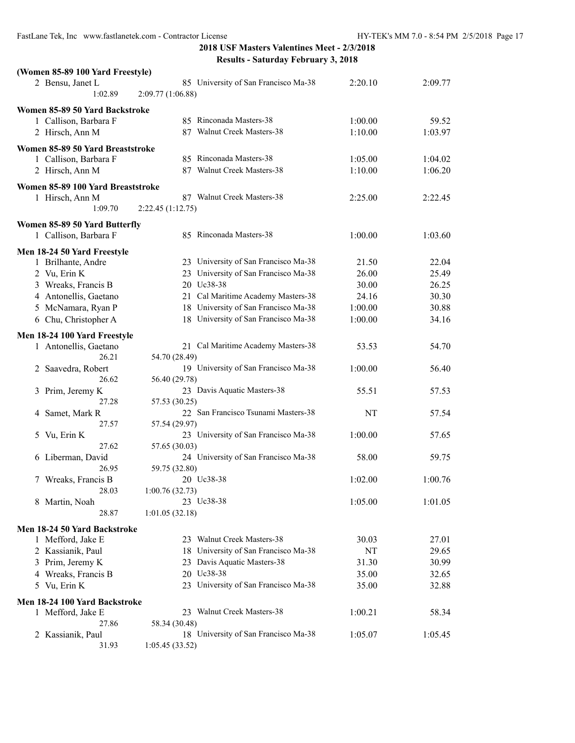| (Women 85-89 100 Yard Freestyle)  |                                                           |         |         |
|-----------------------------------|-----------------------------------------------------------|---------|---------|
| 2 Bensu, Janet L<br>1:02.89       | 85 University of San Francisco Ma-38<br>2:09.77 (1:06.88) | 2:20.10 | 2:09.77 |
| Women 85-89 50 Yard Backstroke    |                                                           |         |         |
| 1 Callison, Barbara F             | 85 Rinconada Masters-38                                   | 1:00.00 | 59.52   |
| 2 Hirsch, Ann M                   | 87 Walnut Creek Masters-38                                | 1:10.00 | 1:03.97 |
|                                   |                                                           |         |         |
| Women 85-89 50 Yard Breaststroke  | 85 Rinconada Masters-38                                   |         |         |
| 1 Callison, Barbara F             | 87 Walnut Creek Masters-38                                | 1:05.00 | 1:04.02 |
| 2 Hirsch, Ann M                   |                                                           | 1:10.00 | 1:06.20 |
| Women 85-89 100 Yard Breaststroke |                                                           |         |         |
| 1 Hirsch, Ann M                   | 87 Walnut Creek Masters-38                                | 2:25.00 | 2:22.45 |
| 1:09.70                           | 2:22.45 (1:12.75)                                         |         |         |
| Women 85-89 50 Yard Butterfly     |                                                           |         |         |
| 1 Callison, Barbara F             | 85 Rinconada Masters-38                                   | 1:00.00 | 1:03.60 |
|                                   |                                                           |         |         |
| Men 18-24 50 Yard Freestyle       | 23 University of San Francisco Ma-38                      |         |         |
| 1 Brilhante, Andre                | 23 University of San Francisco Ma-38                      | 21.50   | 22.04   |
| 2 Vu, Erin K                      |                                                           | 26.00   | 25.49   |
| 3 Wreaks, Francis B               | 20 Uc38-38                                                | 30.00   | 26.25   |
| 4 Antonellis, Gaetano             | 21 Cal Maritime Academy Masters-38                        | 24.16   | 30.30   |
| 5 McNamara, Ryan P                | 18 University of San Francisco Ma-38                      | 1:00.00 | 30.88   |
| 6 Chu, Christopher A              | 18 University of San Francisco Ma-38                      | 1:00.00 | 34.16   |
| Men 18-24 100 Yard Freestyle      |                                                           |         |         |
| 1 Antonellis, Gaetano             | 21 Cal Maritime Academy Masters-38                        | 53.53   | 54.70   |
| 26.21                             | 54.70 (28.49)                                             |         |         |
| Saavedra, Robert<br>2             | 19 University of San Francisco Ma-38                      | 1:00.00 | 56.40   |
| 26.62                             | 56.40 (29.78)                                             |         |         |
| Prim, Jeremy K<br>3               | 23 Davis Aquatic Masters-38                               | 55.51   | 57.53   |
| 27.28                             | 57.53 (30.25)                                             |         |         |
| Samet, Mark R<br>4                | 22 San Francisco Tsunami Masters-38                       | NT      | 57.54   |
| 27.57                             | 57.54 (29.97)                                             |         |         |
| Vu, Erin K<br>5                   | 23 University of San Francisco Ma-38                      | 1:00.00 | 57.65   |
| 27.62                             | 57.65 (30.03)                                             |         |         |
| 6 Liberman, David                 | 24 University of San Francisco Ma-38                      | 58.00   | 59.75   |
| 26.95                             | 59.75 (32.80)                                             |         |         |
| 7 Wreaks, Francis B               | 20 Uc38-38                                                | 1:02.00 | 1:00.76 |
| 28.03                             | 1:00.76(32.73)                                            |         |         |
| 8 Martin, Noah                    | 23 Uc38-38                                                | 1:05.00 | 1:01.05 |
| 28.87                             | 1:01.05(32.18)                                            |         |         |
| Men 18-24 50 Yard Backstroke      |                                                           |         |         |
| 1 Mefford, Jake E                 | 23 Walnut Creek Masters-38                                | 30.03   | 27.01   |
| 2 Kassianik, Paul                 | University of San Francisco Ma-38<br>18                   | NT      | 29.65   |
| 3 Prim, Jeremy K                  | 23 Davis Aquatic Masters-38                               | 31.30   | 30.99   |
| 4 Wreaks, Francis B               | 20 Uc38-38                                                | 35.00   | 32.65   |
| 5 Vu, Erin K                      | 23 University of San Francisco Ma-38                      | 35.00   | 32.88   |
|                                   |                                                           |         |         |
| Men 18-24 100 Yard Backstroke     |                                                           |         |         |
| 1 Mefford, Jake E                 | 23 Walnut Creek Masters-38                                | 1:00.21 | 58.34   |
| 27.86                             | 58.34 (30.48)                                             |         |         |
| 2 Kassianik, Paul                 | 18 University of San Francisco Ma-38                      | 1:05.07 | 1:05.45 |
| 31.93                             | 1:05.45 (33.52)                                           |         |         |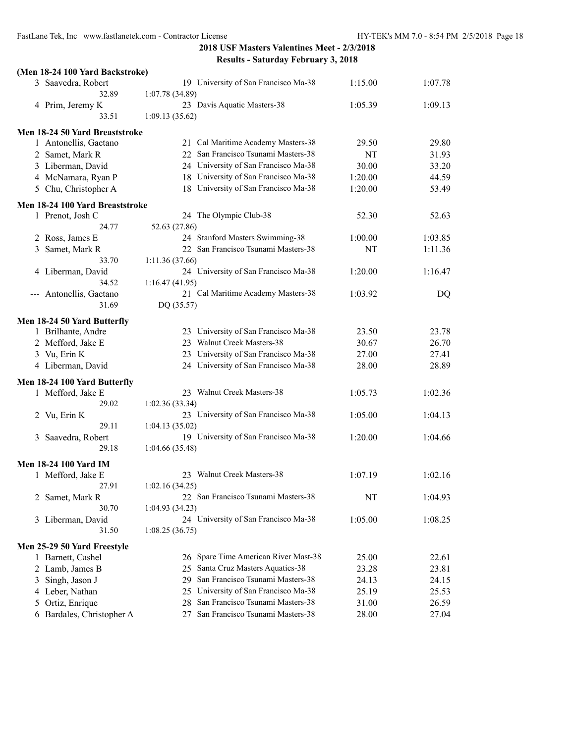| (Men 18-24 100 Yard Backstroke) |                                                        |         |         |
|---------------------------------|--------------------------------------------------------|---------|---------|
| 3 Saavedra, Robert              | 19 University of San Francisco Ma-38                   | 1:15.00 | 1:07.78 |
| 32.89                           | 1:07.78 (34.89)                                        |         |         |
| 4 Prim, Jeremy K                | 23 Davis Aquatic Masters-38                            | 1:05.39 | 1:09.13 |
| 33.51                           | 1:09.13(35.62)                                         |         |         |
| Men 18-24 50 Yard Breaststroke  |                                                        |         |         |
| 1 Antonellis, Gaetano           | 21 Cal Maritime Academy Masters-38                     | 29.50   | 29.80   |
| 2 Samet, Mark R                 | 22 San Francisco Tsunami Masters-38                    | NT      | 31.93   |
| 3 Liberman, David               | 24 University of San Francisco Ma-38                   | 30.00   | 33.20   |
| 4 McNamara, Ryan P              | 18 University of San Francisco Ma-38                   | 1:20.00 | 44.59   |
| 5 Chu, Christopher A            | 18 University of San Francisco Ma-38                   | 1:20.00 | 53.49   |
|                                 |                                                        |         |         |
| Men 18-24 100 Yard Breaststroke | 24 The Olympic Club-38                                 | 52.30   | 52.63   |
| 1 Prenot, Josh C<br>24.77       | 52.63 (27.86)                                          |         |         |
| 2 Ross, James E                 | 24 Stanford Masters Swimming-38                        | 1:00.00 | 1:03.85 |
| 3                               | 22 San Francisco Tsunami Masters-38                    | NT      | 1:11.36 |
| Samet, Mark R<br>33.70          |                                                        |         |         |
|                                 | 1:11.36(37.66)<br>24 University of San Francisco Ma-38 | 1:20.00 | 1:16.47 |
| 4 Liberman, David<br>34.52      |                                                        |         |         |
| --- Antonellis, Gaetano         | 1:16.47(41.95)<br>21 Cal Maritime Academy Masters-38   |         |         |
| 31.69                           | DQ (35.57)                                             | 1:03.92 | DQ      |
|                                 |                                                        |         |         |
| Men 18-24 50 Yard Butterfly     |                                                        |         |         |
| 1 Brilhante, Andre              | 23 University of San Francisco Ma-38                   | 23.50   | 23.78   |
| 2 Mefford, Jake E               | 23 Walnut Creek Masters-38                             | 30.67   | 26.70   |
| 3 Vu, Erin K                    | 23 University of San Francisco Ma-38                   | 27.00   | 27.41   |
| 4 Liberman, David               | 24 University of San Francisco Ma-38                   | 28.00   | 28.89   |
| Men 18-24 100 Yard Butterfly    |                                                        |         |         |
| 1 Mefford, Jake E               | 23 Walnut Creek Masters-38                             | 1:05.73 | 1:02.36 |
| 29.02                           | 1:02.36(33.34)                                         |         |         |
| 2 Vu, Erin K                    | 23 University of San Francisco Ma-38                   | 1:05.00 | 1:04.13 |
| 29.11                           | 1:04.13(35.02)                                         |         |         |
| Saavedra, Robert<br>3           | 19 University of San Francisco Ma-38                   | 1:20.00 | 1:04.66 |
| 29.18                           | 1:04.66(35.48)                                         |         |         |
|                                 |                                                        |         |         |
| <b>Men 18-24 100 Yard IM</b>    |                                                        |         |         |
| 1 Mefford, Jake E               | 23 Walnut Creek Masters-38                             | 1:07.19 | 1:02.16 |
| 27.91                           | 1:02.16(34.25)                                         |         |         |
| Samet, Mark R<br>2              | 22 San Francisco Tsunami Masters-38                    | NT      | 1:04.93 |
| 30.70                           | 1:04.93(34.23)                                         |         |         |
| 3 Liberman, David               | 24 University of San Francisco Ma-38                   | 1:05.00 | 1:08.25 |
| 31.50                           | 1:08.25(36.75)                                         |         |         |
| Men 25-29 50 Yard Freestyle     |                                                        |         |         |
| 1 Barnett, Cashel               | 26 Spare Time American River Mast-38                   | 25.00   | 22.61   |
| 2 Lamb, James B                 | 25 Santa Cruz Masters Aquatics-38                      | 23.28   | 23.81   |
| Singh, Jason J<br>3             | San Francisco Tsunami Masters-38<br>29                 | 24.13   | 24.15   |
| 4 Leber, Nathan                 | 25 University of San Francisco Ma-38                   | 25.19   | 25.53   |
| Ortiz, Enrique<br>5             | San Francisco Tsunami Masters-38<br>28                 | 31.00   | 26.59   |
| 6 Bardales, Christopher A       | San Francisco Tsunami Masters-38<br>27                 | 28.00   | 27.04   |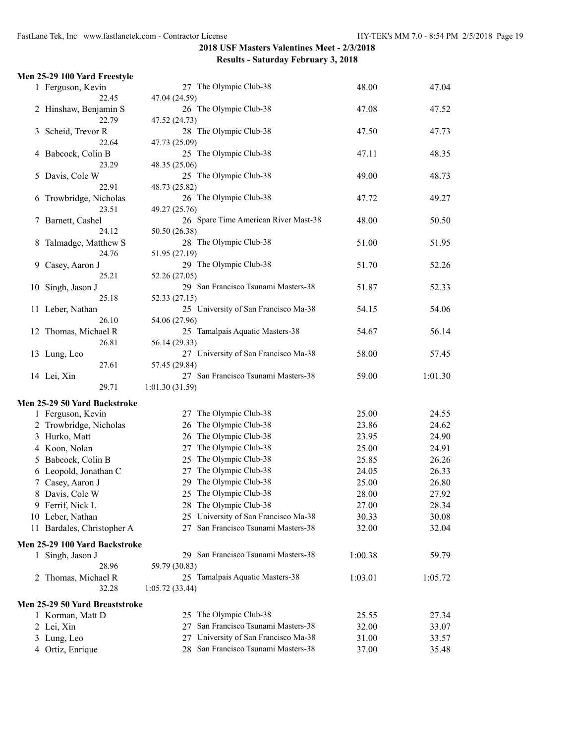|    | Men 25-29 100 Yard Freestyle                      |                                                      |                |                |
|----|---------------------------------------------------|------------------------------------------------------|----------------|----------------|
|    | 1 Ferguson, Kevin                                 | 27 The Olympic Club-38                               | 48.00          | 47.04          |
|    | 22.45                                             | 47.04 (24.59)                                        |                |                |
|    | 2 Hinshaw, Benjamin S                             | 26 The Olympic Club-38                               | 47.08          | 47.52          |
|    | 22.79                                             | 47.52 (24.73)                                        |                |                |
| 3  | Scheid, Trevor R                                  | 28 The Olympic Club-38                               | 47.50          | 47.73          |
|    | 22.64                                             | 47.73 (25.09)                                        |                |                |
|    | 4 Babcock, Colin B                                | 25 The Olympic Club-38                               | 47.11          | 48.35          |
|    | 23.29                                             | 48.35 (25.06)                                        |                |                |
| 5  | Davis, Cole W                                     | 25 The Olympic Club-38                               | 49.00          | 48.73          |
|    | 22.91                                             | 48.73 (25.82)                                        |                |                |
| 6  | Trowbridge, Nicholas                              | 26 The Olympic Club-38                               | 47.72          | 49.27          |
|    | 23.51                                             | 49.27 (25.76)                                        |                |                |
| 7  | Barnett, Cashel                                   | 26 Spare Time American River Mast-38                 | 48.00          | 50.50          |
|    | 24.12                                             | 50.50 (26.38)                                        |                |                |
| 8  | Talmadge, Matthew S                               | 28 The Olympic Club-38                               | 51.00          | 51.95          |
|    | 24.76                                             | 51.95 (27.19)                                        |                |                |
| 9  | Casey, Aaron J<br>25.21                           | 29 The Olympic Club-38                               | 51.70          | 52.26          |
|    |                                                   | 52.26 (27.05)<br>29 San Francisco Tsunami Masters-38 |                |                |
| 10 | Singh, Jason J<br>25.18                           | 52.33 (27.15)                                        | 51.87          | 52.33          |
|    | 11 Leber, Nathan                                  | 25 University of San Francisco Ma-38                 | 54.15          | 54.06          |
|    | 26.10                                             | 54.06 (27.96)                                        |                |                |
|    | 12 Thomas, Michael R                              | 25 Tamalpais Aquatic Masters-38                      | 54.67          | 56.14          |
|    | 26.81                                             | 56.14 (29.33)                                        |                |                |
|    | 13 Lung, Leo                                      | 27 University of San Francisco Ma-38                 | 58.00          | 57.45          |
|    | 27.61                                             | 57.45 (29.84)                                        |                |                |
|    | 14 Lei, Xin                                       | 27 San Francisco Tsunami Masters-38                  | 59.00          | 1:01.30        |
|    | 29.71                                             | 1:01.30(31.59)                                       |                |                |
|    |                                                   |                                                      |                |                |
|    | Men 25-29 50 Yard Backstroke<br>1 Ferguson, Kevin | The Olympic Club-38<br>27                            | 25.00          | 24.55          |
|    | 2 Trowbridge, Nicholas                            | The Olympic Club-38<br>26                            | 23.86          | 24.62          |
|    | 3 Hurko, Matt                                     | The Olympic Club-38<br>26                            | 23.95          | 24.90          |
|    | 4 Koon, Nolan                                     | The Olympic Club-38<br>27                            | 25.00          | 24.91          |
| 5  | Babcock, Colin B                                  | The Olympic Club-38<br>25                            | 25.85          | 26.26          |
|    |                                                   | The Olympic Club-38<br>27                            |                |                |
|    | 6 Leopold, Jonathan C<br>7 Casey, Aaron J         | 29 The Olympic Club-38                               | 24.05<br>25.00 | 26.33<br>26.80 |
|    | 8 Davis, Cole W                                   | 25 The Olympic Club-38                               | 28.00          | 27.92          |
|    |                                                   | 28 The Olympic Club-38                               |                |                |
|    | 9 Ferrif, Nick L                                  | 25 University of San Francisco Ma-38                 | 27.00          | 28.34          |
|    | 10 Leber, Nathan                                  | San Francisco Tsunami Masters-38                     | 30.33          | 30.08          |
|    | 11 Bardales, Christopher A                        | 27                                                   | 32.00          | 32.04          |
|    | Men 25-29 100 Yard Backstroke                     |                                                      |                |                |
|    | 1 Singh, Jason J                                  | 29 San Francisco Tsunami Masters-38                  | 1:00.38        | 59.79          |
|    | 28.96                                             | 59.79 (30.83)                                        |                |                |
|    | 2 Thomas, Michael R                               | 25 Tamalpais Aquatic Masters-38                      | 1:03.01        | 1:05.72        |
|    | 32.28                                             | 1:05.72(33.44)                                       |                |                |
|    | Men 25-29 50 Yard Breaststroke                    |                                                      |                |                |
|    | 1 Korman, Matt D                                  | The Olympic Club-38<br>25.                           | 25.55          | 27.34          |
|    | 2 Lei, Xin                                        | San Francisco Tsunami Masters-38<br>27               | 32.00          | 33.07          |
|    | 3 Lung, Leo                                       | University of San Francisco Ma-38<br>27              | 31.00          | 33.57          |
|    | 4 Ortiz, Enrique                                  | 28 San Francisco Tsunami Masters-38                  | 37.00          | 35.48          |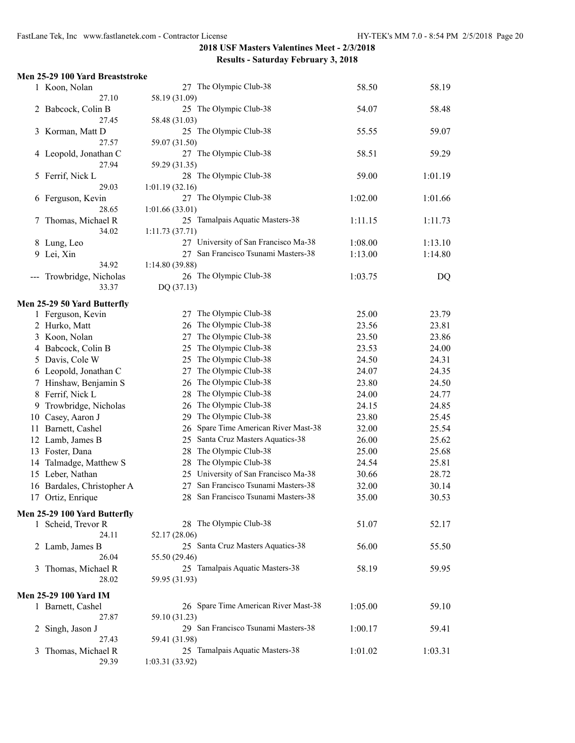|                                                                                                                                                                                                                                                                                                                                                                                              | 1 Koon, Nolan                | 27 The Olympic Club-38                  | 58.50   | 58.19   |
|----------------------------------------------------------------------------------------------------------------------------------------------------------------------------------------------------------------------------------------------------------------------------------------------------------------------------------------------------------------------------------------------|------------------------------|-----------------------------------------|---------|---------|
|                                                                                                                                                                                                                                                                                                                                                                                              | 27.10                        | 58.19 (31.09)                           |         |         |
|                                                                                                                                                                                                                                                                                                                                                                                              | 2 Babcock, Colin B           | 25 The Olympic Club-38                  | 54.07   | 58.48   |
|                                                                                                                                                                                                                                                                                                                                                                                              | 27.45                        | 58.48 (31.03)                           |         |         |
|                                                                                                                                                                                                                                                                                                                                                                                              | 3 Korman, Matt D             | 25 The Olympic Club-38                  | 55.55   | 59.07   |
|                                                                                                                                                                                                                                                                                                                                                                                              | 27.57                        | 59.07 (31.50)                           |         |         |
|                                                                                                                                                                                                                                                                                                                                                                                              | 4 Leopold, Jonathan C        | 27 The Olympic Club-38                  | 58.51   | 59.29   |
|                                                                                                                                                                                                                                                                                                                                                                                              | 27.94                        | 59.29 (31.35)                           |         |         |
| 5                                                                                                                                                                                                                                                                                                                                                                                            | Ferrif, Nick L               | 28 The Olympic Club-38                  | 59.00   | 1:01.19 |
|                                                                                                                                                                                                                                                                                                                                                                                              | 29.03                        | 1:01.19(32.16)                          |         |         |
|                                                                                                                                                                                                                                                                                                                                                                                              | 6 Ferguson, Kevin            | 27 The Olympic Club-38                  | 1:02.00 | 1:01.66 |
|                                                                                                                                                                                                                                                                                                                                                                                              | 28.65                        | 1:01.66(33.01)                          |         |         |
| Τ                                                                                                                                                                                                                                                                                                                                                                                            | Thomas, Michael R            | 25 Tamalpais Aquatic Masters-38         | 1:11.15 | 1:11.73 |
|                                                                                                                                                                                                                                                                                                                                                                                              | 34.02                        | 1:11.73 (37.71)                         |         |         |
|                                                                                                                                                                                                                                                                                                                                                                                              | 8 Lung, Leo                  | 27 University of San Francisco Ma-38    | 1:08.00 | 1:13.10 |
|                                                                                                                                                                                                                                                                                                                                                                                              | 9 Lei, Xin                   | 27 San Francisco Tsunami Masters-38     | 1:13.00 | 1:14.80 |
|                                                                                                                                                                                                                                                                                                                                                                                              | 34.92                        | 1:14.80 (39.88)                         |         |         |
| $\frac{1}{2} \frac{1}{2} \frac{1}{2} \frac{1}{2} \frac{1}{2} \frac{1}{2} \frac{1}{2} \frac{1}{2} \frac{1}{2} \frac{1}{2} \frac{1}{2} \frac{1}{2} \frac{1}{2} \frac{1}{2} \frac{1}{2} \frac{1}{2} \frac{1}{2} \frac{1}{2} \frac{1}{2} \frac{1}{2} \frac{1}{2} \frac{1}{2} \frac{1}{2} \frac{1}{2} \frac{1}{2} \frac{1}{2} \frac{1}{2} \frac{1}{2} \frac{1}{2} \frac{1}{2} \frac{1}{2} \frac{$ | Trowbridge, Nicholas         | 26 The Olympic Club-38                  | 1:03.75 | DQ      |
|                                                                                                                                                                                                                                                                                                                                                                                              | 33.37                        | DQ (37.13)                              |         |         |
|                                                                                                                                                                                                                                                                                                                                                                                              | Men 25-29 50 Yard Butterfly  |                                         |         |         |
|                                                                                                                                                                                                                                                                                                                                                                                              | 1 Ferguson, Kevin            | 27 The Olympic Club-38                  | 25.00   | 23.79   |
|                                                                                                                                                                                                                                                                                                                                                                                              | 2 Hurko, Matt                | The Olympic Club-38<br>26               | 23.56   | 23.81   |
|                                                                                                                                                                                                                                                                                                                                                                                              | 3 Koon, Nolan                | The Olympic Club-38<br>27               | 23.50   | 23.86   |
|                                                                                                                                                                                                                                                                                                                                                                                              | 4 Babcock, Colin B           | The Olympic Club-38<br>25               | 23.53   | 24.00   |
|                                                                                                                                                                                                                                                                                                                                                                                              | 5 Davis, Cole W              | The Olympic Club-38<br>25               | 24.50   | 24.31   |
|                                                                                                                                                                                                                                                                                                                                                                                              | 6 Leopold, Jonathan C        | The Olympic Club-38<br>27               | 24.07   | 24.35   |
|                                                                                                                                                                                                                                                                                                                                                                                              | 7 Hinshaw, Benjamin S        | The Olympic Club-38<br>26               | 23.80   | 24.50   |
| 8                                                                                                                                                                                                                                                                                                                                                                                            | Ferrif, Nick L               | The Olympic Club-38<br>28               | 24.00   | 24.77   |
|                                                                                                                                                                                                                                                                                                                                                                                              | Trowbridge, Nicholas         | The Olympic Club-38<br>26               | 24.15   | 24.85   |
| 9                                                                                                                                                                                                                                                                                                                                                                                            |                              | The Olympic Club-38<br>29               |         |         |
| 10                                                                                                                                                                                                                                                                                                                                                                                           | Casey, Aaron J               |                                         | 23.80   | 25.45   |
|                                                                                                                                                                                                                                                                                                                                                                                              | 11 Barnett, Cashel           | Spare Time American River Mast-38<br>26 | 32.00   | 25.54   |
|                                                                                                                                                                                                                                                                                                                                                                                              | 12 Lamb, James B             | Santa Cruz Masters Aquatics-38<br>25    | 26.00   | 25.62   |
|                                                                                                                                                                                                                                                                                                                                                                                              | 13 Foster, Dana              | The Olympic Club-38<br>28               | 25.00   | 25.68   |
| 14                                                                                                                                                                                                                                                                                                                                                                                           | Talmadge, Matthew S          | The Olympic Club-38<br>28               | 24.54   | 25.81   |
|                                                                                                                                                                                                                                                                                                                                                                                              | 15 Leber, Nathan             | 25 University of San Francisco Ma-38    | 30.66   | 28.72   |
|                                                                                                                                                                                                                                                                                                                                                                                              | 16 Bardales, Christopher A   | San Francisco Tsunami Masters-38<br>27  | 32.00   | 30.14   |
|                                                                                                                                                                                                                                                                                                                                                                                              | 17 Ortiz, Enrique            | San Francisco Tsunami Masters-38<br>28  | 35.00   | 30.53   |
|                                                                                                                                                                                                                                                                                                                                                                                              | Men 25-29 100 Yard Butterfly |                                         |         |         |
|                                                                                                                                                                                                                                                                                                                                                                                              | 1 Scheid, Trevor R           | 28 The Olympic Club-38                  | 51.07   | 52.17   |
|                                                                                                                                                                                                                                                                                                                                                                                              | 24.11                        | 52.17 (28.06)                           |         |         |
|                                                                                                                                                                                                                                                                                                                                                                                              | 2 Lamb, James B              | 25 Santa Cruz Masters Aquatics-38       | 56.00   | 55.50   |
|                                                                                                                                                                                                                                                                                                                                                                                              | 26.04                        | 55.50 (29.46)                           |         |         |
| 3                                                                                                                                                                                                                                                                                                                                                                                            | Thomas, Michael R            | 25 Tamalpais Aquatic Masters-38         | 58.19   | 59.95   |
|                                                                                                                                                                                                                                                                                                                                                                                              | 28.02                        | 59.95 (31.93)                           |         |         |
|                                                                                                                                                                                                                                                                                                                                                                                              | <b>Men 25-29 100 Yard IM</b> |                                         |         |         |
|                                                                                                                                                                                                                                                                                                                                                                                              | 1 Barnett, Cashel            | 26 Spare Time American River Mast-38    | 1:05.00 | 59.10   |
|                                                                                                                                                                                                                                                                                                                                                                                              | 27.87                        | 59.10 (31.23)                           |         |         |
| 2                                                                                                                                                                                                                                                                                                                                                                                            | Singh, Jason J               | 29 San Francisco Tsunami Masters-38     | 1:00.17 | 59.41   |
|                                                                                                                                                                                                                                                                                                                                                                                              | 27.43                        | 59.41 (31.98)                           |         |         |
| 3                                                                                                                                                                                                                                                                                                                                                                                            | Thomas, Michael R            | 25 Tamalpais Aquatic Masters-38         | 1:01.02 | 1:03.31 |
|                                                                                                                                                                                                                                                                                                                                                                                              | 29.39                        | 1:03.31 (33.92)                         |         |         |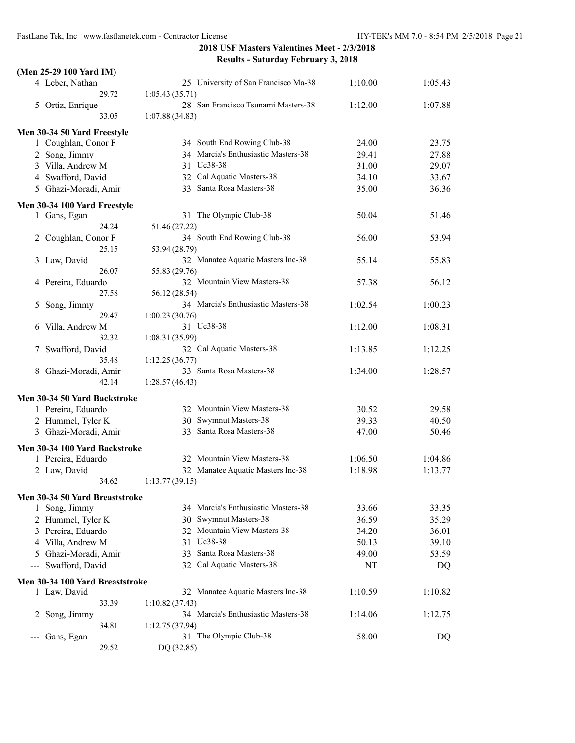| (Men 25-29 100 Yard IM)                                                                                                                                                                                                                                                                                                                                                                                         |                                                        |         |         |
|-----------------------------------------------------------------------------------------------------------------------------------------------------------------------------------------------------------------------------------------------------------------------------------------------------------------------------------------------------------------------------------------------------------------|--------------------------------------------------------|---------|---------|
| 4 Leber, Nathan<br>29.72                                                                                                                                                                                                                                                                                                                                                                                        | 25 University of San Francisco Ma-38<br>1:05.43(35.71) | 1:10.00 | 1:05.43 |
| 5 Ortiz, Enrique                                                                                                                                                                                                                                                                                                                                                                                                | 28 San Francisco Tsunami Masters-38                    | 1:12.00 | 1:07.88 |
| 33.05                                                                                                                                                                                                                                                                                                                                                                                                           | 1:07.88(34.83)                                         |         |         |
| Men 30-34 50 Yard Freestyle                                                                                                                                                                                                                                                                                                                                                                                     |                                                        |         |         |
| 1 Coughlan, Conor F                                                                                                                                                                                                                                                                                                                                                                                             | 34 South End Rowing Club-38                            | 24.00   | 23.75   |
| 2 Song, Jimmy                                                                                                                                                                                                                                                                                                                                                                                                   | 34 Marcia's Enthusiastic Masters-38                    | 29.41   | 27.88   |
| 3 Villa, Andrew M                                                                                                                                                                                                                                                                                                                                                                                               | 31 Uc38-38                                             | 31.00   | 29.07   |
| 4 Swafford, David                                                                                                                                                                                                                                                                                                                                                                                               | 32 Cal Aquatic Masters-38                              | 34.10   | 33.67   |
| 5 Ghazi-Moradi, Amir                                                                                                                                                                                                                                                                                                                                                                                            | 33 Santa Rosa Masters-38                               | 35.00   | 36.36   |
| Men 30-34 100 Yard Freestyle                                                                                                                                                                                                                                                                                                                                                                                    |                                                        |         |         |
| 1 Gans, Egan                                                                                                                                                                                                                                                                                                                                                                                                    | 31 The Olympic Club-38                                 | 50.04   | 51.46   |
| 24.24                                                                                                                                                                                                                                                                                                                                                                                                           | 51.46 (27.22)                                          |         |         |
| Coughlan, Conor F<br>2                                                                                                                                                                                                                                                                                                                                                                                          | 34 South End Rowing Club-38                            | 56.00   | 53.94   |
| 25.15                                                                                                                                                                                                                                                                                                                                                                                                           | 53.94 (28.79)                                          |         |         |
| Law, David<br>3                                                                                                                                                                                                                                                                                                                                                                                                 | 32 Manatee Aquatic Masters Inc-38                      | 55.14   | 55.83   |
| 26.07                                                                                                                                                                                                                                                                                                                                                                                                           | 55.83 (29.76)                                          |         |         |
| 4 Pereira, Eduardo                                                                                                                                                                                                                                                                                                                                                                                              | 32 Mountain View Masters-38                            | 57.38   | 56.12   |
| 27.58                                                                                                                                                                                                                                                                                                                                                                                                           | 56.12 (28.54)                                          |         |         |
| Song, Jimmy<br>5<br>29.47                                                                                                                                                                                                                                                                                                                                                                                       | 34 Marcia's Enthusiastic Masters-38<br>1:00.23(30.76)  | 1:02.54 | 1:00.23 |
| Villa, Andrew M                                                                                                                                                                                                                                                                                                                                                                                                 | 31 Uc38-38                                             | 1:12.00 | 1:08.31 |
| 6<br>32.32                                                                                                                                                                                                                                                                                                                                                                                                      | 1:08.31(35.99)                                         |         |         |
| Swafford, David<br>7                                                                                                                                                                                                                                                                                                                                                                                            | 32 Cal Aquatic Masters-38                              | 1:13.85 | 1:12.25 |
| 35.48                                                                                                                                                                                                                                                                                                                                                                                                           | 1:12.25(36.77)                                         |         |         |
| Ghazi-Moradi, Amir<br>8                                                                                                                                                                                                                                                                                                                                                                                         | 33 Santa Rosa Masters-38                               | 1:34.00 | 1:28.57 |
| 42.14                                                                                                                                                                                                                                                                                                                                                                                                           | 1:28.57(46.43)                                         |         |         |
| Men 30-34 50 Yard Backstroke                                                                                                                                                                                                                                                                                                                                                                                    |                                                        |         |         |
| 1 Pereira, Eduardo                                                                                                                                                                                                                                                                                                                                                                                              | 32 Mountain View Masters-38                            | 30.52   | 29.58   |
| 2 Hummel, Tyler K                                                                                                                                                                                                                                                                                                                                                                                               | 30 Swymnut Masters-38                                  | 39.33   | 40.50   |
| 3 Ghazi-Moradi, Amir                                                                                                                                                                                                                                                                                                                                                                                            | 33 Santa Rosa Masters-38                               | 47.00   | 50.46   |
| Men 30-34 100 Yard Backstroke                                                                                                                                                                                                                                                                                                                                                                                   |                                                        |         |         |
| 1 Pereira, Eduardo                                                                                                                                                                                                                                                                                                                                                                                              | 32 Mountain View Masters-38                            | 1:06.50 | 1:04.86 |
| 2 Law, David                                                                                                                                                                                                                                                                                                                                                                                                    | 32 Manatee Aquatic Masters Inc-38                      | 1:18.98 | 1:13.77 |
| 34.62                                                                                                                                                                                                                                                                                                                                                                                                           | 1:13.77(39.15)                                         |         |         |
| Men 30-34 50 Yard Breaststroke                                                                                                                                                                                                                                                                                                                                                                                  |                                                        |         |         |
| 1 Song, Jimmy                                                                                                                                                                                                                                                                                                                                                                                                   | 34 Marcia's Enthusiastic Masters-38                    | 33.66   | 33.35   |
| 2 Hummel, Tyler K                                                                                                                                                                                                                                                                                                                                                                                               | 30 Swymnut Masters-38                                  | 36.59   | 35.29   |
| 3 Pereira, Eduardo                                                                                                                                                                                                                                                                                                                                                                                              | 32 Mountain View Masters-38                            | 34.20   | 36.01   |
| 4 Villa, Andrew M                                                                                                                                                                                                                                                                                                                                                                                               | 31 Uc38-38                                             | 50.13   | 39.10   |
| 5 Ghazi-Moradi, Amir                                                                                                                                                                                                                                                                                                                                                                                            | 33 Santa Rosa Masters-38                               | 49.00   | 53.59   |
| Swafford, David<br>$\frac{1}{2} \frac{1}{2} \frac{1}{2} \frac{1}{2} \frac{1}{2} \frac{1}{2} \frac{1}{2} \frac{1}{2} \frac{1}{2} \frac{1}{2} \frac{1}{2} \frac{1}{2} \frac{1}{2} \frac{1}{2} \frac{1}{2} \frac{1}{2} \frac{1}{2} \frac{1}{2} \frac{1}{2} \frac{1}{2} \frac{1}{2} \frac{1}{2} \frac{1}{2} \frac{1}{2} \frac{1}{2} \frac{1}{2} \frac{1}{2} \frac{1}{2} \frac{1}{2} \frac{1}{2} \frac{1}{2} \frac{$ | 32 Cal Aquatic Masters-38                              | NT      | DQ      |
| Men 30-34 100 Yard Breaststroke                                                                                                                                                                                                                                                                                                                                                                                 |                                                        |         |         |
| 1 Law, David                                                                                                                                                                                                                                                                                                                                                                                                    | 32 Manatee Aquatic Masters Inc-38                      | 1:10.59 | 1:10.82 |
| 33.39                                                                                                                                                                                                                                                                                                                                                                                                           | 1:10.82(37.43)                                         |         |         |
| Song, Jimmy<br>2                                                                                                                                                                                                                                                                                                                                                                                                | 34 Marcia's Enthusiastic Masters-38                    | 1:14.06 | 1:12.75 |
| 34.81                                                                                                                                                                                                                                                                                                                                                                                                           | 1:12.75(37.94)                                         |         |         |
| Gans, Egan<br>$\qquad \qquad - -$                                                                                                                                                                                                                                                                                                                                                                               | 31 The Olympic Club-38                                 | 58.00   | DQ      |
| 29.52                                                                                                                                                                                                                                                                                                                                                                                                           | DQ (32.85)                                             |         |         |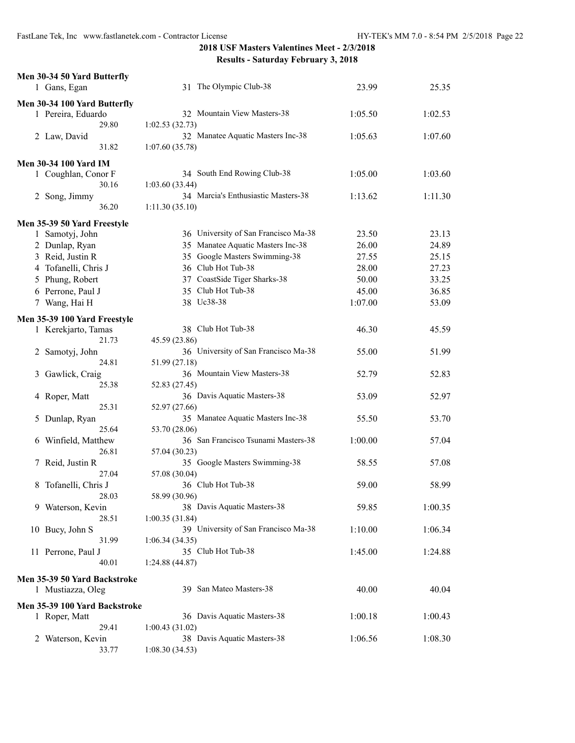| Men 30-34 50 Yard Butterfly   |                                      |         |         |
|-------------------------------|--------------------------------------|---------|---------|
| 1 Gans, Egan                  | 31 The Olympic Club-38               | 23.99   | 25.35   |
| Men 30-34 100 Yard Butterfly  |                                      |         |         |
| 1 Pereira, Eduardo            | 32 Mountain View Masters-38          | 1:05.50 | 1:02.53 |
| 29.80                         | 1:02.53(32.73)                       |         |         |
| 2 Law, David                  | 32 Manatee Aquatic Masters Inc-38    | 1:05.63 | 1:07.60 |
| 31.82                         | 1:07.60(35.78)                       |         |         |
| <b>Men 30-34 100 Yard IM</b>  |                                      |         |         |
| 1 Coughlan, Conor F           | 34 South End Rowing Club-38          | 1:05.00 | 1:03.60 |
| 30.16                         | 1:03.60(33.44)                       |         |         |
| 2 Song, Jimmy                 | 34 Marcia's Enthusiastic Masters-38  | 1:13.62 | 1:11.30 |
| 36.20                         | 1:11.30(35.10)                       |         |         |
| Men 35-39 50 Yard Freestyle   |                                      |         |         |
| 1 Samotyj, John               | 36 University of San Francisco Ma-38 | 23.50   | 23.13   |
| 2 Dunlap, Ryan                | 35 Manatee Aquatic Masters Inc-38    | 26.00   | 24.89   |
| 3 Reid, Justin R              | 35 Google Masters Swimming-38        | 27.55   | 25.15   |
| 4 Tofanelli, Chris J          | 36 Club Hot Tub-38                   | 28.00   | 27.23   |
| 5 Phung, Robert               | 37 CoastSide Tiger Sharks-38         | 50.00   | 33.25   |
| 6 Perrone, Paul J             | 35 Club Hot Tub-38                   | 45.00   | 36.85   |
| 7 Wang, Hai H                 | 38 Uc38-38                           | 1:07.00 | 53.09   |
| Men 35-39 100 Yard Freestyle  |                                      |         |         |
| 1 Kerekjarto, Tamas           | 38 Club Hot Tub-38                   | 46.30   | 45.59   |
| 21.73                         | 45.59 (23.86)                        |         |         |
| 2 Samotyj, John               | 36 University of San Francisco Ma-38 | 55.00   | 51.99   |
| 24.81                         | 51.99 (27.18)                        |         |         |
| Gawlick, Craig<br>3           | 36 Mountain View Masters-38          | 52.79   | 52.83   |
| 25.38                         | 52.83 (27.45)                        |         |         |
| 4 Roper, Matt                 | 36 Davis Aquatic Masters-38          | 53.09   | 52.97   |
| 25.31                         | 52.97 (27.66)                        |         |         |
| Dunlap, Ryan<br>5             | 35 Manatee Aquatic Masters Inc-38    | 55.50   | 53.70   |
| 25.64                         | 53.70 (28.06)                        |         |         |
| 6 Winfield, Matthew           | 36 San Francisco Tsunami Masters-38  | 1:00.00 | 57.04   |
| 26.81                         | 57.04 (30.23)                        |         |         |
| 7 Reid, Justin R              | 35 Google Masters Swimming-38        | 58.55   | 57.08   |
| 27.04                         | 57.08 (30.04)                        |         |         |
| Tofanelli, Chris J<br>8       | 36 Club Hot Tub-38                   | 59.00   | 58.99   |
| 28.03                         | 58.99 (30.96)                        |         |         |
| 9 Waterson, Kevin             | 38 Davis Aquatic Masters-38          | 59.85   | 1:00.35 |
| 28.51                         | 1:00.35(31.84)                       |         |         |
| 10 Bucy, John S               | 39 University of San Francisco Ma-38 | 1:10.00 | 1:06.34 |
| 31.99                         | 1:06.34(34.35)                       |         |         |
| 11 Perrone, Paul J            | 35 Club Hot Tub-38                   | 1:45.00 | 1:24.88 |
| 40.01                         | 1:24.88(44.87)                       |         |         |
| Men 35-39 50 Yard Backstroke  |                                      |         |         |
| 1 Mustiazza, Oleg             | 39 San Mateo Masters-38              | 40.00   | 40.04   |
| Men 35-39 100 Yard Backstroke |                                      |         |         |
| 1 Roper, Matt                 | 36 Davis Aquatic Masters-38          | 1:00.18 | 1:00.43 |
| 29.41                         | 1:00.43(31.02)                       |         |         |
| Waterson, Kevin<br>2          | 38 Davis Aquatic Masters-38          | 1:06.56 | 1:08.30 |
| 33.77                         | 1:08.30(34.53)                       |         |         |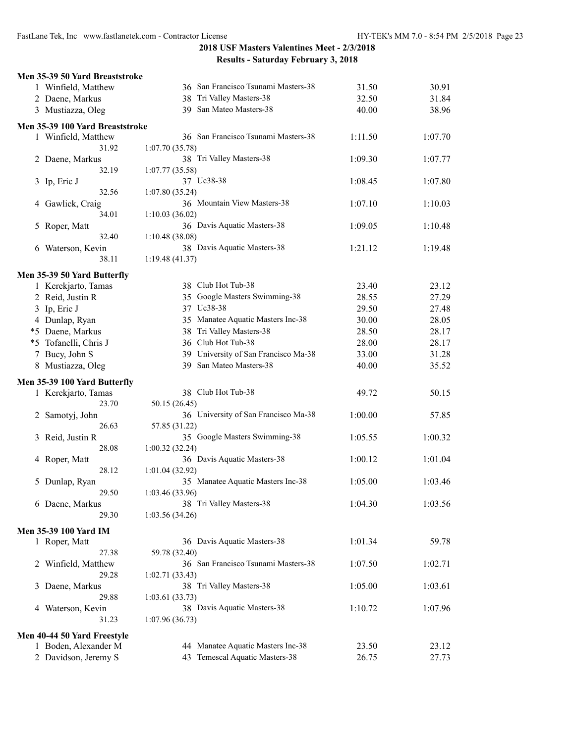| Men 35-39 50 Yard Breaststroke  |                                      |         |         |
|---------------------------------|--------------------------------------|---------|---------|
| 1 Winfield, Matthew             | 36 San Francisco Tsunami Masters-38  | 31.50   | 30.91   |
| 2 Daene, Markus                 | Tri Valley Masters-38<br>38          | 32.50   | 31.84   |
| 3 Mustiazza, Oleg               | 39 San Mateo Masters-38              | 40.00   | 38.96   |
|                                 |                                      |         |         |
| Men 35-39 100 Yard Breaststroke |                                      |         |         |
| 1 Winfield, Matthew             | 36 San Francisco Tsunami Masters-38  | 1:11.50 | 1:07.70 |
| 31.92                           | 1:07.70(35.78)                       |         |         |
| 2 Daene, Markus                 | 38 Tri Valley Masters-38             | 1:09.30 | 1:07.77 |
| 32.19                           | 1:07.77 (35.58)                      |         |         |
| 3 Ip, Eric J                    | 37 Uc38-38                           | 1:08.45 | 1:07.80 |
| 32.56                           | 1:07.80 (35.24)                      |         |         |
| 4 Gawlick, Craig                | 36 Mountain View Masters-38          | 1:07.10 | 1:10.03 |
| 34.01                           | 1:10.03(36.02)                       |         |         |
| 5 Roper, Matt                   | 36 Davis Aquatic Masters-38          | 1:09.05 | 1:10.48 |
| 32.40                           | 1:10.48(38.08)                       |         |         |
| 6 Waterson, Kevin               | 38 Davis Aquatic Masters-38          | 1:21.12 | 1:19.48 |
| 38.11                           | 1:19.48(41.37)                       |         |         |
|                                 |                                      |         |         |
| Men 35-39 50 Yard Butterfly     |                                      |         |         |
| 1 Kerekjarto, Tamas             | 38 Club Hot Tub-38                   | 23.40   | 23.12   |
| 2 Reid, Justin R                | 35 Google Masters Swimming-38        | 28.55   | 27.29   |
| 3 Ip, Eric J                    | 37 Uc38-38                           | 29.50   | 27.48   |
| 4 Dunlap, Ryan                  | 35 Manatee Aquatic Masters Inc-38    | 30.00   | 28.05   |
| *5 Daene, Markus                | 38 Tri Valley Masters-38             | 28.50   | 28.17   |
| *5 Tofanelli, Chris J           | 36 Club Hot Tub-38                   | 28.00   | 28.17   |
| 7 Bucy, John S                  | 39 University of San Francisco Ma-38 | 33.00   | 31.28   |
|                                 |                                      |         |         |
| 8 Mustiazza, Oleg               | 39 San Mateo Masters-38              | 40.00   | 35.52   |
| Men 35-39 100 Yard Butterfly    |                                      |         |         |
| 1 Kerekjarto, Tamas             | 38 Club Hot Tub-38                   | 49.72   | 50.15   |
| 23.70                           | 50.15 (26.45)                        |         |         |
| 2 Samotyj, John                 | 36 University of San Francisco Ma-38 | 1:00.00 | 57.85   |
| 26.63                           | 57.85 (31.22)                        |         |         |
| 3 Reid, Justin R                | 35 Google Masters Swimming-38        | 1:05.55 | 1:00.32 |
| 28.08                           | 1:00.32(32.24)                       |         |         |
|                                 |                                      | 1:00.12 | 1:01.04 |
| 4 Roper, Matt                   | 36 Davis Aquatic Masters-38          |         |         |
| 28.12                           | 1:01.04(32.92)                       |         |         |
| 5 Dunlap, Ryan                  | 35 Manatee Aquatic Masters Inc-38    | 1:05.00 | 1:03.46 |
| 29.50                           | 1:03.46(33.96)                       |         |         |
| 6 Daene, Markus                 | 38 Tri Valley Masters-38             | 1:04.30 | 1:03.56 |
| 29.30                           | 1:03.56(34.26)                       |         |         |
| Men 35-39 100 Yard IM           |                                      |         |         |
| 1 Roper, Matt                   | 36 Davis Aquatic Masters-38          | 1:01.34 | 59.78   |
| 27.38                           | 59.78 (32.40)                        |         |         |
|                                 |                                      |         |         |
| 2 Winfield, Matthew             | 36 San Francisco Tsunami Masters-38  | 1:07.50 | 1:02.71 |
| 29.28                           | 1:02.71(33.43)                       |         |         |
| 3 Daene, Markus                 | 38 Tri Valley Masters-38             | 1:05.00 | 1:03.61 |
| 29.88                           | 1:03.61(33.73)                       |         |         |
| 4 Waterson, Kevin               | 38 Davis Aquatic Masters-38          | 1:10.72 | 1:07.96 |
| 31.23                           | 1:07.96(36.73)                       |         |         |
| Men 40-44 50 Yard Freestyle     |                                      |         |         |
| 1 Boden, Alexander M            | 44 Manatee Aquatic Masters Inc-38    | 23.50   | 23.12   |
|                                 | 43 Temescal Aquatic Masters-38       | 26.75   | 27.73   |
| 2 Davidson, Jeremy S            |                                      |         |         |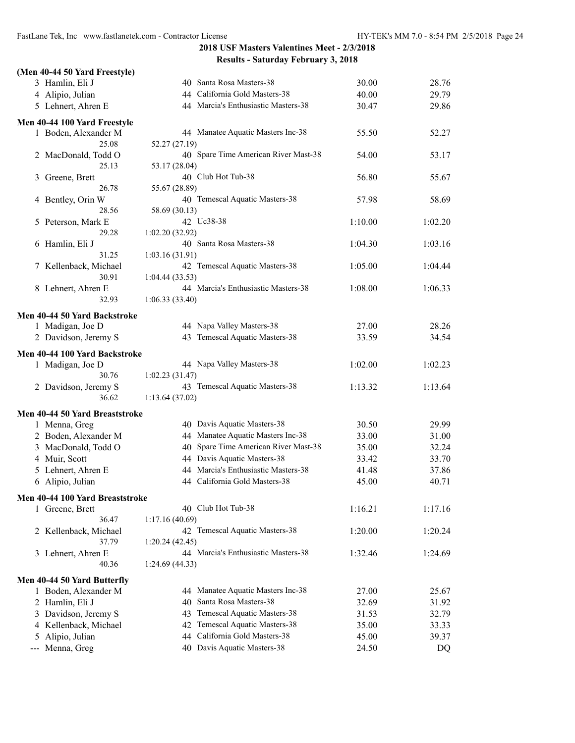| (Men 40-44 50 Yard Freestyle)                      |                                                                 |         |                |
|----------------------------------------------------|-----------------------------------------------------------------|---------|----------------|
| 3 Hamlin, Eli J                                    | 40 Santa Rosa Masters-38                                        | 30.00   | 28.76          |
| 4 Alipio, Julian                                   | 44 California Gold Masters-38                                   | 40.00   | 29.79          |
| 5 Lehnert, Ahren E                                 | 44 Marcia's Enthusiastic Masters-38                             | 30.47   | 29.86          |
| Men 40-44 100 Yard Freestyle                       |                                                                 |         |                |
| 1 Boden, Alexander M                               | 44 Manatee Aquatic Masters Inc-38                               | 55.50   | 52.27          |
| 25.08                                              | 52.27 (27.19)                                                   |         |                |
| 2 MacDonald, Todd O                                | 40 Spare Time American River Mast-38                            | 54.00   | 53.17          |
| 25.13                                              | 53.17 (28.04)                                                   |         |                |
| 3 Greene, Brett                                    | 40 Club Hot Tub-38                                              | 56.80   | 55.67          |
| 26.78                                              | 55.67 (28.89)                                                   |         |                |
| 4 Bentley, Orin W                                  | 40 Temescal Aquatic Masters-38                                  | 57.98   | 58.69          |
| 28.56                                              | 58.69 (30.13)                                                   |         |                |
| 5 Peterson, Mark E                                 | 42 Uc38-38                                                      | 1:10.00 | 1:02.20        |
| 29.28                                              | 1:02.20(32.92)                                                  |         |                |
| 6 Hamlin, Eli J                                    | 40 Santa Rosa Masters-38                                        | 1:04.30 | 1:03.16        |
| 31.25                                              | 1:03.16 (31.91)<br>42 Temescal Aquatic Masters-38               |         |                |
| 7 Kellenback, Michael<br>30.91                     |                                                                 | 1:05.00 | 1:04.44        |
|                                                    | 1:04.44(33.53)<br>44 Marcia's Enthusiastic Masters-38           | 1:08.00 | 1:06.33        |
| 8 Lehnert, Ahren E<br>32.93                        | 1:06.33(33.40)                                                  |         |                |
|                                                    |                                                                 |         |                |
| Men 40-44 50 Yard Backstroke                       |                                                                 |         |                |
| 1 Madigan, Joe D                                   | 44 Napa Valley Masters-38                                       | 27.00   | 28.26          |
| 2 Davidson, Jeremy S                               | 43 Temescal Aquatic Masters-38                                  | 33.59   | 34.54          |
| Men 40-44 100 Yard Backstroke                      |                                                                 |         |                |
| 1 Madigan, Joe D                                   | 44 Napa Valley Masters-38                                       | 1:02.00 | 1:02.23        |
| 30.76                                              | 1:02.23(31.47)                                                  |         |                |
| 2 Davidson, Jeremy S                               | 43 Temescal Aquatic Masters-38                                  | 1:13.32 | 1:13.64        |
| 36.62                                              | 1:13.64(37.02)                                                  |         |                |
| Men 40-44 50 Yard Breaststroke                     |                                                                 |         |                |
| 1 Menna, Greg                                      | 40 Davis Aquatic Masters-38                                     | 30.50   | 29.99          |
| 2 Boden, Alexander M                               | 44 Manatee Aquatic Masters Inc-38                               | 33.00   | 31.00          |
| 3 MacDonald, Todd O                                | 40 Spare Time American River Mast-38                            | 35.00   | 32.24          |
| 4 Muir, Scott                                      | 44 Davis Aquatic Masters-38                                     | 33.42   | 33.70          |
| 5 Lehnert, Ahren E                                 | 44 Marcia's Enthusiastic Masters-38                             | 41.48   | 37.86          |
| 6 Alipio, Julian                                   | 44 California Gold Masters-38                                   | 45.00   | 40.71          |
|                                                    |                                                                 |         |                |
| Men 40-44 100 Yard Breaststroke<br>1 Greene, Brett | 40 Club Hot Tub-38                                              | 1:16.21 | 1:17.16        |
| 36.47                                              | 1:17.16 (40.69)                                                 |         |                |
| 2 Kellenback, Michael                              | 42 Temescal Aquatic Masters-38                                  | 1:20.00 | 1:20.24        |
| 37.79                                              | 1:20.24(42.45)                                                  |         |                |
| 3 Lehnert, Ahren E                                 | 44 Marcia's Enthusiastic Masters-38                             | 1:32.46 | 1:24.69        |
| 40.36                                              | 1:24.69(44.33)                                                  |         |                |
|                                                    |                                                                 |         |                |
| Men 40-44 50 Yard Butterfly                        |                                                                 |         |                |
| 1 Boden, Alexander M<br>2 Hamlin, Eli J            | 44 Manatee Aquatic Masters Inc-38<br>40 Santa Rosa Masters-38   | 27.00   | 25.67<br>31.92 |
|                                                    | 43 Temescal Aquatic Masters-38                                  | 32.69   |                |
| 3 Davidson, Jeremy S                               |                                                                 | 31.53   | 32.79          |
| 4 Kellenback, Michael                              | 42 Temescal Aquatic Masters-38<br>44 California Gold Masters-38 | 35.00   | 33.33          |
| 5 Alipio, Julian                                   | 40 Davis Aquatic Masters-38                                     | 45.00   | 39.37          |
| Menna, Greg<br>$\qquad \qquad -$                   |                                                                 | 24.50   | DQ             |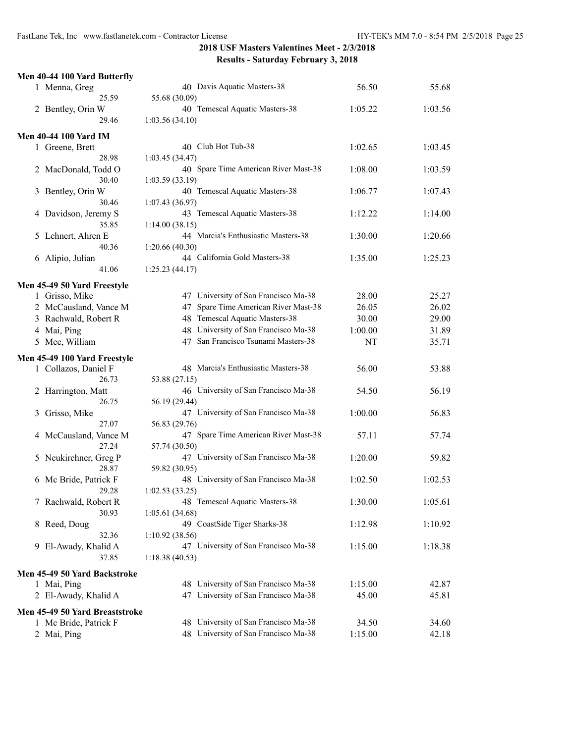| Men 40-44 100 Yard Butterfly                  |                                      |         |         |
|-----------------------------------------------|--------------------------------------|---------|---------|
| 1 Menna, Greg                                 | 40 Davis Aquatic Masters-38          | 56.50   | 55.68   |
| 25.59                                         | 55.68 (30.09)                        |         |         |
| 2 Bentley, Orin W                             | 40 Temescal Aquatic Masters-38       | 1:05.22 | 1:03.56 |
| 29.46                                         | 1:03.56(34.10)                       |         |         |
| <b>Men 40-44 100 Yard IM</b>                  |                                      |         |         |
| 1 Greene, Brett                               | 40 Club Hot Tub-38                   | 1:02.65 | 1:03.45 |
| 28.98                                         | 1:03.45 (34.47)                      |         |         |
| 2 MacDonald, Todd O                           | 40 Spare Time American River Mast-38 | 1:08.00 | 1:03.59 |
| 30.40                                         | 1:03.59(33.19)                       |         |         |
| Bentley, Orin W<br>3                          | 40 Temescal Aquatic Masters-38       | 1:06.77 | 1:07.43 |
| 30.46                                         | 1:07.43(36.97)                       |         |         |
| 4 Davidson, Jeremy S                          | 43 Temescal Aquatic Masters-38       | 1:12.22 | 1:14.00 |
| 35.85                                         | 1:14.00(38.15)                       |         |         |
| 5 Lehnert, Ahren E                            | 44 Marcia's Enthusiastic Masters-38  | 1:30.00 | 1:20.66 |
| 40.36                                         | 1:20.66(40.30)                       |         |         |
| 6 Alipio, Julian                              | 44 California Gold Masters-38        | 1:35.00 | 1:25.23 |
| 41.06                                         | 1:25.23(44.17)                       |         |         |
|                                               |                                      |         |         |
| Men 45-49 50 Yard Freestyle<br>1 Grisso, Mike | 47 University of San Francisco Ma-38 | 28.00   | 25.27   |
| 2 McCausland, Vance M                         | 47 Spare Time American River Mast-38 | 26.05   |         |
|                                               | 48 Temescal Aquatic Masters-38       | 30.00   | 26.02   |
| 3 Rachwald, Robert R                          | 48 University of San Francisco Ma-38 |         | 29.00   |
| 4 Mai, Ping                                   |                                      | 1:00.00 | 31.89   |
| 5 Mee, William                                | 47 San Francisco Tsunami Masters-38  | NT      | 35.71   |
| Men 45-49 100 Yard Freestyle                  |                                      |         |         |
| 1 Collazos, Daniel F                          | 48 Marcia's Enthusiastic Masters-38  | 56.00   | 53.88   |
| 26.73                                         | 53.88 (27.15)                        |         |         |
| 2 Harrington, Matt                            | 46 University of San Francisco Ma-38 | 54.50   | 56.19   |
| 26.75                                         | 56.19 (29.44)                        |         |         |
| Grisso, Mike<br>3                             | 47 University of San Francisco Ma-38 | 1:00.00 | 56.83   |
| 27.07                                         | 56.83 (29.76)                        |         |         |
| 4 McCausland, Vance M                         | 47 Spare Time American River Mast-38 | 57.11   | 57.74   |
| 27.24                                         | 57.74 (30.50)                        |         |         |
| 5 Neukirchner, Greg P                         | 47 University of San Francisco Ma-38 | 1:20.00 | 59.82   |
| 28.87                                         | 59.82 (30.95)                        |         |         |
| 6 Mc Bride, Patrick F                         | 48 University of San Francisco Ma-38 | 1:02.50 | 1:02.53 |
| 29.28                                         | 1:02.53(33.25)                       |         |         |
| 7 Rachwald, Robert R                          | 48 Temescal Aquatic Masters-38       | 1:30.00 | 1:05.61 |
| 30.93                                         | 1:05.61(34.68)                       |         |         |
| 8 Reed, Doug                                  | 49 CoastSide Tiger Sharks-38         | 1:12.98 | 1:10.92 |
| 32.36                                         | 1:10.92(38.56)                       |         |         |
| 9 El-Awady, Khalid A                          | 47 University of San Francisco Ma-38 | 1:15.00 | 1:18.38 |
| 37.85                                         | 1:18.38(40.53)                       |         |         |
| Men 45-49 50 Yard Backstroke                  |                                      |         |         |
| 1 Mai, Ping                                   | 48 University of San Francisco Ma-38 | 1:15.00 | 42.87   |
| 2 El-Awady, Khalid A                          | 47 University of San Francisco Ma-38 | 45.00   | 45.81   |
|                                               |                                      |         |         |
| Men 45-49 50 Yard Breaststroke                |                                      |         |         |
| 1 Mc Bride, Patrick F                         | 48 University of San Francisco Ma-38 | 34.50   | 34.60   |
| 2 Mai, Ping                                   | 48 University of San Francisco Ma-38 | 1:15.00 | 42.18   |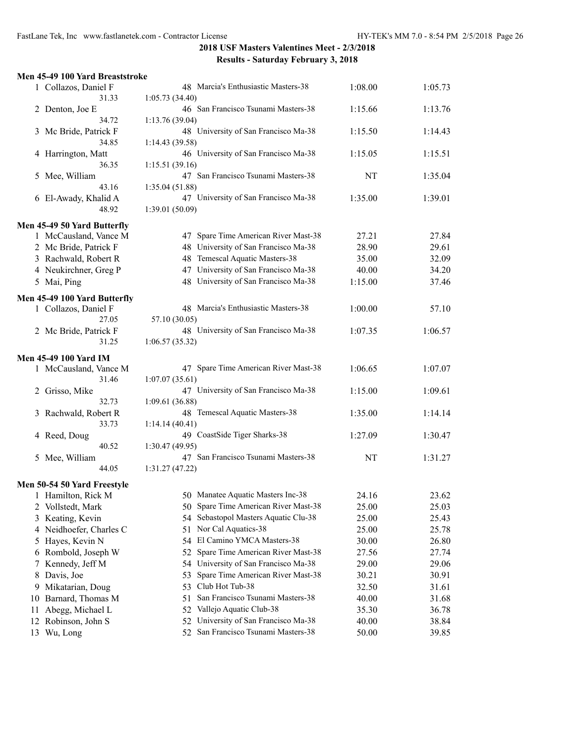| Men 45-49 100 Yard Breaststroke                      |                                                        |         |         |
|------------------------------------------------------|--------------------------------------------------------|---------|---------|
| 1 Collazos, Daniel F                                 | 48 Marcia's Enthusiastic Masters-38                    | 1:08.00 | 1:05.73 |
| 31.33                                                | 1:05.73 (34.40)                                        |         |         |
| 2 Denton, Joe E                                      | 46 San Francisco Tsunami Masters-38                    | 1:15.66 | 1:13.76 |
| 34.72                                                | 1:13.76(39.04)                                         |         |         |
| 3 Mc Bride, Patrick F                                | 48 University of San Francisco Ma-38                   | 1:15.50 | 1:14.43 |
| 34.85                                                | 1:14.43(39.58)<br>46 University of San Francisco Ma-38 |         |         |
| 4 Harrington, Matt<br>36.35                          | 1:15.51(39.16)                                         | 1:15.05 | 1:15.51 |
| 5 Mee, William                                       | 47 San Francisco Tsunami Masters-38                    | NT      | 1:35.04 |
| 43.16                                                | 1:35.04(51.88)                                         |         |         |
| 6 El-Awady, Khalid A                                 | 47 University of San Francisco Ma-38                   | 1:35.00 | 1:39.01 |
| 48.92                                                | 1:39.01(50.09)                                         |         |         |
|                                                      |                                                        |         |         |
| Men 45-49 50 Yard Butterfly<br>1 McCausland, Vance M | 47 Spare Time American River Mast-38                   | 27.21   | 27.84   |
| 2 Mc Bride, Patrick F                                | 48 University of San Francisco Ma-38                   | 28.90   | 29.61   |
| 3 Rachwald, Robert R                                 | 48 Temescal Aquatic Masters-38                         | 35.00   | 32.09   |
|                                                      | 47 University of San Francisco Ma-38                   |         |         |
| 4 Neukirchner, Greg P                                | 48 University of San Francisco Ma-38                   | 40.00   | 34.20   |
| 5 Mai, Ping                                          |                                                        | 1:15.00 | 37.46   |
| Men 45-49 100 Yard Butterfly                         |                                                        |         |         |
| 1 Collazos, Daniel F                                 | 48 Marcia's Enthusiastic Masters-38                    | 1:00.00 | 57.10   |
| 27.05                                                | 57.10 (30.05)                                          |         |         |
| 2 Mc Bride, Patrick F                                | 48 University of San Francisco Ma-38                   | 1:07.35 | 1:06.57 |
| 31.25                                                | 1:06.57(35.32)                                         |         |         |
| Men 45-49 100 Yard IM                                |                                                        |         |         |
| 1 McCausland, Vance M                                | 47 Spare Time American River Mast-38                   | 1:06.65 | 1:07.07 |
| 31.46                                                | 1:07.07(35.61)                                         |         |         |
| 2 Grisso, Mike                                       | 47 University of San Francisco Ma-38                   | 1:15.00 | 1:09.61 |
| 32.73                                                | 1:09.61(36.88)                                         |         |         |
| Rachwald, Robert R<br>3                              | 48 Temescal Aquatic Masters-38                         | 1:35.00 | 1:14.14 |
| 33.73                                                | 1:14.14(40.41)                                         |         |         |
| 4 Reed, Doug                                         | 49 CoastSide Tiger Sharks-38                           | 1:27.09 | 1:30.47 |
| 40.52                                                | 1:30.47(49.95)                                         |         |         |
| 5 Mee, William                                       | 47 San Francisco Tsunami Masters-38                    | NT      | 1:31.27 |
| 44.05                                                | 1:31.27(47.22)                                         |         |         |
| Men 50-54 50 Yard Freestyle                          |                                                        |         |         |
| 1 Hamilton, Rick M                                   | 50 Manatee Aquatic Masters Inc-38                      | 24.16   | 23.62   |
| 2 Vollstedt, Mark                                    | 50 Spare Time American River Mast-38                   | 25.00   | 25.03   |
| 3 Keating, Kevin                                     | 54 Sebastopol Masters Aquatic Clu-38                   | 25.00   | 25.43   |
| 4 Neidhoefer, Charles C                              | 51 Nor Cal Aquatics-38                                 | 25.00   | 25.78   |
| 5 Hayes, Kevin N                                     | 54 El Camino YMCA Masters-38                           | 30.00   | 26.80   |
| 6 Rombold, Joseph W                                  | 52 Spare Time American River Mast-38                   | 27.56   | 27.74   |
| Kennedy, Jeff M<br>7                                 | 54 University of San Francisco Ma-38                   | 29.00   | 29.06   |
| 8 Davis, Joe                                         | Spare Time American River Mast-38<br>53                | 30.21   | 30.91   |
| Mikatarian, Doug<br>9                                | 53 Club Hot Tub-38                                     | 32.50   | 31.61   |
| Barnard, Thomas M<br>10                              | San Francisco Tsunami Masters-38<br>51                 | 40.00   | 31.68   |
| Abegg, Michael L<br>11                               | 52 Vallejo Aquatic Club-38                             | 35.30   | 36.78   |
| Robinson, John S<br>12                               | University of San Francisco Ma-38<br>52.               | 40.00   | 38.84   |
| 13 Wu, Long                                          | 52 San Francisco Tsunami Masters-38                    | 50.00   | 39.85   |
|                                                      |                                                        |         |         |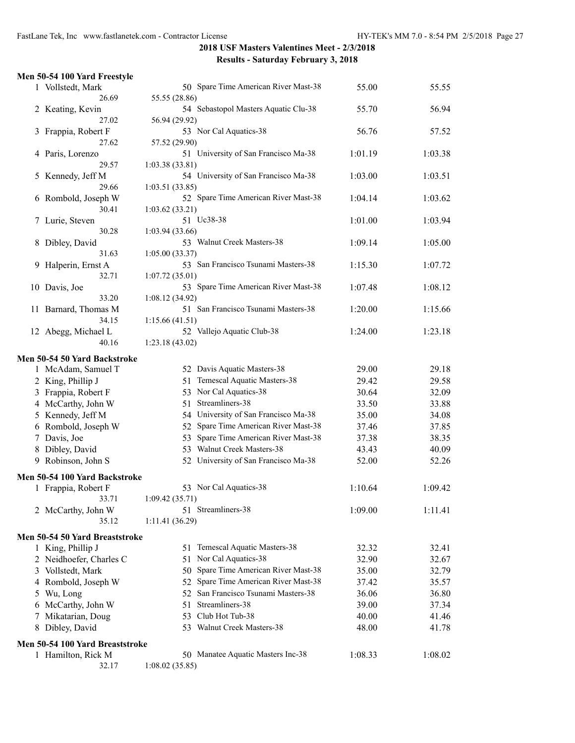|   |                                                     | 540.44                                                 |         |         |
|---|-----------------------------------------------------|--------------------------------------------------------|---------|---------|
|   | Men 50-54 100 Yard Freestyle                        |                                                        |         |         |
|   | 1 Vollstedt, Mark                                   | 50 Spare Time American River Mast-38                   | 55.00   | 55.55   |
|   | 26.69                                               | 55.55 (28.86)                                          |         |         |
|   | 2 Keating, Kevin                                    | 54 Sebastopol Masters Aquatic Clu-38                   | 55.70   | 56.94   |
|   | 27.02                                               | 56.94 (29.92)                                          |         |         |
|   | 3 Frappia, Robert F                                 | 53 Nor Cal Aquatics-38                                 | 56.76   | 57.52   |
|   | 27.62                                               | 57.52 (29.90)                                          |         |         |
|   | 4 Paris, Lorenzo                                    | 51 University of San Francisco Ma-38                   | 1:01.19 | 1:03.38 |
|   | 29.57                                               | 1:03.38(33.81)                                         |         |         |
|   | 5 Kennedy, Jeff M                                   | 54 University of San Francisco Ma-38                   | 1:03.00 | 1:03.51 |
|   | 29.66<br>6 Rombold, Joseph W                        | 1:03.51(33.85)<br>52 Spare Time American River Mast-38 | 1:04.14 | 1:03.62 |
|   | 30.41                                               | 1:03.62(33.21)                                         |         |         |
|   | 7 Lurie, Steven                                     | 51 Uc38-38                                             | 1:01.00 | 1:03.94 |
|   | 30.28                                               | 1:03.94(33.66)                                         |         |         |
| 8 | Dibley, David                                       | 53 Walnut Creek Masters-38                             | 1:09.14 | 1:05.00 |
|   | 31.63                                               | 1:05.00(33.37)                                         |         |         |
| 9 | Halperin, Ernst A                                   | 53 San Francisco Tsunami Masters-38                    | 1:15.30 | 1:07.72 |
|   | 32.71                                               | 1:07.72(35.01)                                         |         |         |
|   | 10 Davis, Joe                                       | 53 Spare Time American River Mast-38                   | 1:07.48 | 1:08.12 |
|   | 33.20                                               | 1:08.12(34.92)                                         |         |         |
|   | 11 Barnard, Thomas M                                | 51 San Francisco Tsunami Masters-38                    | 1:20.00 | 1:15.66 |
|   | 34.15                                               | 1:15.66(41.51)                                         |         |         |
|   | 12 Abegg, Michael L                                 | 52 Vallejo Aquatic Club-38                             | 1:24.00 | 1:23.18 |
|   | 40.16                                               | 1:23.18(43.02)                                         |         |         |
|   | Men 50-54 50 Yard Backstroke                        |                                                        |         |         |
|   | 1 McAdam, Samuel T                                  | 52 Davis Aquatic Masters-38                            | 29.00   | 29.18   |
|   | 2 King, Phillip J                                   | 51 Temescal Aquatic Masters-38                         | 29.42   | 29.58   |
|   | 3 Frappia, Robert F                                 | 53 Nor Cal Aquatics-38                                 | 30.64   | 32.09   |
|   | 4 McCarthy, John W                                  | 51 Streamliners-38                                     | 33.50   | 33.88   |
|   | 5 Kennedy, Jeff M                                   | 54 University of San Francisco Ma-38                   | 35.00   | 34.08   |
|   | 6 Rombold, Joseph W                                 | 52 Spare Time American River Mast-38                   | 37.46   | 37.85   |
|   | 7 Davis, Joe                                        | 53 Spare Time American River Mast-38                   | 37.38   | 38.35   |
|   | 8 Dibley, David                                     | 53 Walnut Creek Masters-38                             | 43.43   | 40.09   |
|   | 9 Robinson, John S                                  | 52 University of San Francisco Ma-38                   | 52.00   | 52.26   |
|   | Men 50-54 100 Yard Backstroke                       |                                                        |         |         |
|   | 1 Frappia, Robert F                                 | 53 Nor Cal Aquatics-38                                 | 1:10.64 | 1:09.42 |
|   | 33.71                                               | 1:09.42(35.71)                                         |         |         |
|   | 2 McCarthy, John W                                  | 51 Streamliners-38                                     | 1:09.00 | 1:11.41 |
|   | 35.12                                               | 1:11.41(36.29)                                         |         |         |
|   |                                                     |                                                        |         |         |
|   | Men 50-54 50 Yard Breaststroke<br>1 King, Phillip J | 51 Temescal Aquatic Masters-38                         | 32.32   | 32.41   |
|   | 2 Neidhoefer, Charles C                             | 51 Nor Cal Aquatics-38                                 | 32.90   | 32.67   |
|   | 3 Vollstedt, Mark                                   | 50 Spare Time American River Mast-38                   | 35.00   | 32.79   |
|   | 4 Rombold, Joseph W                                 | 52 Spare Time American River Mast-38                   | 37.42   | 35.57   |
|   | 5 Wu, Long                                          | 52 San Francisco Tsunami Masters-38                    | 36.06   | 36.80   |
|   | 6 McCarthy, John W                                  | Streamliners-38<br>51                                  | 39.00   | 37.34   |
|   | 7 Mikatarian, Doug                                  | 53 Club Hot Tub-38                                     | 40.00   | 41.46   |
|   | 8 Dibley, David                                     | 53 Walnut Creek Masters-38                             | 48.00   | 41.78   |
|   |                                                     |                                                        |         |         |
|   | Men 50-54 100 Yard Breaststroke                     |                                                        |         |         |
|   | 1 Hamilton, Rick M<br>32.17                         | 50 Manatee Aquatic Masters Inc-38                      | 1:08.33 | 1:08.02 |
|   |                                                     | 1:08.02(35.85)                                         |         |         |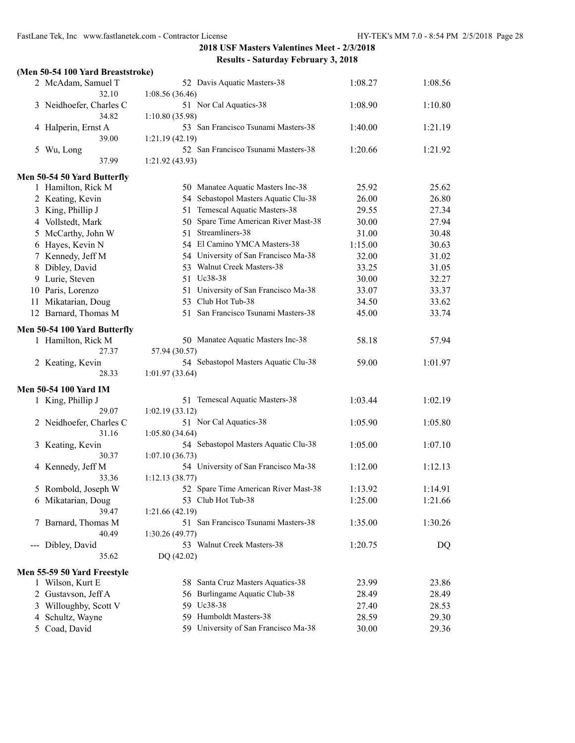|   | (Men 50-54 100 Yard Breaststroke) |                                      |         |         |
|---|-----------------------------------|--------------------------------------|---------|---------|
|   | 2 McAdam, Samuel T                | 52 Davis Aquatic Masters-38          | 1:08.27 | 1:08.56 |
|   | 32.10                             | 1:08.56(36.46)                       |         |         |
|   | 3 Neidhoefer, Charles C           | 51 Nor Cal Aquatics-38               | 1:08.90 | 1:10.80 |
|   | 34.82                             | 1:10.80(35.98)                       |         |         |
|   | 4 Halperin, Ernst A               | 53 San Francisco Tsunami Masters-38  | 1:40.00 | 1:21.19 |
|   | 39.00                             | 1:21.19(42.19)                       |         |         |
| 5 | Wu, Long                          | 52 San Francisco Tsunami Masters-38  | 1:20.66 | 1:21.92 |
|   | 37.99                             | 1:21.92 (43.93)                      |         |         |
|   | Men 50-54 50 Yard Butterfly       |                                      |         |         |
|   | 1 Hamilton, Rick M                | 50 Manatee Aquatic Masters Inc-38    | 25.92   | 25.62   |
|   | 2 Keating, Kevin                  | 54 Sebastopol Masters Aquatic Clu-38 | 26.00   | 26.80   |
|   | 3 King, Phillip J                 | 51 Temescal Aquatic Masters-38       | 29.55   | 27.34   |
|   | 4 Vollstedt, Mark                 | 50 Spare Time American River Mast-38 | 30.00   | 27.94   |
|   | 5 McCarthy, John W                | 51 Streamliners-38                   | 31.00   | 30.48   |
|   | 6 Hayes, Kevin N                  | 54 El Camino YMCA Masters-38         | 1:15.00 | 30.63   |
|   | 7 Kennedy, Jeff M                 | 54 University of San Francisco Ma-38 | 32.00   | 31.02   |
|   | 8 Dibley, David                   | 53 Walnut Creek Masters-38           | 33.25   | 31.05   |
|   | 9 Lurie, Steven                   | 51 Uc38-38                           | 30.00   | 32.27   |
|   | 10 Paris, Lorenzo                 | 51 University of San Francisco Ma-38 | 33.07   | 33.37   |
|   | 11 Mikatarian, Doug               | 53 Club Hot Tub-38                   | 34.50   | 33.62   |
|   | 12 Barnard, Thomas M              | 51 San Francisco Tsunami Masters-38  | 45.00   | 33.74   |
|   |                                   |                                      |         |         |
|   | Men 50-54 100 Yard Butterfly      |                                      |         |         |
|   | 1 Hamilton, Rick M                | 50 Manatee Aquatic Masters Inc-38    | 58.18   | 57.94   |
|   | 27.37                             | 57.94 (30.57)                        |         |         |
|   | 2 Keating, Kevin                  | 54 Sebastopol Masters Aquatic Clu-38 | 59.00   | 1:01.97 |
|   | 28.33                             | 1:01.97(33.64)                       |         |         |
|   | <b>Men 50-54 100 Yard IM</b>      |                                      |         |         |
|   | 1 King, Phillip J                 | 51 Temescal Aquatic Masters-38       | 1:03.44 | 1:02.19 |
|   | 29.07                             | 1:02.19(33.12)                       |         |         |
|   | 2 Neidhoefer, Charles C           | 51 Nor Cal Aquatics-38               | 1:05.90 | 1:05.80 |
|   | 31.16                             | 1:05.80(34.64)                       |         |         |
|   | 3 Keating, Kevin                  | 54 Sebastopol Masters Aquatic Clu-38 | 1:05.00 | 1:07.10 |
|   | 30.37                             | 1:07.10(36.73)                       |         |         |
|   | 4 Kennedy, Jeff M                 | 54 University of San Francisco Ma-38 | 1:12.00 | 1:12.13 |
|   | 33.36                             | 1:12.13(38.77)                       |         |         |
|   | 5 Rombold, Joseph W               | 52 Spare Time American River Mast-38 | 1:13.92 | 1:14.91 |
|   | 6 Mikatarian, Doug                | 53 Club Hot Tub-38                   | 1:25.00 | 1:21.66 |
|   | 39.47                             | 1:21.66 (42.19)                      |         |         |
|   | 7 Barnard, Thomas M               | 51 San Francisco Tsunami Masters-38  | 1:35.00 | 1:30.26 |
|   | 40.49                             | 1:30.26(49.77)                       |         |         |
|   | --- Dibley, David                 | 53 Walnut Creek Masters-38           | 1:20.75 | DQ      |
|   | 35.62                             | DQ (42.02)                           |         |         |
|   | Men 55-59 50 Yard Freestyle       |                                      |         |         |
|   | 1 Wilson, Kurt E                  | 58 Santa Cruz Masters Aquatics-38    | 23.99   | 23.86   |
|   | 2 Gustavson, Jeff A               | 56 Burlingame Aquatic Club-38        | 28.49   | 28.49   |
|   | 3 Willoughby, Scott V             | 59 Uc38-38                           | 27.40   | 28.53   |
| 4 | Schultz, Wayne                    | 59 Humboldt Masters-38               | 28.59   | 29.30   |
|   | 5 Coad, David                     | 59 University of San Francisco Ma-38 | 30.00   | 29.36   |
|   |                                   |                                      |         |         |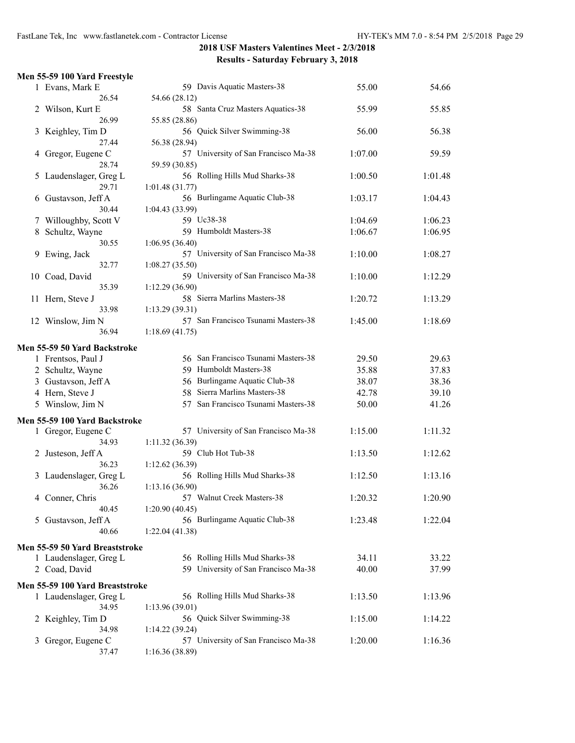|                | Men 55-59 100 Yard Freestyle    |                                      |         |         |
|----------------|---------------------------------|--------------------------------------|---------|---------|
|                | 1 Evans, Mark E                 | 59 Davis Aquatic Masters-38          | 55.00   | 54.66   |
|                | 26.54                           | 54.66 (28.12)                        |         |         |
| $\overline{2}$ | Wilson, Kurt E                  | 58 Santa Cruz Masters Aquatics-38    | 55.99   | 55.85   |
|                | 26.99                           | 55.85 (28.86)                        |         |         |
| 3              | Keighley, Tim D                 | 56 Quick Silver Swimming-38          | 56.00   | 56.38   |
|                | 27.44                           | 56.38 (28.94)                        |         |         |
| 4              | Gregor, Eugene C                | 57 University of San Francisco Ma-38 | 1:07.00 | 59.59   |
|                | 28.74                           | 59.59 (30.85)                        |         |         |
| 5              | Laudenslager, Greg L            | 56 Rolling Hills Mud Sharks-38       | 1:00.50 | 1:01.48 |
|                | 29.71                           | 1:01.48(31.77)                       |         |         |
| 6              | Gustavson, Jeff A               | 56 Burlingame Aquatic Club-38        | 1:03.17 | 1:04.43 |
|                | 30.44                           | 1:04.43(33.99)                       |         |         |
|                | 7 Willoughby, Scott V           | 59 Uc38-38                           | 1:04.69 | 1:06.23 |
| 8              | Schultz, Wayne                  | 59 Humboldt Masters-38               | 1:06.67 | 1:06.95 |
|                | 30.55                           | 1:06.95(36.40)                       |         |         |
| 9              | Ewing, Jack                     | 57 University of San Francisco Ma-38 | 1:10.00 | 1:08.27 |
|                | 32.77                           | 1:08.27(35.50)                       |         |         |
|                | 10 Coad, David                  | 59 University of San Francisco Ma-38 | 1:10.00 | 1:12.29 |
|                | 35.39                           | 1:12.29(36.90)                       |         |         |
|                | 11 Hern, Steve J                | 58 Sierra Marlins Masters-38         | 1:20.72 | 1:13.29 |
|                | 33.98                           | 1:13.29(39.31)                       |         |         |
|                |                                 | 57 San Francisco Tsunami Masters-38  |         | 1:18.69 |
|                | 12 Winslow, Jim N<br>36.94      |                                      | 1:45.00 |         |
|                |                                 | 1:18.69(41.75)                       |         |         |
|                | Men 55-59 50 Yard Backstroke    |                                      |         |         |
|                | 1 Frentsos, Paul J              | 56 San Francisco Tsunami Masters-38  | 29.50   | 29.63   |
|                | 2 Schultz, Wayne                | 59 Humboldt Masters-38               | 35.88   | 37.83   |
|                | 3 Gustavson, Jeff A             | 56 Burlingame Aquatic Club-38        | 38.07   | 38.36   |
|                | 4 Hern, Steve J                 | 58 Sierra Marlins Masters-38         | 42.78   | 39.10   |
|                | 5 Winslow, Jim N                | 57 San Francisco Tsunami Masters-38  | 50.00   | 41.26   |
|                |                                 |                                      |         |         |
|                | Men 55-59 100 Yard Backstroke   |                                      |         |         |
|                | 1 Gregor, Eugene C              | 57 University of San Francisco Ma-38 | 1:15.00 | 1:11.32 |
|                | 34.93                           | 1:11.32(36.39)                       |         |         |
| 2              | Justeson, Jeff A                | 59 Club Hot Tub-38                   | 1:13.50 | 1:12.62 |
|                | 36.23                           | 1:12.62 (36.39)                      |         |         |
|                | 3 Laudenslager, Greg L          | 56 Rolling Hills Mud Sharks-38       | 1:12.50 | 1:13.16 |
|                | 36.26                           | 1:13.16(36.90)                       |         |         |
|                | 4 Conner, Chris                 | 57 Walnut Creek Masters-38           | 1:20.32 | 1:20.90 |
|                | 40.45                           | 1:20.90(40.45)                       |         |         |
| 5              | Gustavson, Jeff A               | 56 Burlingame Aquatic Club-38        | 1:23.48 | 1:22.04 |
|                | 40.66                           | 1:22.04(41.38)                       |         |         |
|                | Men 55-59 50 Yard Breaststroke  |                                      |         |         |
|                | 1 Laudenslager, Greg L          | 56 Rolling Hills Mud Sharks-38       | 34.11   | 33.22   |
|                | 2 Coad, David                   | 59 University of San Francisco Ma-38 | 40.00   | 37.99   |
|                |                                 |                                      |         |         |
|                | Men 55-59 100 Yard Breaststroke |                                      |         |         |
|                | 1 Laudenslager, Greg L          | 56 Rolling Hills Mud Sharks-38       | 1:13.50 | 1:13.96 |
|                | 34.95                           | 1:13.96(39.01)                       |         |         |
|                | 2 Keighley, Tim D               | 56 Quick Silver Swimming-38          | 1:15.00 | 1:14.22 |
|                | 34.98                           | 1:14.22(39.24)                       |         |         |
| 3              | Gregor, Eugene C                | 57 University of San Francisco Ma-38 | 1:20.00 | 1:16.36 |
|                | 37.47                           | 1:16.36(38.89)                       |         |         |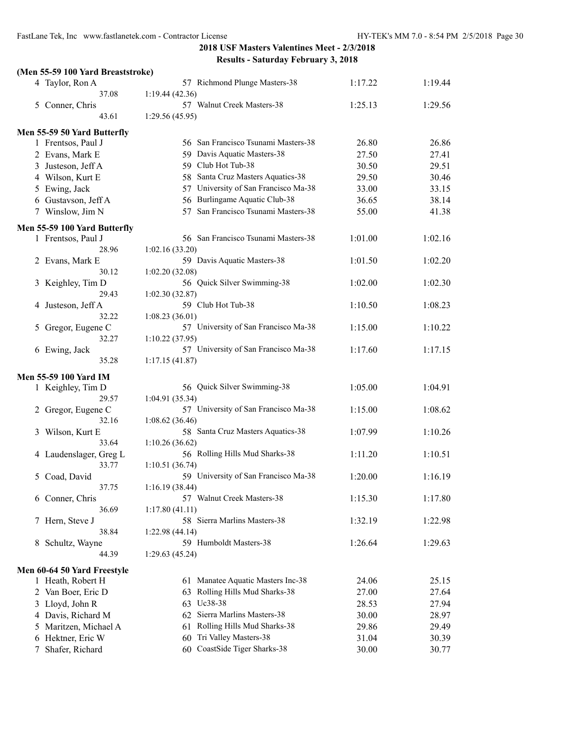#### **(Men 55-59 100 Yard Breaststroke)**

|   | 4 Taylor, Ron A              | 57 Richmond Plunge Masters-38          | 1:17.22 | 1:19.44 |
|---|------------------------------|----------------------------------------|---------|---------|
|   | 37.08                        | 1:19.44(42.36)                         |         |         |
|   | 5 Conner, Chris              | 57 Walnut Creek Masters-38             | 1:25.13 | 1:29.56 |
|   | 43.61                        | 1:29.56(45.95)                         |         |         |
|   | Men 55-59 50 Yard Butterfly  |                                        |         |         |
|   | 1 Frentsos, Paul J           | 56 San Francisco Tsunami Masters-38    | 26.80   | 26.86   |
|   | 2 Evans, Mark E              | 59 Davis Aquatic Masters-38            | 27.50   | 27.41   |
|   | 3 Justeson, Jeff A           | 59 Club Hot Tub-38                     | 30.50   | 29.51   |
|   | 4 Wilson, Kurt E             | 58 Santa Cruz Masters Aquatics-38      | 29.50   | 30.46   |
|   | 5 Ewing, Jack                | 57 University of San Francisco Ma-38   | 33.00   | 33.15   |
|   | 6 Gustavson, Jeff A          | 56 Burlingame Aquatic Club-38          | 36.65   | 38.14   |
|   | 7 Winslow, Jim N             | San Francisco Tsunami Masters-38<br>57 | 55.00   | 41.38   |
|   | Men 55-59 100 Yard Butterfly |                                        |         |         |
|   | 1 Frentsos, Paul J           | 56 San Francisco Tsunami Masters-38    | 1:01.00 | 1:02.16 |
|   | 28.96                        | 1:02.16 (33.20)                        |         |         |
|   | 2 Evans, Mark E              | 59 Davis Aquatic Masters-38            | 1:01.50 | 1:02.20 |
|   | 30.12                        | 1:02.20(32.08)                         |         |         |
|   | 3 Keighley, Tim D            | 56 Quick Silver Swimming-38            | 1:02.00 | 1:02.30 |
|   | 29.43                        | 1:02.30(32.87)                         |         |         |
|   | 4 Justeson, Jeff A           | 59 Club Hot Tub-38                     | 1:10.50 | 1:08.23 |
|   | 32.22                        | 1:08.23(36.01)                         |         |         |
| 5 | Gregor, Eugene C             | 57 University of San Francisco Ma-38   | 1:15.00 | 1:10.22 |
|   | 32.27                        | 1:10.22 (37.95)                        |         |         |
|   | 6 Ewing, Jack                | 57 University of San Francisco Ma-38   | 1:17.60 | 1:17.15 |
|   | 35.28                        | 1:17.15(41.87)                         |         |         |
|   | Men 55-59 100 Yard IM        |                                        |         |         |
|   | 1 Keighley, Tim D            | 56 Quick Silver Swimming-38            | 1:05.00 | 1:04.91 |
|   | 29.57                        | 1:04.91(35.34)                         |         |         |
|   | 2 Gregor, Eugene C           | 57 University of San Francisco Ma-38   | 1:15.00 | 1:08.62 |
|   | 32.16                        | 1:08.62(36.46)                         |         |         |
|   | 3 Wilson, Kurt E             | 58 Santa Cruz Masters Aquatics-38      | 1:07.99 | 1:10.26 |
|   | 33.64                        | 1:10.26(36.62)                         |         |         |
|   | 4 Laudenslager, Greg L       | 56 Rolling Hills Mud Sharks-38         | 1:11.20 | 1:10.51 |
|   | 33.77                        | 1:10.51(36.74)                         |         |         |
|   | 5 Coad, David                | 59 University of San Francisco Ma-38   | 1:20.00 | 1:16.19 |
|   | 37.75                        | 1:16.19(38.44)                         |         |         |
|   | 6 Conner, Chris              | 57 Walnut Creek Masters-38             | 1:15.30 | 1:17.80 |
|   | 36.69                        | 1:17.80(41.11)                         |         |         |
|   | 7 Hern, Steve J              | 58 Sierra Marlins Masters-38           | 1:32.19 | 1:22.98 |
|   | 38.84                        | 1:22.98(44.14)                         |         |         |
|   | 8 Schultz, Wayne             | 59 Humboldt Masters-38                 | 1:26.64 | 1:29.63 |
|   | 44.39                        | 1:29.63(45.24)                         |         |         |
|   | Men 60-64 50 Yard Freestyle  |                                        |         |         |
|   | 1 Heath, Robert H            | 61 Manatee Aquatic Masters Inc-38      | 24.06   | 25.15   |
|   | 2 Van Boer, Eric D           | Rolling Hills Mud Sharks-38<br>63      | 27.00   | 27.64   |
|   | 3 Lloyd, John R              | Uc38-38<br>63                          | 28.53   | 27.94   |
|   | 4 Davis, Richard M           | Sierra Marlins Masters-38<br>62        | 30.00   | 28.97   |
|   | 5 Maritzen, Michael A        | Rolling Hills Mud Sharks-38<br>61      | 29.86   | 29.49   |
|   | 6 Hektner, Eric W            | Tri Valley Masters-38<br>60            | 31.04   | 30.39   |
| 7 | Shafer, Richard              | 60 CoastSide Tiger Sharks-38           | 30.00   | 30.77   |
|   |                              |                                        |         |         |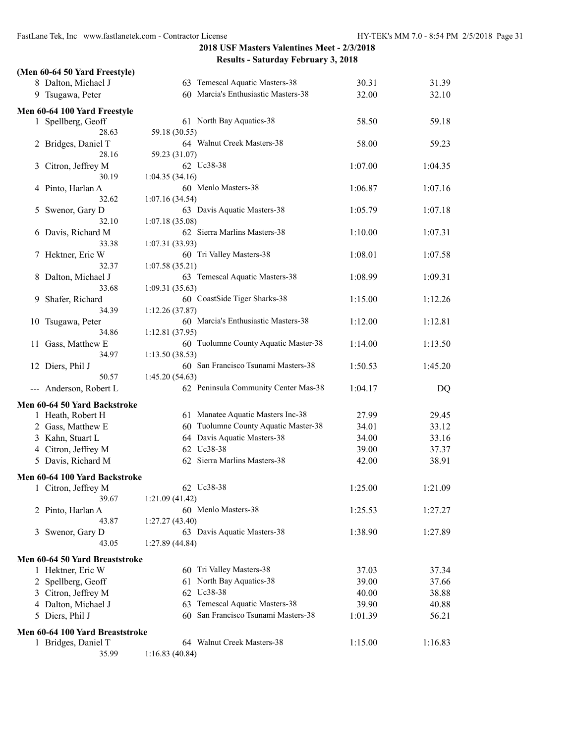|   | (Men 60-64 50 Yard Freestyle)   |                                                |         |         |
|---|---------------------------------|------------------------------------------------|---------|---------|
|   | 8 Dalton, Michael J             | 63 Temescal Aquatic Masters-38                 | 30.31   | 31.39   |
|   | 9 Tsugawa, Peter                | 60 Marcia's Enthusiastic Masters-38            | 32.00   | 32.10   |
|   |                                 |                                                |         |         |
|   | Men 60-64 100 Yard Freestyle    | 61 North Bay Aquatics-38                       | 58.50   | 59.18   |
|   | 1 Spellberg, Geoff<br>28.63     | 59.18 (30.55)                                  |         |         |
| 2 | Bridges, Daniel T               | 64 Walnut Creek Masters-38                     | 58.00   | 59.23   |
|   | 28.16                           | 59.23 (31.07)                                  |         |         |
| 3 | Citron, Jeffrey M               | 62 Uc38-38                                     | 1:07.00 | 1:04.35 |
|   | 30.19                           | 1:04.35(34.16)                                 |         |         |
| 4 | Pinto, Harlan A                 | 60 Menlo Masters-38                            | 1:06.87 | 1:07.16 |
|   | 32.62                           | 1:07.16(34.54)                                 |         |         |
| 5 | Swenor, Gary D                  | 63 Davis Aquatic Masters-38                    | 1:05.79 | 1:07.18 |
|   | 32.10                           | 1:07.18(35.08)                                 |         |         |
| 6 | Davis, Richard M                | 62 Sierra Marlins Masters-38                   | 1:10.00 | 1:07.31 |
|   | 33.38                           | 1:07.31(33.93)                                 |         |         |
| 7 | Hektner, Eric W                 | 60 Tri Valley Masters-38                       | 1:08.01 | 1:07.58 |
|   | 32.37                           | 1:07.58(35.21)                                 |         |         |
| 8 | Dalton, Michael J               | 63 Temescal Aquatic Masters-38                 | 1:08.99 | 1:09.31 |
|   | 33.68                           | 1:09.31(35.63)<br>60 CoastSide Tiger Sharks-38 |         |         |
| 9 | Shafer, Richard<br>34.39        | 1:12.26(37.87)                                 | 1:15.00 | 1:12.26 |
|   | 10 Tsugawa, Peter               | 60 Marcia's Enthusiastic Masters-38            | 1:12.00 | 1:12.81 |
|   | 34.86                           | 1:12.81(37.95)                                 |         |         |
|   | 11 Gass, Matthew E              | 60 Tuolumne County Aquatic Master-38           | 1:14.00 | 1:13.50 |
|   | 34.97                           | 1:13.50(38.53)                                 |         |         |
|   | 12 Diers, Phil J                | 60 San Francisco Tsunami Masters-38            | 1:50.53 | 1:45.20 |
|   | 50.57                           | 1:45.20 (54.63)                                |         |         |
|   | --- Anderson, Robert L          | 62 Peninsula Community Center Mas-38           | 1:04.17 | DQ      |
|   | Men 60-64 50 Yard Backstroke    |                                                |         |         |
|   | 1 Heath, Robert H               | 61 Manatee Aquatic Masters Inc-38              | 27.99   | 29.45   |
|   | 2 Gass, Matthew E               | 60 Tuolumne County Aquatic Master-38           | 34.01   | 33.12   |
|   | 3 Kahn, Stuart L                | 64 Davis Aquatic Masters-38                    | 34.00   | 33.16   |
|   | 4 Citron, Jeffrey M             | 62 Uc38-38                                     | 39.00   | 37.37   |
|   | 5 Davis, Richard M              | 62 Sierra Marlins Masters-38                   | 42.00   | 38.91   |
|   | Men 60-64 100 Yard Backstroke   |                                                |         |         |
|   | 1 Citron, Jeffrey M             | 62 Uc38-38                                     | 1:25.00 | 1:21.09 |
|   | 39.67                           | 1:21.09(41.42)                                 |         |         |
|   | 2 Pinto, Harlan A               | 60 Menlo Masters-38                            | 1:25.53 | 1:27.27 |
|   | 43.87                           | 1:27.27(43.40)                                 |         |         |
| 3 | Swenor, Gary D                  | 63 Davis Aquatic Masters-38                    | 1:38.90 | 1:27.89 |
|   | 43.05                           | 1:27.89(44.84)                                 |         |         |
|   | Men 60-64 50 Yard Breaststroke  |                                                |         |         |
|   | 1 Hektner, Eric W               | 60 Tri Valley Masters-38                       | 37.03   | 37.34   |
|   | 2 Spellberg, Geoff              | 61 North Bay Aquatics-38                       | 39.00   | 37.66   |
|   | 3 Citron, Jeffrey M             | 62 Uc38-38                                     | 40.00   | 38.88   |
|   | 4 Dalton, Michael J             | 63 Temescal Aquatic Masters-38                 | 39.90   | 40.88   |
|   | 5 Diers, Phil J                 | 60 San Francisco Tsunami Masters-38            | 1:01.39 | 56.21   |
|   | Men 60-64 100 Yard Breaststroke |                                                |         |         |
|   | 1 Bridges, Daniel T             | 64 Walnut Creek Masters-38                     | 1:15.00 | 1:16.83 |
|   | 35.99                           | 1:16.83(40.84)                                 |         |         |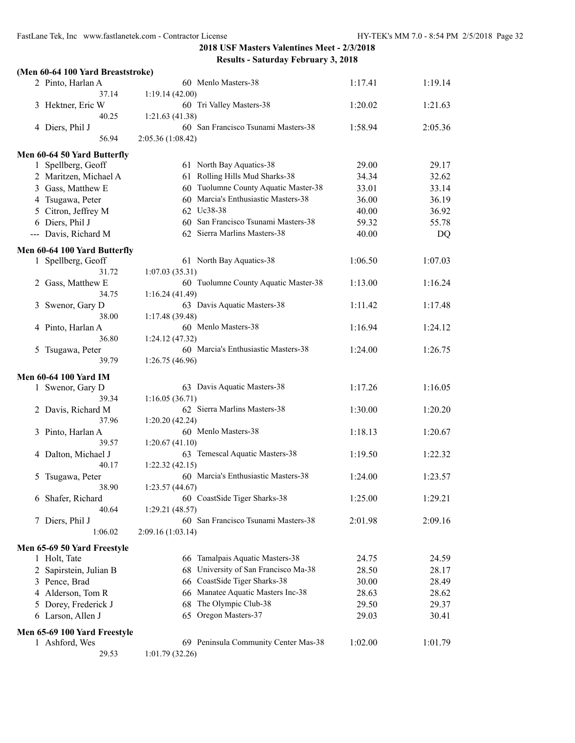#### **(Men 60-64 100 Yard Breaststroke)**

| 2 Pinto, Harlan A                           | 60 Menlo Masters-38                                   | 1:17.41 | 1:19.14 |
|---------------------------------------------|-------------------------------------------------------|---------|---------|
| 37.14                                       | 1:19.14(42.00)                                        |         |         |
| 3 Hektner, Eric W                           | 60 Tri Valley Masters-38                              | 1:20.02 | 1:21.63 |
| 40.25                                       | 1:21.63(41.38)<br>60 San Francisco Tsunami Masters-38 |         |         |
| 4 Diers, Phil J<br>56.94                    |                                                       | 1:58.94 | 2:05.36 |
|                                             | 2:05.36 (1:08.42)                                     |         |         |
| Men 60-64 50 Yard Butterfly                 |                                                       |         |         |
| 1 Spellberg, Geoff                          | 61 North Bay Aquatics-38                              | 29.00   | 29.17   |
| 2 Maritzen, Michael A                       | 61 Rolling Hills Mud Sharks-38                        | 34.34   | 32.62   |
| 3 Gass, Matthew E                           | 60 Tuolumne County Aquatic Master-38                  | 33.01   | 33.14   |
| 4 Tsugawa, Peter                            | 60 Marcia's Enthusiastic Masters-38                   | 36.00   | 36.19   |
| 5 Citron, Jeffrey M                         | 62 Uc38-38                                            | 40.00   | 36.92   |
| 6 Diers, Phil J                             | 60 San Francisco Tsunami Masters-38                   | 59.32   | 55.78   |
| --- Davis, Richard M                        | 62 Sierra Marlins Masters-38                          | 40.00   | DQ      |
| Men 60-64 100 Yard Butterfly                |                                                       |         |         |
| 1 Spellberg, Geoff                          | 61 North Bay Aquatics-38                              | 1:06.50 | 1:07.03 |
| 31.72                                       | 1:07.03(35.31)                                        |         |         |
| 2 Gass, Matthew E                           | 60 Tuolumne County Aquatic Master-38                  | 1:13.00 | 1:16.24 |
| 34.75                                       | 1:16.24(41.49)                                        |         |         |
| 3 Swenor, Gary D                            | 63 Davis Aquatic Masters-38                           | 1:11.42 | 1:17.48 |
| 38.00                                       | 1:17.48 (39.48)                                       |         |         |
| 4 Pinto, Harlan A                           | 60 Menlo Masters-38                                   | 1:16.94 | 1:24.12 |
| 36.80                                       | 1:24.12(47.32)                                        |         |         |
| 5 Tsugawa, Peter                            | 60 Marcia's Enthusiastic Masters-38                   | 1:24.00 | 1:26.75 |
| 39.79                                       | 1:26.75(46.96)                                        |         |         |
| Men 60-64 100 Yard IM                       |                                                       |         |         |
| 1 Swenor, Gary D                            | 63 Davis Aquatic Masters-38                           | 1:17.26 | 1:16.05 |
| 39.34                                       | 1:16.05(36.71)                                        |         |         |
| 2 Davis, Richard M                          | 62 Sierra Marlins Masters-38                          | 1:30.00 | 1:20.20 |
| 37.96                                       | 1:20.20(42.24)                                        |         |         |
| 3 Pinto, Harlan A                           | 60 Menlo Masters-38                                   | 1:18.13 | 1:20.67 |
| 39.57                                       | 1:20.67(41.10)                                        |         |         |
| 4 Dalton, Michael J                         | 63 Temescal Aquatic Masters-38                        | 1:19.50 | 1:22.32 |
| 40.17                                       | 1:22.32(42.15)<br>60 Marcia's Enthusiastic Masters-38 |         |         |
| 5 Tsugawa, Peter<br>38.90                   | 1:23.57(44.67)                                        | 1:24.00 | 1:23.57 |
| 6 Shafer, Richard                           | 60 CoastSide Tiger Sharks-38                          | 1:25.00 | 1:29.21 |
| 40.64                                       | 1:29.21(48.57)                                        |         |         |
| 7 Diers, Phil J                             | 60 San Francisco Tsunami Masters-38                   | 2:01.98 | 2:09.16 |
| 1:06.02                                     | 2:09.16 (1:03.14)                                     |         |         |
|                                             |                                                       |         |         |
| Men 65-69 50 Yard Freestyle<br>1 Holt, Tate | 66 Tamalpais Aquatic Masters-38                       | 24.75   | 24.59   |
| 2 Sapirstein, Julian B                      | 68 University of San Francisco Ma-38                  | 28.50   | 28.17   |
| 3 Pence, Brad                               | CoastSide Tiger Sharks-38<br>66                       | 30.00   | 28.49   |
| 4 Alderson, Tom R                           | 66 Manatee Aquatic Masters Inc-38                     | 28.63   | 28.62   |
| 5 Dorey, Frederick J                        | The Olympic Club-38<br>68                             | 29.50   | 29.37   |
| 6 Larson, Allen J                           | 65 Oregon Masters-37                                  | 29.03   | 30.41   |
|                                             |                                                       |         |         |
| Men 65-69 100 Yard Freestyle                |                                                       |         |         |
| 1 Ashford, Wes                              | 69 Peninsula Community Center Mas-38                  | 1:02.00 | 1:01.79 |
| 29.53                                       | 1:01.79(32.26)                                        |         |         |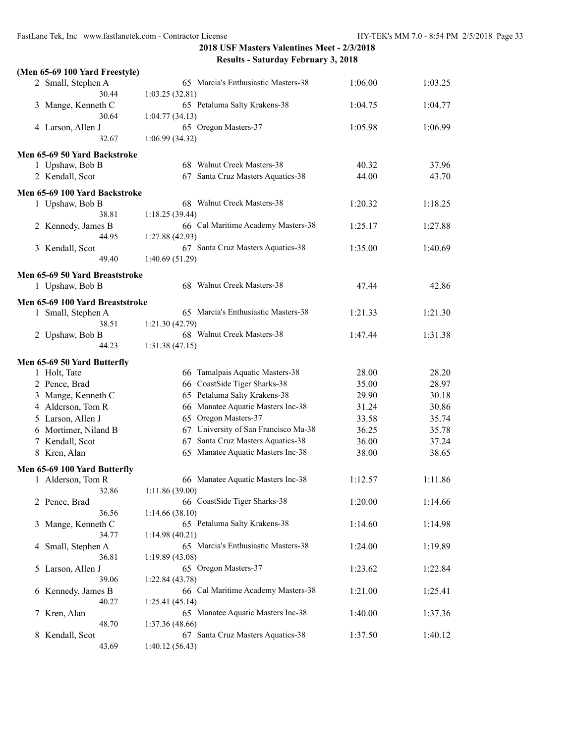FastLane Tek, Inc www.fastlanetek.com - Contractor License HY-TEK's MM 7.0 - 8:54 PM 2/5/2018 Page 33

|   | (Men 65-69 100 Yard Freestyle)  |                                                       |         |         |
|---|---------------------------------|-------------------------------------------------------|---------|---------|
|   | 2 Small, Stephen A<br>30.44     | 65 Marcia's Enthusiastic Masters-38<br>1:03.25(32.81) | 1:06.00 | 1:03.25 |
|   |                                 | 65 Petaluma Salty Krakens-38                          | 1:04.75 | 1:04.77 |
|   | 3 Mange, Kenneth C<br>30.64     | 1:04.77(34.13)                                        |         |         |
|   | 4 Larson, Allen J               | 65 Oregon Masters-37                                  | 1:05.98 | 1:06.99 |
|   | 32.67                           | 1:06.99(34.32)                                        |         |         |
|   | Men 65-69 50 Yard Backstroke    |                                                       |         |         |
|   | 1 Upshaw, Bob B                 | 68 Walnut Creek Masters-38                            | 40.32   | 37.96   |
|   | 2 Kendall, Scot                 | 67 Santa Cruz Masters Aquatics-38                     | 44.00   | 43.70   |
|   | Men 65-69 100 Yard Backstroke   |                                                       |         |         |
|   | 1 Upshaw, Bob B                 | 68 Walnut Creek Masters-38                            | 1:20.32 | 1:18.25 |
|   | 38.81                           | 1:18.25(39.44)                                        |         |         |
|   | 2 Kennedy, James B              | 66 Cal Maritime Academy Masters-38                    | 1:25.17 | 1:27.88 |
|   | 44.95                           | 1:27.88(42.93)                                        |         |         |
|   | 3 Kendall, Scot                 | 67 Santa Cruz Masters Aquatics-38                     | 1:35.00 | 1:40.69 |
|   | 49.40                           | 1:40.69 (51.29)                                       |         |         |
|   | Men 65-69 50 Yard Breaststroke  |                                                       |         |         |
|   | 1 Upshaw, Bob B                 | 68 Walnut Creek Masters-38                            | 47.44   | 42.86   |
|   | Men 65-69 100 Yard Breaststroke |                                                       |         |         |
|   | 1 Small, Stephen A              | 65 Marcia's Enthusiastic Masters-38                   | 1:21.33 | 1:21.30 |
|   | 38.51                           | 1:21.30(42.79)                                        |         |         |
|   | 2 Upshaw, Bob B                 | 68 Walnut Creek Masters-38                            | 1:47.44 | 1:31.38 |
|   | 44.23                           | 1:31.38(47.15)                                        |         |         |
|   | Men 65-69 50 Yard Butterfly     |                                                       |         |         |
|   | 1 Holt, Tate                    | Tamalpais Aquatic Masters-38<br>66                    | 28.00   | 28.20   |
|   | 2 Pence, Brad                   | 66 CoastSide Tiger Sharks-38                          | 35.00   | 28.97   |
|   | 3 Mange, Kenneth C              | 65 Petaluma Salty Krakens-38                          | 29.90   | 30.18   |
|   | 4 Alderson, Tom R               | 66 Manatee Aquatic Masters Inc-38                     | 31.24   | 30.86   |
|   | 5 Larson, Allen J               | 65 Oregon Masters-37                                  | 33.58   | 35.74   |
|   | 6 Mortimer, Niland B            | 67 University of San Francisco Ma-38                  | 36.25   | 35.78   |
|   | 7 Kendall, Scot                 | 67 Santa Cruz Masters Aquatics-38                     | 36.00   | 37.24   |
|   | 8 Kren, Alan                    | 65 Manatee Aquatic Masters Inc-38                     | 38.00   | 38.65   |
|   | Men 65-69 100 Yard Butterfly    |                                                       |         |         |
|   | 1 Alderson, Tom R               | 66 Manatee Aquatic Masters Inc-38                     | 1:12.57 | 1:11.86 |
|   | 32.86                           | 1:11.86(39.00)                                        |         |         |
|   | 2 Pence, Brad                   | 66 CoastSide Tiger Sharks-38                          | 1:20.00 | 1:14.66 |
|   | 36.56                           | 1:14.66(38.10)                                        |         |         |
|   | 3 Mange, Kenneth C              | 65 Petaluma Salty Krakens-38                          | 1:14.60 | 1:14.98 |
|   | 34.77                           | 1:14.98(40.21)                                        |         |         |
|   | 4 Small, Stephen A<br>36.81     | 65 Marcia's Enthusiastic Masters-38                   | 1:24.00 | 1:19.89 |
|   | 5 Larson, Allen J               | 1:19.89(43.08)<br>65 Oregon Masters-37                | 1:23.62 | 1:22.84 |
|   | 39.06                           | 1:22.84(43.78)                                        |         |         |
| 6 | Kennedy, James B                | 66 Cal Maritime Academy Masters-38                    | 1:21.00 | 1:25.41 |
|   | 40.27                           | 1:25.41(45.14)                                        |         |         |
| Τ | Kren, Alan                      | 65 Manatee Aquatic Masters Inc-38                     | 1:40.00 | 1:37.36 |
|   | 48.70                           | 1:37.36(48.66)                                        |         |         |
| 8 | Kendall, Scot                   | 67 Santa Cruz Masters Aquatics-38                     | 1:37.50 | 1:40.12 |
|   | 43.69                           | 1:40.12(56.43)                                        |         |         |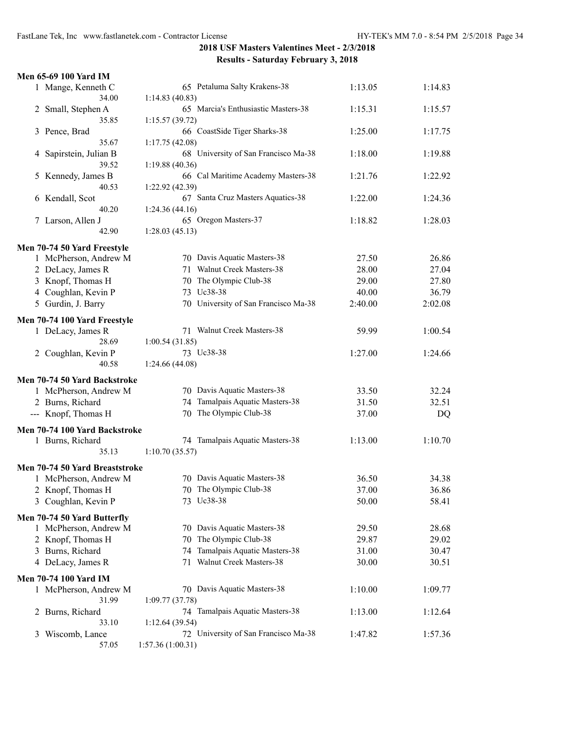| Men 65-69 100 Yard IM          |                                      |         |         |
|--------------------------------|--------------------------------------|---------|---------|
| 1 Mange, Kenneth C             | 65 Petaluma Salty Krakens-38         | 1:13.05 | 1:14.83 |
| 34.00                          | 1:14.83(40.83)                       |         |         |
| 2 Small, Stephen A             | 65 Marcia's Enthusiastic Masters-38  | 1:15.31 | 1:15.57 |
| 35.85                          | 1:15.57(39.72)                       |         |         |
| Pence, Brad<br>3               | 66 CoastSide Tiger Sharks-38         | 1:25.00 | 1:17.75 |
| 35.67                          | 1:17.75(42.08)                       |         |         |
| Sapirstein, Julian B<br>4      | 68 University of San Francisco Ma-38 | 1:18.00 | 1:19.88 |
| 39.52                          | 1:19.88 (40.36)                      |         |         |
| Kennedy, James B<br>5          | 66 Cal Maritime Academy Masters-38   | 1:21.76 | 1:22.92 |
| 40.53                          | 1:22.92(42.39)                       |         |         |
| 6 Kendall, Scot                | 67 Santa Cruz Masters Aquatics-38    | 1:22.00 | 1:24.36 |
| 40.20                          | 1:24.36(44.16)                       |         |         |
| Larson, Allen J<br>7.          | 65 Oregon Masters-37                 | 1:18.82 | 1:28.03 |
| 42.90                          | 1:28.03(45.13)                       |         |         |
| Men 70-74 50 Yard Freestyle    |                                      |         |         |
| 1 McPherson, Andrew M          | 70 Davis Aquatic Masters-38          | 27.50   | 26.86   |
| 2 DeLacy, James R              | 71 Walnut Creek Masters-38           | 28.00   | 27.04   |
| 3 Knopf, Thomas H              | 70 The Olympic Club-38               | 29.00   | 27.80   |
| 4 Coughlan, Kevin P            | 73 Uc38-38                           | 40.00   | 36.79   |
| 5 Gurdin, J. Barry             | 70 University of San Francisco Ma-38 | 2:40.00 | 2:02.08 |
| Men 70-74 100 Yard Freestyle   |                                      |         |         |
| 1 DeLacy, James R              | 71 Walnut Creek Masters-38           | 59.99   | 1:00.54 |
| 28.69                          | 1:00.54(31.85)                       |         |         |
| 2 Coughlan, Kevin P            | 73 Uc38-38                           | 1:27.00 | 1:24.66 |
| 40.58                          | 1:24.66 (44.08)                      |         |         |
|                                |                                      |         |         |
| Men 70-74 50 Yard Backstroke   |                                      |         |         |
| 1 McPherson, Andrew M          | 70 Davis Aquatic Masters-38          | 33.50   | 32.24   |
| 2 Burns, Richard               | 74 Tamalpais Aquatic Masters-38      | 31.50   | 32.51   |
| --- Knopf, Thomas H            | 70 The Olympic Club-38               | 37.00   | DQ      |
| Men 70-74 100 Yard Backstroke  |                                      |         |         |
| 1 Burns, Richard               | 74 Tamalpais Aquatic Masters-38      | 1:13.00 | 1:10.70 |
| 35.13                          | 1:10.70(35.57)                       |         |         |
| Men 70-74 50 Yard Breaststroke |                                      |         |         |
| 1 McPherson, Andrew M          | 70 Davis Aquatic Masters-38          | 36.50   | 34.38   |
| 2 Knopf, Thomas H              | 70 The Olympic Club-38               | 37.00   | 36.86   |
| 3 Coughlan, Kevin P            | 73 Uc38-38                           | 50.00   | 58.41   |
|                                |                                      |         |         |
| Men 70-74 50 Yard Butterfly    |                                      |         |         |
| 1 McPherson, Andrew M          | 70 Davis Aquatic Masters-38          | 29.50   | 28.68   |
| 2 Knopf, Thomas H              | 70 The Olympic Club-38               | 29.87   | 29.02   |
| 3 Burns, Richard               | 74 Tamalpais Aquatic Masters-38      | 31.00   | 30.47   |
| 4 DeLacy, James R              | 71 Walnut Creek Masters-38           | 30.00   | 30.51   |
| <b>Men 70-74 100 Yard IM</b>   |                                      |         |         |
| 1 McPherson, Andrew M          | 70 Davis Aquatic Masters-38          | 1:10.00 | 1:09.77 |
| 31.99                          | 1:09.77(37.78)                       |         |         |
| Burns, Richard<br>2            | 74 Tamalpais Aquatic Masters-38      | 1:13.00 | 1:12.64 |
| 33.10                          | 1:12.64(39.54)                       |         |         |
| Wiscomb, Lance<br>3            | 72 University of San Francisco Ma-38 | 1:47.82 | 1:57.36 |
| 57.05                          | 1:57.36 (1:00.31)                    |         |         |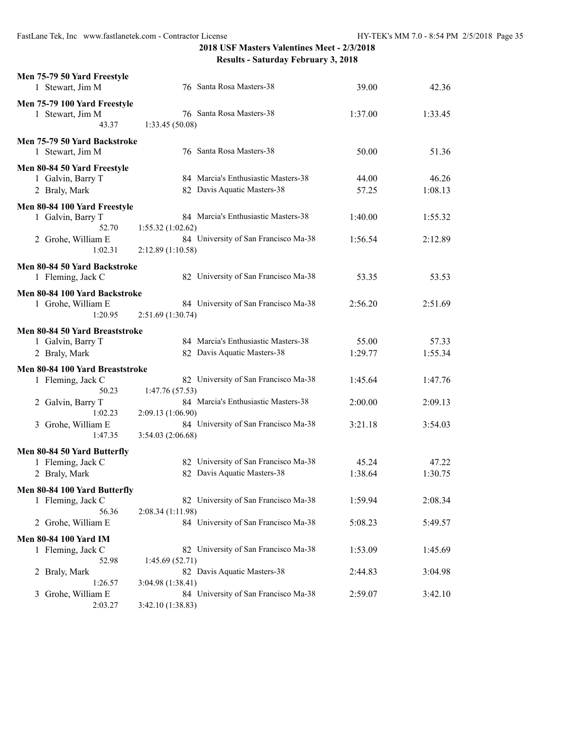| Men 75-79 50 Yard Freestyle<br>1 Stewart, Jim M                      | 76 Santa Rosa Masters-38                                                                         | 39.00              | 42.36              |
|----------------------------------------------------------------------|--------------------------------------------------------------------------------------------------|--------------------|--------------------|
| Men 75-79 100 Yard Freestyle<br>1 Stewart, Jim M<br>43.37            | 76 Santa Rosa Masters-38<br>1:33.45 (50.08)                                                      | 1:37.00            | 1:33.45            |
| Men 75-79 50 Yard Backstroke<br>1 Stewart, Jim M                     | 76 Santa Rosa Masters-38                                                                         | 50.00              | 51.36              |
| Men 80-84 50 Yard Freestyle<br>1 Galvin, Barry T<br>2 Braly, Mark    | 84 Marcia's Enthusiastic Masters-38<br>82 Davis Aquatic Masters-38                               | 44.00<br>57.25     | 46.26<br>1:08.13   |
| Men 80-84 100 Yard Freestyle<br>1 Galvin, Barry T<br>52.70           | 84 Marcia's Enthusiastic Masters-38<br>1:55.32(1:02.62)                                          | 1:40.00            | 1:55.32            |
| 2 Grohe, William E<br>1:02.31                                        | 84 University of San Francisco Ma-38<br>2:12.89 (1:10.58)                                        | 1:56.54            | 2:12.89            |
| Men 80-84 50 Yard Backstroke<br>1 Fleming, Jack C                    | 82 University of San Francisco Ma-38                                                             | 53.35              | 53.53              |
| Men 80-84 100 Yard Backstroke<br>1 Grohe, William E<br>1:20.95       | 84 University of San Francisco Ma-38<br>2:51.69 (1:30.74)                                        | 2:56.20            | 2:51.69            |
| Men 80-84 50 Yard Breaststroke<br>1 Galvin, Barry T<br>2 Braly, Mark | 84 Marcia's Enthusiastic Masters-38<br>82 Davis Aquatic Masters-38                               | 55.00<br>1:29.77   | 57.33<br>1:55.34   |
| Men 80-84 100 Yard Breaststroke<br>1 Fleming, Jack C<br>50.23        | 82 University of San Francisco Ma-38<br>1:47.76 (57.53)                                          | 1:45.64            | 1:47.76            |
| 2 Galvin, Barry T<br>1:02.23<br>3 Grohe, William E                   | 84 Marcia's Enthusiastic Masters-38<br>2:09.13 (1:06.90)<br>84 University of San Francisco Ma-38 | 2:00.00<br>3:21.18 | 2:09.13<br>3:54.03 |
| 1:47.35                                                              | 3:54.03 (2:06.68)                                                                                |                    |                    |
| Men 80-84 50 Yard Butterfly<br>1 Fleming, Jack C<br>2 Braly, Mark    | 82 University of San Francisco Ma-38<br>82 Davis Aquatic Masters-38                              | 45.24<br>1:38.64   | 47.22<br>1:30.75   |
| Men 80-84 100 Yard Butterfly<br>1 Fleming, Jack C<br>56.36           | 82 University of San Francisco Ma-38<br>2:08.34(1:11.98)                                         | 1:59.94            | 2:08.34            |
| 2 Grohe, William E                                                   | 84 University of San Francisco Ma-38                                                             | 5:08.23            | 5:49.57            |
| <b>Men 80-84 100 Yard IM</b><br>1 Fleming, Jack C<br>52.98           | 82 University of San Francisco Ma-38<br>1:45.69(52.71)                                           | 1:53.09            | 1:45.69            |
| 2 Braly, Mark<br>1:26.57                                             | 82 Davis Aquatic Masters-38<br>3:04.98(1:38.41)                                                  | 2:44.83            | 3:04.98            |
| Grohe, William E<br>3<br>2:03.27                                     | 84 University of San Francisco Ma-38<br>3:42.10 (1:38.83)                                        | 2:59.07            | 3:42.10            |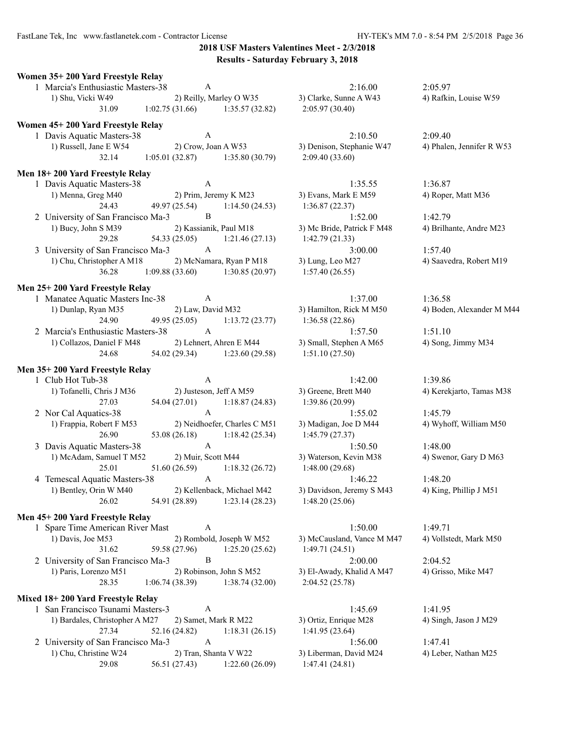FastLane Tek, Inc www.fastlanetek.com - Contractor License HY-TEK's MM 7.0 - 8:54 PM 2/5/2018 Page 36

**2018 USF Masters Valentines Meet - 2/3/2018 Results - Saturday February 3, 2018**

| Women 35+200 Yard Freestyle Relay                                         |                                        |                                                               |                                          |           |
|---------------------------------------------------------------------------|----------------------------------------|---------------------------------------------------------------|------------------------------------------|-----------|
| 1 Marcia's Enthusiastic Masters-38                                        | $\mathbf{A}$                           |                                                               | 2:16.00                                  | 2:05.97   |
| 1) Shu, Vicki W49                                                         | 2) Reilly, Marley O W35                |                                                               | 3) Clarke, Sunne A W43                   | 4) Rafki  |
| 31.09 1:02.75 (31.66) 1:35.57 (32.82)                                     |                                        |                                                               | 2:05.97(30.40)                           |           |
| Women 45+200 Yard Freestyle Relay                                         |                                        |                                                               |                                          |           |
| 1 Davis Aquatic Masters-38                                                | $\mathbf{A}$                           |                                                               | 2:10.50                                  | 2:09.40   |
| 1) Russell, Jane E W54                                                    | 2) Crow, Joan A W53                    |                                                               | 3) Denison, Stephanie W47                | 4) Phale  |
|                                                                           |                                        | 32.14 1:05.01 (32.87) 1:35.80 (30.79)                         | 2:09.40(33.60)                           |           |
|                                                                           |                                        |                                                               |                                          |           |
| Men 18+200 Yard Freestyle Relay                                           |                                        |                                                               |                                          |           |
| 1 Davis Aquatic Masters-38                                                | $\mathbf{A}$                           |                                                               | 1:35.55                                  | 1:36.87   |
| 1) Menna, Greg M40                                                        |                                        | 2) Prim, Jeremy K M23                                         | 3) Evans, Mark E M59                     | 4) Roper  |
| 24.43                                                                     |                                        | 49.97 (25.54) 1:14.50 (24.53)                                 | 1:36.87(22.37)                           |           |
| 2 University of San Francisco Ma-3 B                                      |                                        |                                                               | 1:52.00                                  | 1:42.79   |
| 1) Bucy, John S M39                                                       |                                        | 2) Kassianik, Paul M18                                        | 3) Mc Bride, Patrick F M48               | 4) Brilha |
| 29.28                                                                     |                                        | 54.33 (25.05) 1:21.46 (27.13)                                 | 1:42.79(21.33)                           |           |
| 3 University of San Francisco Ma-3 A                                      |                                        |                                                               | 3:00.00                                  | 1:57.40   |
| 1) Chu, Christopher A M18                                                 |                                        | 2) McNamara, Ryan P M18                                       | 3) Lung, Leo M27                         | 4) Saave  |
| 36.28 1:09.88 (33.60) 1:30.85 (20.97)                                     |                                        |                                                               | 1:57.40(26.55)                           |           |
| Men 25+200 Yard Freestyle Relay                                           |                                        |                                                               |                                          |           |
| 1 Manatee Aquatic Masters Inc-38 A                                        |                                        |                                                               | 1:37.00                                  | 1:36.58   |
| 1) Dunlap, Ryan M35                                                       |                                        | 2) Law, David M32                                             | 3) Hamilton, Rick M M50                  | 4) Bode   |
| 24.90                                                                     |                                        | 49.95 (25.05) 1:13.72 (23.77)                                 | 1:36.58(22.86)                           |           |
| 2 Marcia's Enthusiastic Masters-38 A                                      |                                        |                                                               | 1:57.50                                  | 1:51.10   |
| 1) Collazos, Daniel F M48 2) Lehnert, Ahren E M44 3) Small, Stephen A M65 |                                        |                                                               |                                          | 4) Song,  |
| 24.68                                                                     |                                        | 54.02 (29.34) 1:23.60 (29.58)                                 | 1:51.10(27.50)                           |           |
|                                                                           |                                        |                                                               |                                          |           |
|                                                                           |                                        |                                                               |                                          |           |
| Men 35+200 Yard Freestyle Relay<br>1 Club Hot Tub-38                      | $\mathbf{A}$                           |                                                               | 1:42.00                                  | 1:39.86   |
|                                                                           |                                        |                                                               |                                          |           |
| 1) Tofanelli, Chris J M36<br>27.03                                        | 2) Justeson, Jeff A M59                | 54.04 (27.01) 1:18.87 (24.83)                                 | 3) Greene, Brett M40<br>1:39.86(20.99)   | 4) Kerek  |
|                                                                           | A                                      |                                                               | 1:55.02                                  | 1:45.79   |
| 2 Nor Cal Aquatics-38                                                     |                                        |                                                               |                                          |           |
| 1) Frappia, Robert F M53<br>26.90                                         |                                        | 2) Neidhoefer, Charles C M51<br>53.08 (26.18) 1:18.42 (25.34) | 3) Madigan, Joe D M44<br>1:45.79(27.37)  | 4) Wyho   |
| 3 Davis Aquatic Masters-38                                                | $\mathbf{A}$                           |                                                               | 1:50.50                                  | 1:48.00   |
| 1) McAdam, Samuel T M52                                                   | 2) Muir, Scott M44                     |                                                               | 3) Waterson, Kevin M38                   | 4) Swen   |
| 25.01                                                                     |                                        | $51.60(26.59)$ $1:18.32(26.72)$                               | 1:48.00(29.68)                           |           |
| 4 Temescal Aquatic Masters-38                                             | $\mathbf{A}$                           |                                                               | 1:46.22                                  | 1:48.20   |
| 1) Bentley, Orin W M40 2) Kellenback, Michael M42                         |                                        |                                                               | 3) Davidson, Jeremy S M43                | 4) King,  |
| 26.02                                                                     | 54.91 (28.89)                          | 1:23.14(28.23)                                                | 1:48.20 (25.06)                          |           |
|                                                                           |                                        |                                                               |                                          |           |
| Men 45+200 Yard Freestyle Relay                                           |                                        |                                                               |                                          |           |
| 1 Spare Time American River Mast                                          | A                                      |                                                               | 1:50.00                                  | 1:49.71   |
| 1) Davis, Joe M53                                                         |                                        | 2) Rombold, Joseph W M52                                      | 3) McCausland, Vance M M47               | 4) Vollst |
| 31.62                                                                     | 59.58 (27.96)                          | 1:25.20(25.62)                                                | 1:49.71(24.51)                           |           |
| 2 University of San Francisco Ma-3                                        | B                                      |                                                               | 2:00.00                                  | 2:04.52   |
| 1) Paris, Lorenzo M51                                                     | 2) Robinson, John S M52                |                                                               | 3) El-Awady, Khalid A M47                | 4) Griss  |
| 28.35                                                                     | 1:06.74(38.39)                         | 1:38.74 (32.00)                                               | 2:04.52(25.78)                           |           |
| Mixed 18+200 Yard Freestyle Relay                                         |                                        |                                                               |                                          |           |
| 1 San Francisco Tsunami Masters-3                                         | A                                      |                                                               | 1:45.69                                  | 1:41.95   |
| 1) Bardales, Christopher A M27                                            | 2) Samet, Mark R M22                   |                                                               | 3) Ortiz, Enrique M28                    | 4) Singh  |
| 27.34                                                                     | 52.16 (24.82)                          | 1:18.31(26.15)                                                | 1:41.95(23.64)                           |           |
| 2 University of San Francisco Ma-3                                        | A                                      |                                                               | 1:56.00                                  | 1:47.41   |
| 1) Chu, Christine W24<br>29.08                                            | 2) Tran, Shanta V W22<br>56.51 (27.43) | 1:22.60(26.09)                                                | 3) Liberman, David M24<br>1:47.41(24.81) | 4) Leber  |

32.14 1:05.01 (32.87) 1:35.80 (30.79) 2:09.40 (33.60) 1) Evans, Mark E M59 4) Roper, Matt M36 1:36.87 (22.37) 3) Mc Bride, Patrick F M48 4) Brilhante, Andre M23 1:42.79 (21.33)

1:36.58 (22.86) 3) Small, Stephen A M65 4) Song, Jimmy M34  $1:51.10(27.50)$ 

3) Greene, Brett M40 4) Kerekjarto, Tamas M38 1:39.86 (20.99) 3) Madigan, Joe D M44 4) Wyhoff, William M50 1:45.79 (27.37) 1) Materson, Kevin M38 2) Swenor, Gary D M63 1:48.00 (29.68) 1) Bavidson, Jeremy S M43 4) King, Phillip J M51 26.02 54.91 (28.89) 1:23.14 (28.23) 1:48.20 (25.06)

3) McCausland, Vance M M47 4) Vollstedt, Mark M50 1:49.71 (24.51) 3) El-Awady, Khalid A M47 4) Grisso, Mike M47 2:04.52 (25.78)

1) Bardales, Christopher A M28 2013 2014 3) Singh, Jason J M29  $1:41.95(23.64)$ 3) Liberman, David M24 4) Leber, Nathan M25 1:47.41 (24.81)

1) Shu, Sunne A W43 2012 3) Rafkin, Louise W59

3) Denison, Stephanie W47 4) Phalen, Jennifer R W53

1) Chung, Leo M27 2014 2) Saavedra, Robert M19

3) Hamilton, Rick M M50 4) Boden, Alexander M M44